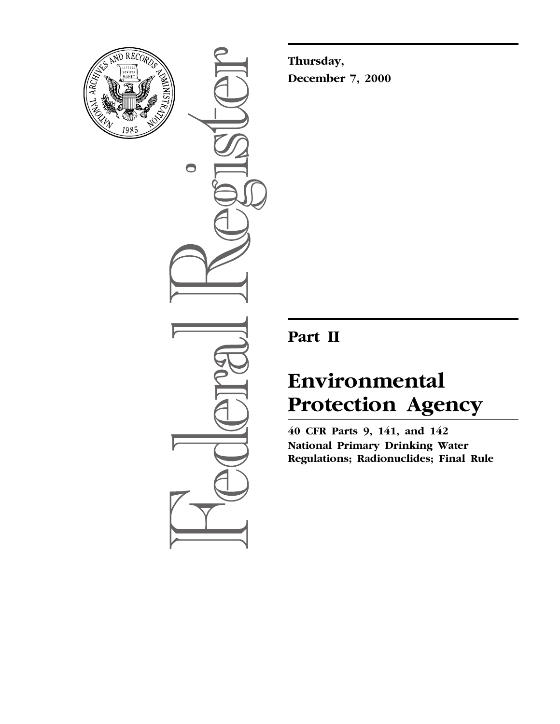

 $\bullet$ 

**Thursday, December 7, 2000**

## **Part II**

# **Environmental Protection Agency**

**40 CFR Parts 9, 141, and 142 National Primary Drinking Water Regulations; Radionuclides; Final Rule**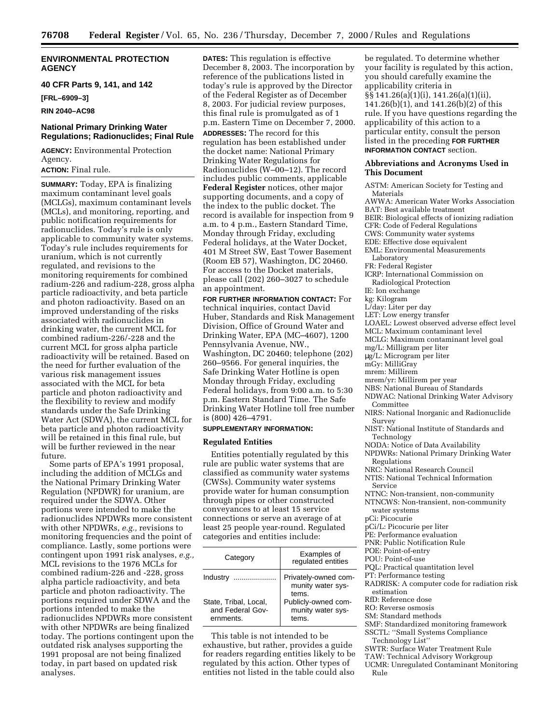**ENVIRONMENTAL PROTECTION AGENCY**

**40 CFR Parts 9, 141, and 142**

**[FRL–6909–3]**

**RIN 2040–AC98**

### **National Primary Drinking Water Regulations; Radionuclides; Final Rule**

**AGENCY:** Environmental Protection Agency.

**ACTION:** Final rule.

**SUMMARY:** Today, EPA is finalizing maximum contaminant level goals (MCLGs), maximum contaminant levels (MCLs), and monitoring, reporting, and public notification requirements for radionuclides. Today's rule is only applicable to community water systems. Today's rule includes requirements for uranium, which is not currently regulated, and revisions to the monitoring requirements for combined radium-226 and radium-228, gross alpha particle radioactivity, and beta particle and photon radioactivity. Based on an improved understanding of the risks associated with radionuclides in drinking water, the current MCL for combined radium-226/-228 and the current MCL for gross alpha particle radioactivity will be retained. Based on the need for further evaluation of the various risk management issues associated with the MCL for beta particle and photon radioactivity and the flexibility to review and modify standards under the Safe Drinking Water Act (SDWA), the current MCL for beta particle and photon radioactivity will be retained in this final rule, but will be further reviewed in the near future.

Some parts of EPA's 1991 proposal, including the addition of MCLGs and the National Primary Drinking Water Regulation (NPDWR) for uranium, are required under the SDWA. Other portions were intended to make the radionuclides NPDWRs more consistent with other NPDWRs, *e.g.,* revisions to monitoring frequencies and the point of compliance. Lastly, some portions were contingent upon 1991 risk analyses, *e.g.,* MCL revisions to the 1976 MCLs for combined radium-226 and -228, gross alpha particle radioactivity, and beta particle and photon radioactivity. The portions required under SDWA and the portions intended to make the radionuclides NPDWRs more consistent with other NPDWRs are being finalized today. The portions contingent upon the outdated risk analyses supporting the 1991 proposal are not being finalized today, in part based on updated risk analyses.

**DATES:** This regulation is effective December 8, 2003. The incorporation by reference of the publications listed in today's rule is approved by the Director of the Federal Register as of December 8, 2003. For judicial review purposes, this final rule is promulgated as of 1 p.m. Eastern Time on December 7, 2000. **ADDRESSES:** The record for this regulation has been established under the docket name: National Primary Drinking Water Regulations for Radionuclides (W–00–12). The record includes public comments, applicable **Federal Register** notices, other major supporting documents, and a copy of the index to the public docket. The record is available for inspection from 9 a.m. to 4 p.m., Eastern Standard Time, Monday through Friday, excluding Federal holidays, at the Water Docket, 401 M Street SW, East Tower Basement (Room EB 57), Washington, DC 20460. For access to the Docket materials, please call (202) 260–3027 to schedule an appointment.

**FOR FURTHER INFORMATION CONTACT:** For technical inquiries, contact David Huber, Standards and Risk Management Division, Office of Ground Water and Drinking Water, EPA (MC–4607), 1200 Pennsylvania Avenue, NW., Washington, DC 20460; telephone (202) 260–9566. For general inquiries, the Safe Drinking Water Hotline is open Monday through Friday, excluding Federal holidays, from 9:00 a.m. to 5:30 p.m. Eastern Standard Time. The Safe Drinking Water Hotline toll free number is (800) 426–4791.

### **SUPPLEMENTARY INFORMATION:**

### **Regulated Entities**

Entities potentially regulated by this rule are public water systems that are classified as community water systems (CWSs). Community water systems provide water for human consumption through pipes or other constructed conveyances to at least 15 service connections or serve an average of at least 25 people year-round. Regulated categories and entities include:

| Category                                               | Examples of<br>regulated entities                  |
|--------------------------------------------------------|----------------------------------------------------|
| Industry                                               | Privately-owned com-<br>munity water sys-<br>tems. |
| State, Tribal, Local,<br>and Federal Gov-<br>ernments. | Publicly-owned com-<br>munity water sys-<br>tems.  |

This table is not intended to be exhaustive, but rather, provides a guide for readers regarding entities likely to be regulated by this action. Other types of entities not listed in the table could also

be regulated. To determine whether your facility is regulated by this action, you should carefully examine the applicability criteria in §§ 141.26(a)(1)(i), 141.26(a)(1)(ii), 141.26(b)(1), and 141.26(b)(2) of this rule. If you have questions regarding the applicability of this action to a particular entity, consult the person listed in the preceding **FOR FURTHER INFORMATION CONTACT** section.

### **Abbreviations and Acronyms Used in This Document**

ASTM: American Society for Testing and Materials AWWA: American Water Works Association BAT: Best available treatment BEIR: Biological effects of ionizing radiation CFR: Code of Federal Regulations CWS: Community water systems EDE: Effective dose equivalent EML: Environmental Measurements Laboratory FR: Federal Register ICRP: International Commission on Radiological Protection IE: Ion exchange kg: Kilogram L/day: Liter per day LET: Low energy transfer LOAEL: Lowest observed adverse effect level MCL: Maximum contaminant level MCLG: Maximum contaminant level goal mg/L: Milligram per liter µg/L: Microgram per liter mGy: MilliGray mrem: Millirem mrem/yr: Millirem per year NBS: National Bureau of Standards NDWAC: National Drinking Water Advisory Committee NIRS: National Inorganic and Radionuclide Survey NIST: National Institute of Standards and Technology NODA: Notice of Data Availability NPDWRs: National Primary Drinking Water Regulations NRC: National Research Council NTIS: National Technical Information Service NTNC: Non-transient, non-community NTNCWS: Non-transient, non-community water systems pCi: Picocurie pCi/L: Picocurie per liter PE: Performance evaluation PNR: Public Notification Rule POE: Point-of-entry POU: Point-of-use PQL: Practical quantitation level PT: Performance testing RADRISK: A computer code for radiation risk estimation RfD: Reference dose RO: Reverse osmosis SM: Standard methods

- 
- SMF: Standardized monitoring framework SSCTL: ''Small Systems Compliance
- Technology List''
- 
- SWTR: Surface Water Treatment Rule TAW: Technical Advisory Workgroup
- UCMR: Unregulated Contaminant Monitoring Rule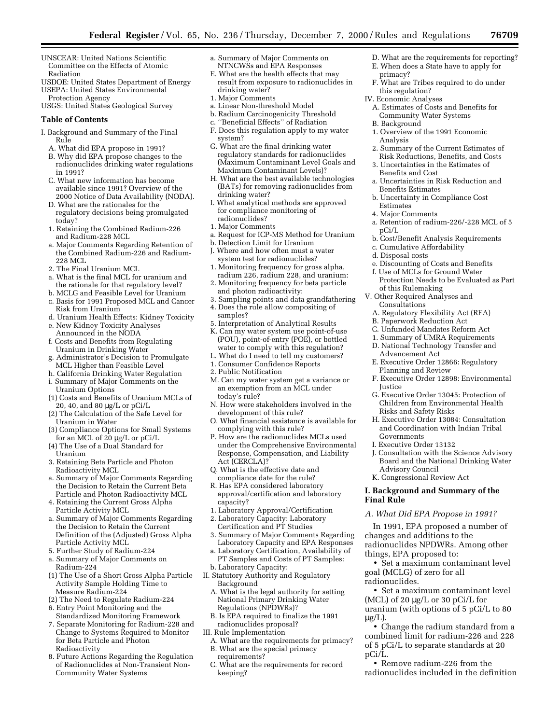- UNSCEAR: United Nations Scientific Committee on the Effects of Atomic Radiation
- USDOE: United States Department of Energy USEPA: United States Environmental
- Protection Agency USGS: United States Geological Survey

### **Table of Contents**

- I. Background and Summary of the Final Rule
	- A. What did EPA propose in 1991?
	- B. Why did EPA propose changes to the radionuclides drinking water regulations in 1991?
	- C. What new information has become available since 1991? Overview of the 2000 Notice of Data Availability (NODA).
	- D. What are the rationales for the regulatory decisions being promulgated today?
	- 1. Retaining the Combined Radium-226 and Radium-228 MCL
	- a. Major Comments Regarding Retention of the Combined Radium-226 and Radium-228 MCL
	- 2. The Final Uranium MCL
	- a. What is the final MCL for uranium and the rationale for that regulatory level?
	- b. MCLG and Feasible Level for Uranium
	- c. Basis for 1991 Proposed MCL and Cancer Risk from Uranium
	- d. Uranium Health Effects: Kidney Toxicity
	- e. New Kidney Toxicity Analyses
	- Announced in the NODA f. Costs and Benefits from Regulating
	- Uranium in Drinking Water
	- g. Administrator's Decision to Promulgate MCL Higher than Feasible Level
	- h. California Drinking Water Regulation i. Summary of Major Comments on the Uranium Options
	- (1) Costs and Benefits of Uranium MCLs of 20, 40, and 80 µg/L or pCi/L
	- (2) The Calculation of the Safe Level for Uranium in Water
	- (3) Compliance Options for Small Systems for an MCL of 20 µg/L or pCi/L
	- (4) The Use of a Dual Standard for
	- Uranium 3. Retaining Beta Particle and Photon Radioactivity MCL
	- a. Summary of Major Comments Regarding the Decision to Retain the Current Beta Particle and Photon Radioactivity MCL
	- 4. Retaining the Current Gross Alpha Particle Activity MCL
	- a. Summary of Major Comments Regarding the Decision to Retain the Current Definition of the (Adjusted) Gross Alpha Particle Activity MCL
	- 5. Further Study of Radium-224
	- a. Summary of Major Comments on Radium-224
	- (1) The Use of a Short Gross Alpha Particle Activity Sample Holding Time to Measure Radium-224
	- (2) The Need to Regulate Radium-224
	- 6. Entry Point Monitoring and the Standardized Monitoring Framework
	- 7. Separate Monitoring for Radium-228 and Change to Systems Required to Monitor for Beta Particle and Photon Radioactivity
	- 8. Future Actions Regarding the Regulation of Radionuclides at Non-Transient Non-Community Water Systems
- a. Summary of Major Comments on NTNCWSs and EPA Responses
- E. What are the health effects that may result from exposure to radionuclides in drinking water?
- 1. Major Comments
- a. Linear Non-threshold Model
- b. Radium Carcinogenicity Threshold c. ''Beneficial Effects'' of Radiation
- F. Does this regulation apply to my water system?
- G. What are the final drinking water regulatory standards for radionuclides (Maximum Contaminant Level Goals and Maximum Contaminant Levels)?
- H. What are the best available technologies (BATs) for removing radionuclides from drinking water?
- I. What analytical methods are approved for compliance monitoring of radionuclides?
- 1. Major Comments
- a. Request for ICP-MS Method for Uranium
- b. Detection Limit for Uranium
- J. Where and how often must a water system test for radionuclides?
- 1. Monitoring frequency for gross alpha, radium 226, radium 228, and uranium:
- 2. Monitoring frequency for beta particle and photon radioactivity:
- 3. Sampling points and data grandfathering 4. Does the rule allow compositing of
- samples? 5. Interpretation of Analytical Results
- K. Can my water system use point-of-use (POU), point-of-entry (POE), or bottled water to comply with this regulation?
- L. What do I need to tell my customers?
- 1. Consumer Confidence Reports
- 2. Public Notification
- M. Can my water system get a variance or an exemption from an MCL under today's rule?
- N. How were stakeholders involved in the development of this rule?
- O. What financial assistance is available for complying with this rule?
- P. How are the radionuclides MCLs used under the Comprehensive Environmental Response, Compensation, and Liability Act (CERCLA)?
- Q. What is the effective date and compliance date for the rule?
- R. Has EPA considered laboratory approval/certification and laboratory capacity?
- 1. Laboratory Approval/Certification 2. Laboratory Capacity: Laboratory
- Certification and PT Studies
- 3. Summary of Major Comments Regarding Laboratory Capacity and EPA Responses
- a. Laboratory Certification, Availability of PT Samples and Costs of PT Samples:
- b. Laboratory Capacity:
- II. Statutory Authority and Regulatory Background
	- A. What is the legal authority for setting National Primary Drinking Water Regulations (NPDWRs)?
	- B. Is EPA required to finalize the 1991 radionuclides proposal?
- III. Rule Implementation
- A. What are the requirements for primacy? B. What are the special primacy
- requirements? C. What are the requirements for record keeping?
- D. What are the requirements for reporting?
- E. When does a State have to apply for primacy?
- F. What are Tribes required to do under this regulation?
- IV. Economic Analyses
	- A. Estimates of Costs and Benefits for Community Water Systems
	- B. Background
	- 1. Overview of the 1991 Economic Analysis
	- 2. Summary of the Current Estimates of Risk Reductions, Benefits, and Costs
- 3. Uncertainties in the Estimates of Benefits and Cost
- a. Uncertainties in Risk Reduction and Benefits Estimates
- b. Uncertainty in Compliance Cost Estimates
- 4. Major Comments
- a. Retention of radium-226/-228 MCL of 5 pCi/L
- b. Cost/Benefit Analysis Requirements
- c. Cumulative Affordability
- d. Disposal costs

Justice

**Final Rule**

radionuclides.

 $\mu$ g/L).

pCi/L.

- e. Discounting of Costs and Benefits
- f. Use of MCLs for Ground Water Protection Needs to be Evaluated as Part of this Rulemaking
- V. Other Required Analyses and Consultations
	- A. Regulatory Flexibility Act (RFA)
	- B. Paperwork Reduction Act

Risks and Safety Risks

Governments I. Executive Order 13132

Advisory Council K. Congressional Review Act **I. Background and Summary of the**

- C. Unfunded Mandates Reform Act
- 1. Summary of UMRA Requirements
- D. National Technology Transfer and Advancement Act
- E. Executive Order 12866: Regulatory Planning and Review

F. Executive Order 12898: Environmental

G. Executive Order 13045: Protection of Children from Environmental Health

H. Executive Order 13084: Consultation and Coordination with Indian Tribal

J. Consultation with the Science Advisory Board and the National Drinking Water

*A. What Did EPA Propose in 1991?* In 1991, EPA proposed a number of

radionuclides NPDWRs. Among other

• Set a maximum contaminant level

• Set a maximum contaminant level (MCL) of 20 µg/L or 30 pCi/L for uranium (with options of 5 pCi/L to 80

• Change the radium standard from a combined limit for radium-226 and 228 of 5 pCi/L to separate standards at 20

• Remove radium-226 from the radionuclides included in the definition

changes and additions to the

things, EPA proposed to:

goal (MCLG) of zero for all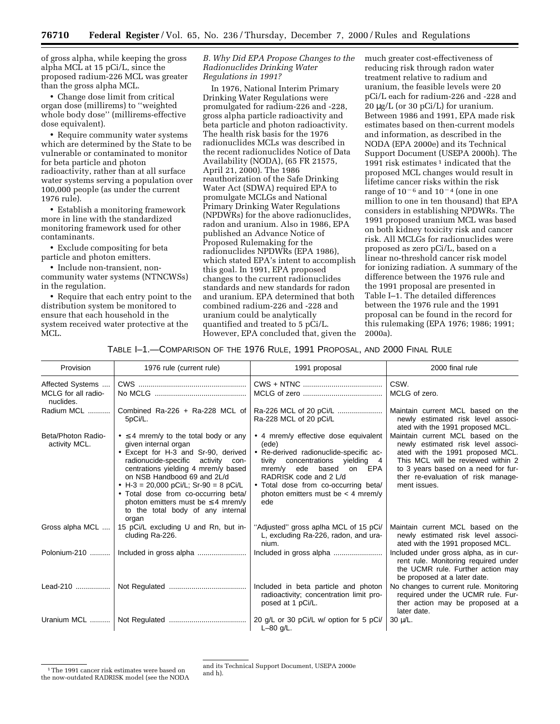of gross alpha, while keeping the gross alpha MCL at 15 pCi/L, since the proposed radium-226 MCL was greater than the gross alpha MCL.

• Change dose limit from critical organ dose (millirems) to ''weighted whole body dose'' (millirems-effective dose equivalent).

• Require community water systems which are determined by the State to be vulnerable or contaminated to monitor for beta particle and photon radioactivity, rather than at all surface water systems serving a population over 100,000 people (as under the current 1976 rule).

• Establish a monitoring framework more in line with the standardized monitoring framework used for other contaminants.

• Exclude compositing for beta particle and photon emitters.

• Include non-transient, noncommunity water systems (NTNCWSs) in the regulation.

• Require that each entry point to the distribution system be monitored to ensure that each household in the system received water protective at the MCL.

*B. Why Did EPA Propose Changes to the Radionuclides Drinking Water Regulations in 1991?*

In 1976, National Interim Primary Drinking Water Regulations were promulgated for radium-226 and -228, gross alpha particle radioactivity and beta particle and photon radioactivity. The health risk basis for the 1976 radionuclides MCLs was described in the recent radionuclides Notice of Data Availability (NODA), (65 FR 21575, April 21, 2000). The 1986 reauthorization of the Safe Drinking Water Act (SDWA) required EPA to promulgate MCLGs and National Primary Drinking Water Regulations (NPDWRs) for the above radionuclides, radon and uranium. Also in 1986, EPA published an Advance Notice of Proposed Rulemaking for the radionuclides NPDWRs (EPA 1986), which stated EPA's intent to accomplish this goal. In 1991, EPA proposed changes to the current radionuclides standards and new standards for radon and uranium. EPA determined that both combined radium-226 and -228 and uranium could be analytically quantified and treated to 5 pCi/L. However, EPA concluded that, given the much greater cost-effectiveness of reducing risk through radon water treatment relative to radium and uranium, the feasible levels were 20 pCi/L each for radium-226 and -228 and 20 µg/L (or 30 pCi/L) for uranium. Between 1986 and 1991, EPA made risk estimates based on then-current models and information, as described in the NODA (EPA 2000e) and its Technical Support Document (USEPA 2000h). The 1991 risk estimates 1 indicated that the proposed MCL changes would result in lifetime cancer risks within the risk range of  $10^{-6}$  and  $10^{-4}$  (one in one million to one in ten thousand) that EPA considers in establishing NPDWRs. The 1991 proposed uranium MCL was based on both kidney toxicity risk and cancer risk. All MCLGs for radionuclides were proposed as zero pCi/L, based on a linear no-threshold cancer risk model for ionizing radiation. A summary of the difference between the 1976 rule and the 1991 proposal are presented in Table I–1. The detailed differences between the 1976 rule and the 1991 proposal can be found in the record for this rulemaking (EPA 1976; 1986; 1991; 2000a).

### TABLE I–1.—COMPARISON OF THE 1976 RULE, 1991 PROPOSAL, AND 2000 FINAL RULE

| Provision                                            | 1976 rule (current rule)                                                                                                                                                                                                                                                                                                                                                                              | 1991 proposal                                                                                                                                                                                                                                                           | 2000 final rule                                                                                                                                                                                                                                |
|------------------------------------------------------|-------------------------------------------------------------------------------------------------------------------------------------------------------------------------------------------------------------------------------------------------------------------------------------------------------------------------------------------------------------------------------------------------------|-------------------------------------------------------------------------------------------------------------------------------------------------------------------------------------------------------------------------------------------------------------------------|------------------------------------------------------------------------------------------------------------------------------------------------------------------------------------------------------------------------------------------------|
| Affected Systems<br>MCLG for all radio-<br>nuclides. |                                                                                                                                                                                                                                                                                                                                                                                                       |                                                                                                                                                                                                                                                                         | CSW.<br>MCLG of zero.                                                                                                                                                                                                                          |
| Radium MCL                                           | Combined Ra-226 $+$ Ra-228 MCL of<br>5pCi/L.                                                                                                                                                                                                                                                                                                                                                          | Ra-228 MCL of 20 pCi/L                                                                                                                                                                                                                                                  | Maintain current MCL based on the<br>newly estimated risk level associ-<br>ated with the 1991 proposed MCL.                                                                                                                                    |
| Beta/Photon Radio-<br>activity MCL.                  | $\bullet \leq 4$ mrem/y to the total body or any<br>given internal organ<br>• Except for H-3 and Sr-90, derived<br>radionucide-specific activity con-<br>centrations yielding 4 mrem/y based<br>on NSB Handbood 69 and 2L/d<br>• H-3 = 20,000 pCi/L; Sr-90 = 8 pCi/L<br>• Total dose from co-occurring beta/<br>photon emitters must be $\leq$ 4 mrem/y<br>to the total body of any internal<br>organ | • 4 mrem/y effective dose equivalent<br>(ede)<br>· Re-derived radionuclide-specific ac-<br>tivity concentrations yielding 4<br>mrem/y ede based on EPA<br>RADRISK code and 2 L/d<br>• Total dose from co-occurring beta/<br>photon emitters must be $<$ 4 mrem/y<br>ede | Maintain current MCL based on the<br>newly estimated risk level associ-<br>ated with the 1991 proposed MCL.<br>This MCL will be reviewed within 2<br>to 3 years based on a need for fur-<br>ther re-evaluation of risk manage-<br>ment issues. |
| Gross alpha MCL                                      | 15 pCi/L excluding U and Rn, but in-<br>cluding Ra-226.                                                                                                                                                                                                                                                                                                                                               | "Adjusted" gross aplha MCL of 15 pCi/<br>L, excluding Ra-226, radon, and ura-<br>nium.                                                                                                                                                                                  | Maintain current MCL based on the<br>newly estimated risk level associ-<br>ated with the 1991 proposed MCL.                                                                                                                                    |
| Polonium-210                                         |                                                                                                                                                                                                                                                                                                                                                                                                       |                                                                                                                                                                                                                                                                         | Included under gross alpha, as in cur-<br>rent rule. Monitoring required under<br>the UCMR rule. Further action may<br>be proposed at a later date.                                                                                            |
| Lead-210                                             |                                                                                                                                                                                                                                                                                                                                                                                                       | Included in beta particle and photon<br>radioactivity; concentration limit pro-<br>posed at 1 pCi/L.                                                                                                                                                                    | No changes to current rule. Monitoring<br>required under the UCMR rule. Fur-<br>ther action may be proposed at a<br>later date.                                                                                                                |
| Uranium MCL                                          |                                                                                                                                                                                                                                                                                                                                                                                                       | 20 g/L or 30 pCi/L w/ option for 5 pCi/<br>$L - 80$ g/L.                                                                                                                                                                                                                | $30 \mu/L$ .                                                                                                                                                                                                                                   |

<sup>1</sup>The 1991 cancer risk estimates were based on the now-outdated RADRISK model (see the NODA

and its Technical Support Document, USEPA 2000e and h).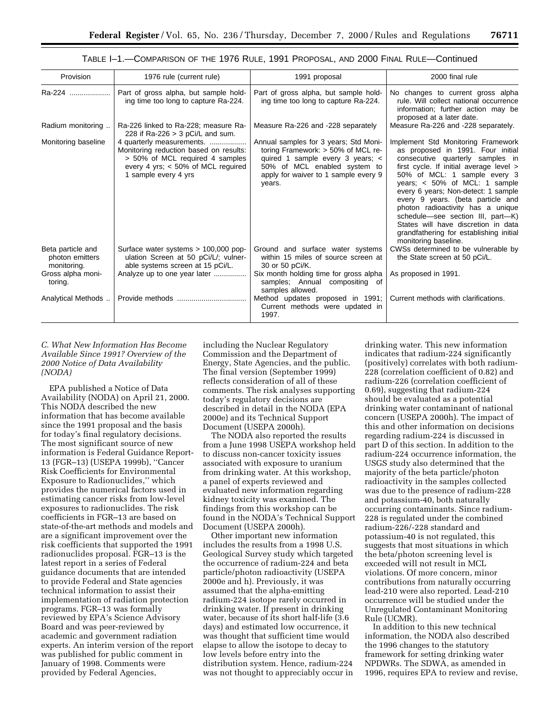| Provision                                                                           | 1976 rule (current rule)                                                                                                                                               | 1991 proposal                                                                                                                                                                                        | 2000 final rule                                                                                                                                                                                                                                                                                                                                                                                                                                                                            |
|-------------------------------------------------------------------------------------|------------------------------------------------------------------------------------------------------------------------------------------------------------------------|------------------------------------------------------------------------------------------------------------------------------------------------------------------------------------------------------|--------------------------------------------------------------------------------------------------------------------------------------------------------------------------------------------------------------------------------------------------------------------------------------------------------------------------------------------------------------------------------------------------------------------------------------------------------------------------------------------|
| Ra-224                                                                              | Part of gross alpha, but sample hold-<br>ing time too long to capture Ra-224.                                                                                          | Part of gross alpha, but sample hold-<br>ing time too long to capture Ra-224.                                                                                                                        | No changes to current gross alpha<br>rule. Will collect national occurrence<br>information; further action may be<br>proposed at a later date.                                                                                                                                                                                                                                                                                                                                             |
| Radium monitoring                                                                   | Ra-226 linked to Ra-228; measure Ra-<br>228 if Ra-226 $>$ 3 pCi/L and sum.                                                                                             | Measure Ra-226 and -228 separately                                                                                                                                                                   | Measure Ra-226 and -228 separately.                                                                                                                                                                                                                                                                                                                                                                                                                                                        |
| Monitoring baseline                                                                 | 4 quarterly measurements.<br>Monitoring reduction based on results:<br>> 50% of MCL required 4 samples<br>every 4 yrs; $<$ 50% of MCL reguired<br>1 sample every 4 yrs | Annual samples for 3 years; Std Moni-<br>toring Framework: $> 50\%$ of MCL re-<br>quired 1 sample every 3 years; <<br>50% of MCL enabled system to<br>apply for waiver to 1 sample every 9<br>years. | Implement Std Monitoring Framework<br>as proposed in 1991. Four initial<br>consecutive quarterly samples in<br>first cycle. If initial average level ><br>50% of MCL: 1 sample every 3<br>years: $< 50\%$ of MCL: 1 sample<br>every 6 years; Non-detect: 1 sample<br>every 9 years. (beta particle and<br>photon radioactivity has a unique<br>schedule-see section III, part-K)<br>States will have discretion in data<br>grandfathering for establishing initial<br>monitoring baseline. |
| Beta particle and<br>photon emitters<br>monitoring.<br>Gross alpha moni-<br>toring. | Surface water systems > 100,000 pop-<br>ulation Screen at 50 pCi/L/; vulner-<br>able systems screen at 15 pCi/L.<br>Analyze up to one year later                       | Ground and surface water systems<br>within 15 miles of source screen at<br>30 or 50 pCi/K.<br>Six month holding time for gross alpha<br>samples; Annual compositing of<br>samples allowed.           | CWSs determined to be vulnerable by<br>the State screen at 50 pCi/L.<br>As proposed in 1991.                                                                                                                                                                                                                                                                                                                                                                                               |
| Analytical Methods                                                                  |                                                                                                                                                                        | Method updates proposed in 1991;<br>Current methods were updated in<br>1997.                                                                                                                         | Current methods with clarifications.                                                                                                                                                                                                                                                                                                                                                                                                                                                       |

*C. What New Information Has Become Available Since 1991? Overview of the 2000 Notice of Data Availability (NODA)*

EPA published a Notice of Data Availability (NODA) on April 21, 2000. This NODA described the new information that has become available since the 1991 proposal and the basis for today's final regulatory decisions. The most significant source of new information is Federal Guidance Report-13 (FGR–13) (USEPA 1999b), ''Cancer Risk Coefficients for Environmental Exposure to Radionuclides,'' which provides the numerical factors used in estimating cancer risks from low-level exposures to radionuclides. The risk coefficients in FGR–13 are based on state-of-the-art methods and models and are a significant improvement over the risk coefficients that supported the 1991 radionuclides proposal. FGR–13 is the latest report in a series of Federal guidance documents that are intended to provide Federal and State agencies technical information to assist their implementation of radiation protection programs. FGR–13 was formally reviewed by EPA's Science Advisory Board and was peer-reviewed by academic and government radiation experts. An interim version of the report was published for public comment in January of 1998. Comments were provided by Federal Agencies,

including the Nuclear Regulatory Commission and the Department of Energy, State Agencies, and the public. The final version (September 1999) reflects consideration of all of these comments. The risk analyses supporting today's regulatory decisions are described in detail in the NODA (EPA 2000e) and its Technical Support Document (USEPA 2000h).

The NODA also reported the results from a June 1998 USEPA workshop held to discuss non-cancer toxicity issues associated with exposure to uranium from drinking water. At this workshop, a panel of experts reviewed and evaluated new information regarding kidney toxicity was examined. The findings from this workshop can be found in the NODA's Technical Support Document (USEPA 2000h).

Other important new information includes the results from a 1998 U.S. Geological Survey study which targeted the occurrence of radium-224 and beta particle/photon radioactivity (USEPA 2000e and h). Previously, it was assumed that the alpha-emitting radium-224 isotope rarely occurred in drinking water. If present in drinking water, because of its short half-life (3.6 days) and estimated low occurrence, it was thought that sufficient time would elapse to allow the isotope to decay to low levels before entry into the distribution system. Hence, radium-224 was not thought to appreciably occur in

drinking water. This new information indicates that radium-224 significantly (positively) correlates with both radium-228 (correlation coefficient of 0.82) and radium-226 (correlation coefficient of 0.69), suggesting that radium-224 should be evaluated as a potential drinking water contaminant of national concern (USEPA 2000h). The impact of this and other information on decisions regarding radium-224 is discussed in part D of this section. In addition to the radium-224 occurrence information, the USGS study also determined that the majority of the beta particle/photon radioactivity in the samples collected was due to the presence of radium-228 and potassium-40, both naturally occurring contaminants. Since radium-228 is regulated under the combined radium-226/-228 standard and potassium-40 is not regulated, this suggests that most situations in which the beta/photon screening level is exceeded will not result in MCL violations. Of more concern, minor contributions from naturally occurring lead-210 were also reported. Lead-210 occurrence will be studied under the Unregulated Contaminant Monitoring Rule (UCMR).

In addition to this new technical information, the NODA also described the 1996 changes to the statutory framework for setting drinking water NPDWRs. The SDWA, as amended in 1996, requires EPA to review and revise,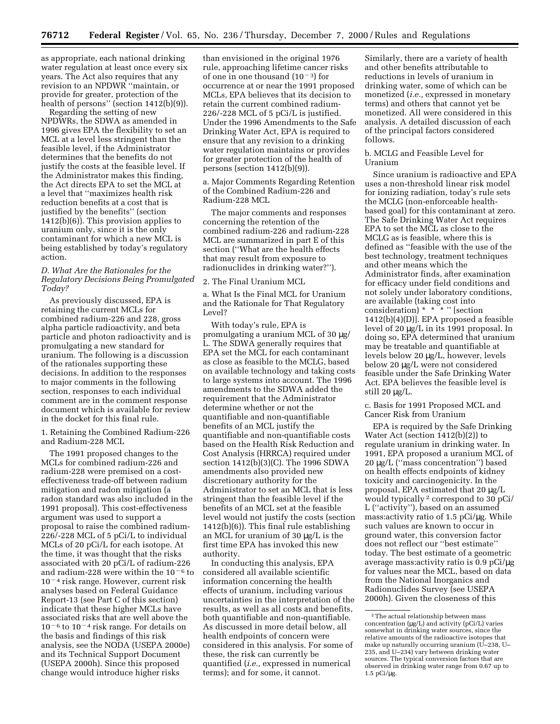as appropriate, each national drinking water regulation at least once every six years. The Act also requires that any revision to an NPDWR ''maintain, or provide for greater, protection of the health of persons" (section 1412(b)(9)).

Regarding the setting of new NPDWRs, the SDWA as amended in 1996 gives EPA the flexibility to set an MCL at a level less stringent than the feasible level, if the Administrator determines that the benefits do not justify the costs at the feasible level. If the Administrator makes this finding, the Act directs EPA to set the MCL at a level that ''maximizes health risk reduction benefits at a cost that is justified by the benefits'' (section 1412(b)(6)). This provision applies to uranium only, since it is the only contaminant for which a new MCL is being established by today's regulatory action.

### *D. What Are the Rationales for the Regulatory Decisions Being Promulgated Today?*

As previously discussed, EPA is retaining the current MCLs for combined radium-226 and 228, gross alpha particle radioactivity, and beta particle and photon radioactivity and is promulgating a new standard for uranium. The following is a discussion of the rationales supporting these decisions. In addition to the responses to major comments in the following section, responses to each individual comment are in the comment response document which is available for review in the docket for this final rule.

1. Retaining the Combined Radium-226 and Radium-228 MCL

The 1991 proposed changes to the MCLs for combined radium-226 and radium-228 were premised on a costeffectiveness trade-off between radium mitigation and radon mitigation (a radon standard was also included in the 1991 proposal). This cost-effectiveness argument was used to support a proposal to raise the combined radium-226/-228 MCL of 5 pCi/L to individual MCLs of 20 pCi/L for each isotope. At the time, it was thought that the risks associated with 20 pCi/L of radium-226 and radium-228 were within the  $10<sup>-6</sup>$  to  $10<sup>-4</sup>$  risk range. However, current risk analyses based on Federal Guidance Report-13 (see Part C of this section) indicate that these higher MCLs have associated risks that are well above the  $10<sup>-6</sup>$  to  $10<sup>-4</sup>$  risk range. For details on the basis and findings of this risk analysis, see the NODA (USEPA 2000e) and its Technical Support Document (USEPA 2000h). Since this proposed change would introduce higher risks

than envisioned in the original 1976 rule, approaching lifetime cancer risks of one in one thousand  $(10^{-3})$  for occurrence at or near the 1991 proposed MCLs, EPA believes that its decision to retain the current combined radium-226/-228 MCL of 5 pCi/L is justified. Under the 1996 Amendments to the Safe Drinking Water Act, EPA is required to ensure that any revision to a drinking water regulation maintains or provides for greater protection of the health of persons (section 1412(b)(9)).

a. Major Comments Regarding Retention of the Combined Radium-226 and Radium-228 MCL

The major comments and responses concerning the retention of the combined radium-226 and radium-228 MCL are summarized in part E of this section (''What are the health effects that may result from exposure to radionuclides in drinking water?'').

### 2. The Final Uranium MCL

a. What Is the Final MCL for Uranium and the Rationale for That Regulatory Level?

With today's rule, EPA is promulgating a uranium MCL of 30 µg/ L. The SDWA generally requires that EPA set the MCL for each contaminant as close as feasible to the MCLG, based on available technology and taking costs to large systems into account. The 1996 amendments to the SDWA added the requirement that the Administrator determine whether or not the quantifiable and non-quantifiable benefits of an MCL justify the quantifiable and non-quantifiable costs based on the Health Risk Reduction and Cost Analysis (HRRCA) required under section 1412(b)(3)(C). The 1996 SDWA amendments also provided new discretionary authority for the Administrator to set an MCL that is less stringent than the feasible level if the benefits of an MCL set at the feasible level would not justify the costs (section 1412(b)(6)). This final rule establishing an MCL for uranium of 30 µg/L is the first time EPA has invoked this new authority.

In conducting this analysis, EPA considered all available scientific information concerning the health effects of uranium, including various uncertainties in the interpretation of the results, as well as all costs and benefits, both quantifiable and non-quantifiable. As discussed in more detail below, all health endpoints of concern were considered in this analysis. For some of these, the risk can currently be quantified (*i.e.,* expressed in numerical terms); and for some, it cannot.

Similarly, there are a variety of health and other benefits attributable to reductions in levels of uranium in drinking water, some of which can be monetized (*i.e.,* expressed in monetary terms) and others that cannot yet be monetized. All were considered in this analysis. A detailed discussion of each of the principal factors considered follows.

### b. MCLG and Feasible Level for Uranium

Since uranium is radioactive and EPA uses a non-threshold linear risk model for ionizing radiation, today's rule sets the MCLG (non-enforceable healthbased goal) for this contaminant at zero. The Safe Drinking Water Act requires EPA to set the MCL as close to the MCLG as is feasible, where this is defined as ''feasible with the use of the best technology, treatment techniques and other means which the Administrator finds, after examination for efficacy under field conditions and not solely under laboratory conditions, are available (taking cost into consideration) \* \* \* '' [section 1412(b)(4)(D)]. EPA proposed a feasible level of 20 μg/L in its 1991 proposal. In doing so, EPA determined that uranium may be treatable and quantifiable at levels below 20 µg/L, however, levels below 20 µg/L were not considered feasible under the Safe Drinking Water Act. EPA believes the feasible level is still  $20 \mu g/L$ .

c. Basis for 1991 Proposed MCL and Cancer Risk from Uranium

EPA is required by the Safe Drinking Water Act (section 1412(b)(2)) to regulate uranium in drinking water. In 1991, EPA proposed a uranium MCL of 20 µg/L (''mass concentration'') based on health effects endpoints of kidney toxicity and carcinogenicity. In the proposal, EPA estimated that 20 µg/L would typically 2 correspond to 30 pCi/ L (''activity''), based on an assumed mass:activity ratio of 1.5 pCi/µg. While such values are known to occur in ground water, this conversion factor does not reflect our ''best estimate'' today. The best estimate of a geometric average mass:activity ratio is 0.9 pCi/µg for values near the MCL, based on data from the National Inorganics and Radionuclides Survey (see USEPA 2000h). Given the closeness of this

<sup>2</sup>The actual relationship between mass concentration (µg/L) and activity (pCi/L) varies somewhat in drinking water sources, since the relative amounts of the radioactive isotopes that make up naturally occurring uranium (U–238, U– 235, and U–234) vary between drinking water sources. The typical conversion factors that are observed in drinking water range from 0.67 up to  $1.5$  pCi/ $\mu$ g.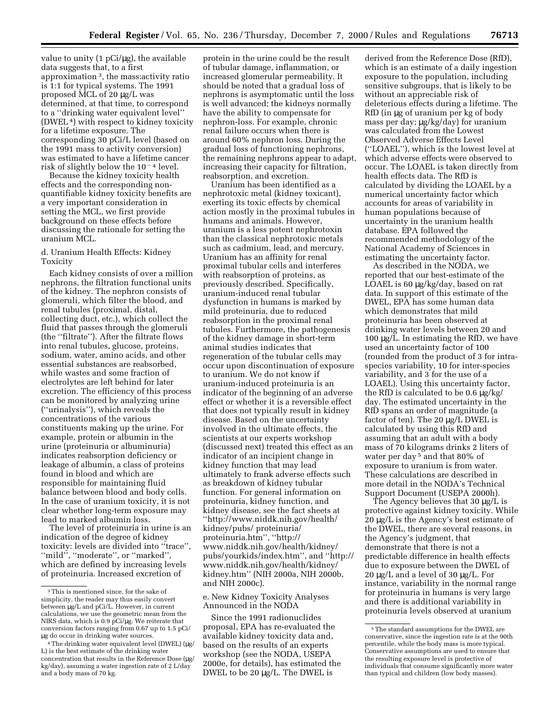value to unity  $(1 pCi/\mu g)$ , the available data suggests that, to a first approximation 3, the mass:activity ratio is 1:1 for typical systems. The 1991 proposed MCL of 20 µg/L was determined, at that time, to correspond to a ''drinking water equivalent level'' (DWEL 4) with respect to kidney toxicity for a lifetime exposure. The corresponding 30 pCi/L level (based on the 1991 mass to activity conversion) was estimated to have a lifetime cancer risk of slightly below the  $10<sup>-4</sup>$  level.

Because the kidney toxicity health effects and the corresponding nonquantifiable kidney toxicity benefits are a very important consideration in setting the MCL, we first provide background on these effects before discussing the rationale for setting the uranium MCL.

d. Uranium Health Effects: Kidney Toxicity

Each kidney consists of over a million nephrons, the filtration functional units of the kidney. The nephron consists of glomeruli, which filter the blood, and renal tubules (proximal, distal, collecting duct, etc.), which collect the fluid that passes through the glomeruli (the ''filtrate''). After the filtrate flows into renal tubules, glucose, proteins, sodium, water, amino acids, and other essential substances are reabsorbed, while wastes and some fraction of electrolytes are left behind for later excretion. The efficiency of this process can be monitored by analyzing urine (''urinalysis''), which reveals the concentrations of the various constituents making up the urine. For example, protein or albumin in the urine (proteinuria or albuminuria) indicates reabsorption deficiency or leakage of albumin, a class of proteins found in blood and which are responsible for maintaining fluid balance between blood and body cells. In the case of uranium toxicity, it is not clear whether long-term exposure may lead to marked albumin loss.

The level of proteinuria in urine is an indication of the degree of kidney toxicity: levels are divided into ''trace'', "mild", "moderate", or "marked", which are defined by increasing levels of proteinuria. Increased excretion of

protein in the urine could be the result of tubular damage, inflammation, or increased glomerular permeability. It should be noted that a gradual loss of nephrons is asymptomatic until the loss is well advanced; the kidneys normally have the ability to compensate for nephron-loss. For example, chronic renal failure occurs when there is around 60% nephron loss. During the gradual loss of functioning nephrons, the remaining nephrons appear to adapt, increasing their capacity for filtration, reabsorption, and excretion.

Uranium has been identified as a nephrotoxic metal (kidney toxicant), exerting its toxic effects by chemical action mostly in the proximal tubules in humans and animals. However, uranium is a less potent nephrotoxin than the classical nephrotoxic metals such as cadmium, lead, and mercury. Uranium has an affinity for renal proximal tubular cells and interferes with reabsorption of proteins, as previously described. Specifically, uranium-induced renal tubular dysfunction in humans is marked by mild proteinuria, due to reduced reabsorption in the proximal renal tubules. Furthermore, the pathogenesis of the kidney damage in short-term animal studies indicates that regeneration of the tubular cells may occur upon discontinuation of exposure to uranium. We do not know if uranium-induced proteinuria is an indicator of the beginning of an adverse effect or whether it is a reversible effect that does not typically result in kidney disease. Based on the uncertainty involved in the ultimate effects, the scientists at our experts workshop (discussed next) treated this effect as an indicator of an incipient change in kidney function that may lead ultimately to frank adverse effects such as breakdown of kidney tubular function. For general information on proteinuria, kidney function, and kidney disease, see the fact sheets at ''http://www.niddk.nih.gov/health/ kidney/pubs/ proteinuria/ proteinuria.htm'', ''http:// www.niddk.nih.gov/health/kidney/ pubs/yourkids/index.htm'', and ''http:// www.niddk.nih.gov/health/kidney/ kidney.htm'' (NIH 2000a, NIH 2000b, and NIH 2000c).

e. New Kidney Toxicity Analyses Announced in the NODA

Since the 1991 radionuclides proposal, EPA has re-evaluated the available kidney toxicity data and, based on the results of an experts workshop (see the NODA, USEPA 2000e, for details), has estimated the DWEL to be 20 µg/L. The DWEL is

derived from the Reference Dose (RfD), which is an estimate of a daily ingestion exposure to the population, including sensitive subgroups, that is likely to be without an appreciable risk of deleterious effects during a lifetime. The RfD (in µg of uranium per kg of body mass per day; µg/kg/day) for uranium was calculated from the Lowest Observed Adverse Effects Level (''LOAEL''), which is the lowest level at which adverse effects were observed to occur. The LOAEL is taken directly from health effects data. The RfD is calculated by dividing the LOAEL by a numerical uncertainty factor which accounts for areas of variability in human populations because of uncertainty in the uranium health database. EPA followed the recommended methodology of the National Academy of Sciences in estimating the uncertainty factor.

As described in the NODA, we reported that our best-estimate of the LOAEL is 60  $\mu$ g/kg/day, based on rat data. In support of this estimate of the DWEL, EPA has some human data which demonstrates that mild proteinuria has been observed at drinking water levels between 20 and 100  $\mu$ g/L. In estimating the RfD, we have used an uncertainty factor of 100 (rounded from the product of 3 for intraspecies variability, 10 for inter-species variability, and 3 for the use of a LOAEL). Using this uncertainty factor, the RfD is calculated to be 0.6 µg/kg/ day. The estimated uncertainty in the RfD spans an order of magnitude (a factor of ten). The 20 µg/L DWEL is calculated by using this RfD and assuming that an adult with a body mass of 70 kilograms drinks 2 liters of water per day 5 and that 80% of exposure to uranium is from water. These calculations are described in more detail in the NODA's Technical Support Document (USEPA 2000h).

The Agency believes that 30 µg/L is protective against kidney toxicity. While 20 µg/L is the Agency's best estimate of the DWEL, there are several reasons, in the Agency's judgment, that demonstrate that there is not a predictable difference in health effects due to exposure between the DWEL of 20 µg/L and a level of 30 µg/L. For instance, variability in the normal range for proteinuria in humans is very large and there is additional variability in proteinuria levels observed at uranium

<sup>3</sup>This is mentioned since, for the sake of simplicity, the reader may thus easily convert between µg/L and pCi/L. However, in current calculations, we use the geometric mean from the NIRS data, which is 0.9 pCi/µg. We reiterate that conversion factors ranging from 0.67 up to 1.5 pCi/ µg do occur in drinking water sources.

<sup>4</sup>The drinking water equivalent level (DWEL) (µg/ L) is the best estimate of the drinking water concentration that results in the Reference Dose (µg/ kg/day), assuming a water ingestion rate of 2 L/day and a body mass of 70 kg.

<sup>5</sup>The standard assumptions for the DWEL are conservative, since the ingestion rate is at the 90th percentile, while the body mass is more typical. Conservative assumptions are used to ensure that the resulting exposure level is protective of individuals that consume significantly more water than typical and children (low body masses).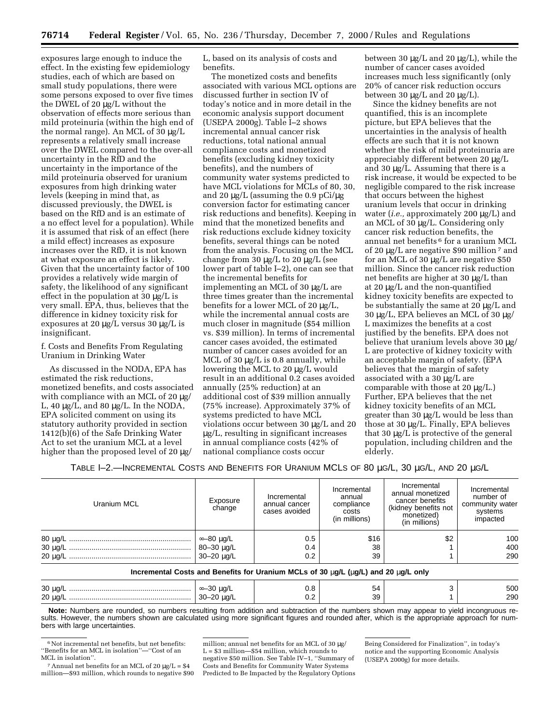exposures large enough to induce the effect. In the existing few epidemiology studies, each of which are based on small study populations, there were some persons exposed to over five times the DWEL of 20 µg/L without the observation of effects more serious than mild proteinuria (within the high end of the normal range). An MCL of 30 µg/L represents a relatively small increase over the DWEL compared to the over-all uncertainty in the RfD and the uncertainty in the importance of the mild proteinuria observed for uranium exposures from high drinking water levels (keeping in mind that, as discussed previously, the DWEL is based on the RfD and is an estimate of a no effect level for a population). While it is assumed that risk of an effect (here a mild effect) increases as exposure increases over the RfD, it is not known at what exposure an effect is likely. Given that the uncertainty factor of 100 provides a relatively wide margin of safety, the likelihood of any significant effect in the population at 30 µg/L is very small. EPA, thus, believes that the difference in kidney toxicity risk for exposures at 20 µg/L versus 30 µg/L is insignificant.

f. Costs and Benefits From Regulating Uranium in Drinking Water

As discussed in the NODA, EPA has estimated the risk reductions, monetized benefits, and costs associated with compliance with an MCL of 20  $\mu$ g/ L, 40 µg/L, and 80 µg/L. In the NODA, EPA solicited comment on using its statutory authority provided in section 1412(b)(6) of the Safe Drinking Water Act to set the uranium MCL at a level higher than the proposed level of 20 µg/

L, based on its analysis of costs and benefits.

The monetized costs and benefits associated with various MCL options are discussed further in section IV of today's notice and in more detail in the economic analysis support document (USEPA 2000g). Table I–2 shows incremental annual cancer risk reductions, total national annual compliance costs and monetized benefits (excluding kidney toxicity benefits), and the numbers of community water systems predicted to have MCL violations for MCLs of 80, 30, and 20  $\mu$ g/L (assuming the 0.9 pCi/ $\mu$ g conversion factor for estimating cancer risk reductions and benefits). Keeping in mind that the monetized benefits and risk reductions exclude kidney toxicity benefits, several things can be noted from the analysis. Focusing on the MCL change from 30  $\mu$ g/L to 20  $\mu$ g/L (see lower part of table I–2), one can see that the incremental benefits for implementing an MCL of 30 µg/L are three times greater than the incremental benefits for a lower MCL of 20 µg/L, while the incremental annual costs are much closer in magnitude (\$54 million vs. \$39 million). In terms of incremental cancer cases avoided, the estimated number of cancer cases avoided for an MCL of 30  $\mu$ g/L is 0.8 annually, while lowering the MCL to 20 µg/L would result in an additional 0.2 cases avoided annually (25% reduction) at an additional cost of \$39 million annually (75% increase). Approximately 37% of systems predicted to have MCL violations occur between 30 µg/L and 20 µg/L, resulting in significant increases in annual compliance costs (42% of national compliance costs occur

between 30 µg/L and 20 µg/L), while the number of cancer cases avoided increases much less significantly (only 20% of cancer risk reduction occurs between 30  $\mu$ g/L and 20  $\mu$ g/L).

Since the kidney benefits are not quantified, this is an incomplete picture, but EPA believes that the uncertainties in the analysis of health effects are such that it is not known whether the risk of mild proteinuria are appreciably different between 20 µg/L and 30 µg/L. Assuming that there is a risk increase, it would be expected to be negligible compared to the risk increase that occurs between the highest uranium levels that occur in drinking water (*i.e.,* approximately 200 µg/L) and an MCL of 30 µg/L. Considering only cancer risk reduction benefits, the annual net benefits <sup>6</sup> for a uranium MCL of 20 µg/L are negative \$90 million 7 and for an MCL of 30 µg/L are negative \$50 million. Since the cancer risk reduction net benefits are higher at 30 µg/L than at 20 µg/L and the non-quantified kidney toxicity benefits are expected to be substantially the same at 20 µg/L and 30 µg/L, EPA believes an MCL of 30 µg/ L maximizes the benefits at a cost justified by the benefits. EPA does not believe that uranium levels above 30 µg/ L are protective of kidney toxicity with an acceptable margin of safety. (EPA believes that the margin of safety associated with a 30 µg/L are comparable with those at  $20 \mu g/L$ . Further, EPA believes that the net kidney toxicity benefits of an MCL greater than 30 µg/L would be less than those at 30 µg/L. Finally, EPA believes that 30 µg/L is protective of the general population, including children and the elderly.

TABLE I–2.—INCREMENTAL COSTS AND BENEFITS FOR URANIUM MCLS OF 80 µG/L, 30 µG/L, AND 20 µG/L

| Uranium MCL                                                                     | Exposure<br>change | Incremental<br>annual cancer<br>cases avoided | Incremental<br>annual<br>compliance<br>costs<br>(in millions) | Incremental<br>annual monetized<br>cancer benefits<br>(kidney benefits not<br>monetized)<br>(in millions) | Incremental<br>number of<br>community water<br>systems<br>impacted |
|---------------------------------------------------------------------------------|--------------------|-----------------------------------------------|---------------------------------------------------------------|-----------------------------------------------------------------------------------------------------------|--------------------------------------------------------------------|
|                                                                                 | ∞–80 μg/L          | 0.5                                           | \$16                                                          | \$2                                                                                                       | 100                                                                |
|                                                                                 | 80-30 μg/L         | 0.4                                           | 38                                                            |                                                                                                           | 400                                                                |
|                                                                                 | 30-20 ug/L         | 0.2                                           | 39                                                            |                                                                                                           | 290                                                                |
| becomed the cost Departure of the Heating MOLe of 20 and Links and 20 and costs |                    |                                               |                                                               |                                                                                                           |                                                                    |

### **Incremental Costs and Benefits for Uranium MCLs of 30** µ**g/L (**µ**g/L) and 20** µ**g/L only**

| 30 <sub>II</sub><br>ັ | $\infty$ - | . .<br>v.o | 54<br>$\sim$ $\sim$ | 500             |
|-----------------------|------------|------------|---------------------|-----------------|
| 20 ug                 | ⊽⊽         | ◡…         | 39                  | 29 <sup>c</sup> |
|                       |            |            |                     |                 |

**Note:** Numbers are rounded, so numbers resulting from addition and subtraction of the numbers shown may appear to yield incongruous results. However, the numbers shown are calculated using more significant figures and rounded after, which is the appropriate approach for numbers with large uncertainties.

 $7$  Annual net benefits for an MCL of 20  $\mu$ g/L = \$4 million—\$93 million, which rounds to negative \$90 million; annual net benefits for an MCL of 30 µg/  $L = $3$  million— $$54$  million, which rounds to negative \$50 million. See Table IV–1, ''Summary of Costs and Benefits for Community Water Systems Predicted to Be Impacted by the Regulatory Options

Being Considered for Finalization'', in today's notice and the supporting Economic Analysis (USEPA 2000g) for more details.

 $^{\rm 6}$  Not incremental net benefits, but net benefits: ''Benefits for an MCL in isolation''—''Cost of an MCL in isolation''.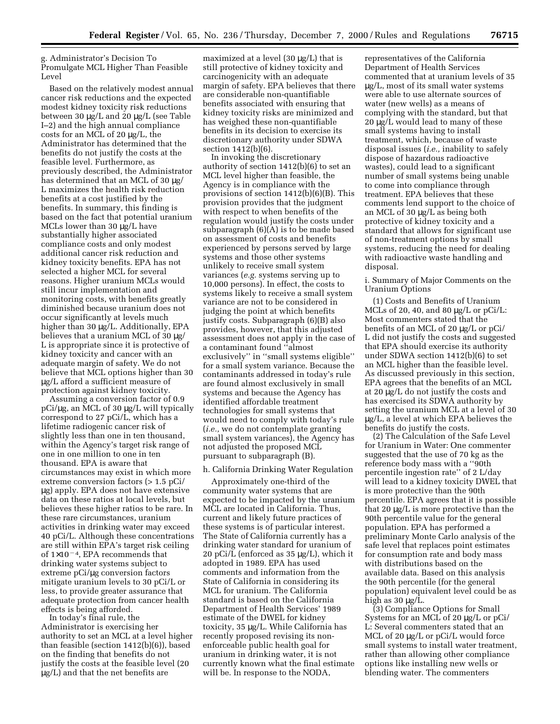g. Administrator's Decision To Promulgate MCL Higher Than Feasible Level

Based on the relatively modest annual cancer risk reductions and the expected modest kidney toxicity risk reductions between 30 µg/L and 20 µg/L (see Table I–2) and the high annual compliance costs for an MCL of 20 µg/L, the Administrator has determined that the benefits do not justify the costs at the feasible level. Furthermore, as previously described, the Administrator has determined that an MCL of 30 μg/ L maximizes the health risk reduction benefits at a cost justified by the benefits. In summary, this finding is based on the fact that potential uranium MCLs lower than 30 μg/L have substantially higher associated compliance costs and only modest additional cancer risk reduction and kidney toxicity benefits. EPA has not selected a higher MCL for several reasons. Higher uranium MCLs would still incur implementation and monitoring costs, with benefits greatly diminished because uranium does not occur significantly at levels much higher than 30 µg/L. Additionally, EPA believes that a uranium MCL of 30 µg/ L is appropriate since it is protective of kidney toxicity and cancer with an adequate margin of safety. We do not believe that MCL options higher than 30 µg/L afford a sufficient measure of protection against kidney toxicity.

Assuming a conversion factor of 0.9 pCi/µg, an MCL of 30 µg/L will typically correspond to 27 pCi/L, which has a lifetime radiogenic cancer risk of slightly less than one in ten thousand, within the Agency's target risk range of one in one million to one in ten thousand. EPA is aware that circumstances may exist in which more extreme conversion factors (> 1.5 pCi/ µg) apply. EPA does not have extensive data on these ratios at local levels, but believes these higher ratios to be rare. In these rare circumstances, uranium activities in drinking water may exceed 40 pCi/L. Although these concentrations are still within EPA's target risk ceiling of  $1\times10^{-4}$ , EPA recommends that drinking water systems subject to extreme pCi/µg conversion factors mitigate uranium levels to 30 pCi/L or less, to provide greater assurance that adequate protection from cancer health effects is being afforded.

In today's final rule, the Administrator is exercising her authority to set an MCL at a level higher than feasible (section 1412(b)(6)), based on the finding that benefits do not justify the costs at the feasible level (20 µg/L) and that the net benefits are

maximized at a level (30 µg/L) that is still protective of kidney toxicity and carcinogenicity with an adequate margin of safety. EPA believes that there are considerable non-quantifiable benefits associated with ensuring that kidney toxicity risks are minimized and has weighed these non-quantifiable benefits in its decision to exercise its discretionary authority under SDWA section 1412(b)(6).

In invoking the discretionary authority of section 1412(b)(6) to set an MCL level higher than feasible, the Agency is in compliance with the provisions of section 1412(b)(6)(B). This provision provides that the judgment with respect to when benefits of the regulation would justify the costs under subparagraph  $(6)(A)$  is to be made based on assessment of costs and benefits experienced by persons served by large systems and those other systems unlikely to receive small system variances (*e.g.* systems serving up to 10,000 persons). In effect, the costs to systems likely to receive a small system variance are not to be considered in judging the point at which benefits justify costs. Subparagraph (6)(B) also provides, however, that this adjusted assessment does not apply in the case of a contaminant found ''almost exclusively'' in ''small systems eligible'' for a small system variance. Because the contaminants addressed in today's rule are found almost exclusively in small systems and because the Agency has identified affordable treatment technologies for small systems that would need to comply with today's rule (*i.e.,* we do not contemplate granting small system variances), the Agency has not adjusted the proposed MCL pursuant to subparagraph (B).

#### h. California Drinking Water Regulation

Approximately one-third of the community water systems that are expected to be impacted by the uranium MCL are located in California. Thus, current and likely future practices of these systems is of particular interest. The State of California currently has a drinking water standard for uranium of 20 pCi/L (enforced as 35 µg/L), which it adopted in 1989. EPA has used comments and information from the State of California in considering its MCL for uranium. The California standard is based on the California Department of Health Services' 1989 estimate of the DWEL for kidney toxicity, 35 µg/L. While California has recently proposed revising its nonenforceable public health goal for uranium in drinking water, it is not currently known what the final estimate will be. In response to the NODA,

representatives of the California Department of Health Services commented that at uranium levels of 35 µg/L, most of its small water systems were able to use alternate sources of water (new wells) as a means of complying with the standard, but that 20 µg/L would lead to many of these small systems having to install treatment, which, because of waste disposal issues (*i.e.,* inability to safely dispose of hazardous radioactive wastes), could lead to a significant number of small systems being unable to come into compliance through treatment. EPA believes that these comments lend support to the choice of an MCL of 30 µg/L as being both protective of kidney toxicity and a standard that allows for significant use of non-treatment options by small systems, reducing the need for dealing with radioactive waste handling and disposal.

i. Summary of Major Comments on the Uranium Options

(1) Costs and Benefits of Uranium MCLs of 20, 40, and 80 µg/L or pCi/L: Most commenters stated that the benefits of an MCL of 20 µg/L or pCi/ L did not justify the costs and suggested that EPA should exercise its authority under SDWA section 1412(b)(6) to set an MCL higher than the feasible level. As discussed previously in this section, EPA agrees that the benefits of an MCL at 20 µg/L do not justify the costs and has exercised its SDWA authority by setting the uranium MCL at a level of 30 µg/L, a level at which EPA believes the benefits do justify the costs.

(2) The Calculation of the Safe Level for Uranium in Water: One commenter suggested that the use of 70 kg as the reference body mass with a ''90th percentile ingestion rate'' of 2 L/day will lead to a kidney toxicity DWEL that is more protective than the 90th percentile. EPA agrees that it is possible that 20 µg/L is more protective than the 90th percentile value for the general population. EPA has performed a preliminary Monte Carlo analysis of the safe level that replaces point estimates for consumption rate and body mass with distributions based on the available data. Based on this analysis the 90th percentile (for the general population) equivalent level could be as high as  $30 \mu g/L$ .

(3) Compliance Options for Small Systems for an MCL of 20 µg/L or pCi/ L: Several commenters stated that an MCL of 20  $\mu$ g/L or pCi/L would force small systems to install water treatment, rather than allowing other compliance options like installing new wells or blending water. The commenters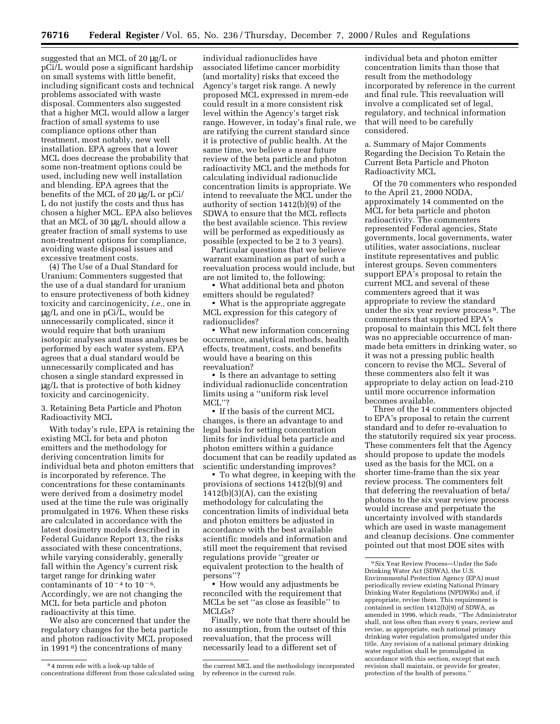suggested that an MCL of 20 µg/L or pCi/L would pose a significant hardship on small systems with little benefit, including significant costs and technical problems associated with waste disposal. Commenters also suggested that a higher MCL would allow a larger fraction of small systems to use compliance options other than treatment, most notably, new well installation. EPA agrees that a lower MCL does decrease the probability that some non-treatment options could be used, including new well installation and blending. EPA agrees that the benefits of the MCL of 20 µg/L or pCi/ L do not justify the costs and thus has chosen a higher MCL. EPA also believes that an MCL of 30 µg/L should allow a greater fraction of small systems to use non-treatment options for compliance, avoiding waste disposal issues and excessive treatment costs.

(4) The Use of a Dual Standard for Uranium: Commenters suggested that the use of a dual standard for uranium to ensure protectiveness of both kidney toxicity and carcinogenicity, *i.e.,* one in µg/L and one in pCi/L, would be unnecessarily complicated, since it would require that both uranium isotopic analyses and mass analyses be performed by each water system. EPA agrees that a dual standard would be unnecessarily complicated and has chosen a single standard expressed in µg/L that is protective of both kidney toxicity and carcinogenicity.

### 3. Retaining Beta Particle and Photon Radioactivity MCL

With today's rule, EPA is retaining the existing MCL for beta and photon emitters and the methodology for deriving concentration limits for individual beta and photon emitters that is incorporated by reference. The concentrations for these contaminants were derived from a dosimetry model used at the time the rule was originally promulgated in 1976. When these risks are calculated in accordance with the latest dosimetry models described in Federal Guidance Report 13, the risks associated with these concentrations, while varying considerably, generally fall within the Agency's current risk target range for drinking water contaminants of  $10^{-4}$  to  $10^{-6}$ . Accordingly, we are not changing the MCL for beta particle and photon radioactivity at this time.

We also are concerned that under the regulatory changes for the beta particle and photon radioactivity MCL proposed in 1991 8) the concentrations of many

individual radionuclides have associated lifetime cancer morbidity (and mortality) risks that exceed the Agency's target risk range. A newly proposed MCL expressed in mrem-ede could result in a more consistent risk level within the Agency's target risk range. However, in today's final rule, we are ratifying the current standard since it is protective of public health. At the same time, we believe a near future review of the beta particle and photon radioactivity MCL and the methods for calculating individual radionuclide concentration limits is appropriate. We intend to reevaluate the MCL under the authority of section 1412(b)(9) of the SDWA to ensure that the MCL reflects the best available science. This review will be performed as expeditiously as possible (expected to be 2 to 3 years).

Particular questions that we believe warrant examination as part of such a reevaluation process would include, but are not limited to, the following:

• What additional beta and photon emitters should be regulated?

• What is the appropriate aggregate MCL expression for this category of radionuclides?

• What new information concerning occurrence, analytical methods, health effects, treatment, costs, and benefits would have a bearing on this reevaluation?

• Is there an advantage to setting individual radionuclide concentration limits using a ''uniform risk level MCL''?

• If the basis of the current MCL changes, is there an advantage to and legal basis for setting concentration limits for individual beta particle and photon emitters within a guidance document that can be readily updated as scientific understanding improves?

• To what degree, in keeping with the provisions of sections 1412(b)(9) and  $1412(b)(3)(A)$ , can the existing methodology for calculating the concentration limits of individual beta and photon emitters be adjusted in accordance with the best available scientific models and information and still meet the requirement that revised regulations provide ''greater or equivalent protection to the health of persons''?

• How would any adjustments be reconciled with the requirement that MCLs be set ''as close as feasible'' to MCLGs?

Finally, we note that there should be no assumption, from the outset of this reevaluation, that the process will necessarily lead to a different set of

individual beta and photon emitter concentration limits than those that result from the methodology incorporated by reference in the current and final rule. This reevaluation will involve a complicated set of legal, regulatory, and technical information that will need to be carefully considered.

a. Summary of Major Comments Regarding the Decision To Retain the Current Beta Particle and Photon Radioactivity MCL

Of the 70 commenters who responded to the April 21, 2000 NODA, approximately 14 commented on the MCL for beta particle and photon radioactivity. The commenters represented Federal agencies, State governments, local governments, water utilities, water associations, nuclear institute representatives and public interest groups. Seven commenters support EPA's proposal to retain the current MCL and several of these commenters agreed that it was appropriate to review the standard under the six year review process 9. The commenters that supported EPA's proposal to maintain this MCL felt there was no appreciable occurrence of manmade beta emitters in drinking water, so it was not a pressing public health concern to revise the MCL. Several of these commenters also felt it was appropriate to delay action on lead-210 until more occurrence information becomes available.

Three of the 14 commenters objected to EPA's proposal to retain the current standard and to defer re-evaluation to the statutorily required six year process. These commenters felt that the Agency should propose to update the models used as the basis for the MCL on a shorter time-frame than the six year review process. The commenters felt that deferring the reevaluation of beta/ photons to the six year review process would increase and perpetuate the uncertainty involved with standards which are used in waste management and cleanup decisions. One commenter pointed out that most DOE sites with

<sup>8</sup> 4 mrem ede with a look-up table of concentrations different from those calculated using

the current MCL and the methodology incorporated by reference in the current rule.

<sup>9</sup>Six Year Review Process—Under the Safe Drinking Water Act (SDWA), the U.S. Environmental Protection Agency (EPA) must periodically review existing National Primary Drinking Water Regulations (NPDWRs) and, if appropriate, revise them. This requirement is contained in section 1412(b)(9) of SDWA, as amended in 1996, which reads, ''The Administrator shall, not less often than every 6 years, review and revise, as appropriate, each national primary drinking water regulation promulgated under this title. Any revision of a national primary drinking water regulation shall be promulgated in accordance with this section, except that each revision shall maintain, or provide for greater, protection of the health of persons.''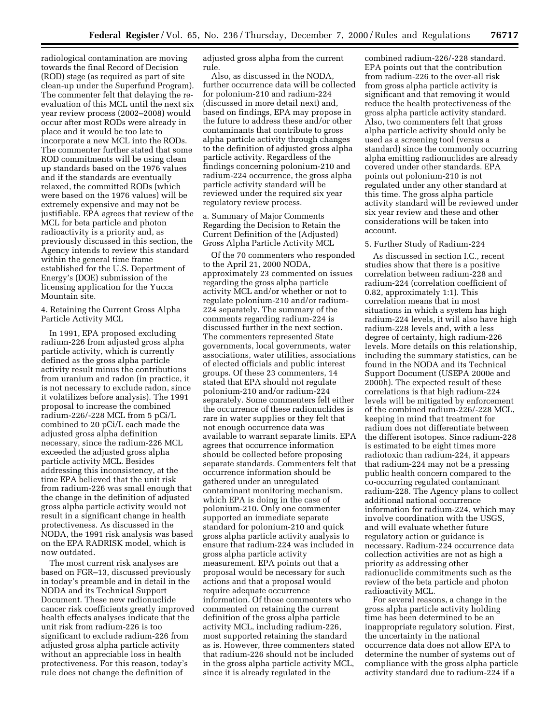radiological contamination are moving towards the final Record of Decision (ROD) stage (as required as part of site clean-up under the Superfund Program). The commenter felt that delaying the reevaluation of this MCL until the next six year review process (2002–2008) would occur after most RODs were already in place and it would be too late to incorporate a new MCL into the RODs. The commenter further stated that some ROD commitments will be using clean up standards based on the 1976 values and if the standards are eventually relaxed, the committed RODs (which were based on the 1976 values) will be extremely expensive and may not be justifiable. EPA agrees that review of the MCL for beta particle and photon radioactivity is a priority and, as previously discussed in this section, the Agency intends to review this standard within the general time frame established for the U.S. Department of Energy's (DOE) submission of the licensing application for the Yucca Mountain site.

4. Retaining the Current Gross Alpha Particle Activity MCL

In 1991, EPA proposed excluding radium-226 from adjusted gross alpha particle activity, which is currently defined as the gross alpha particle activity result minus the contributions from uranium and radon (in practice, it is not necessary to exclude radon, since it volatilizes before analysis). The 1991 proposal to increase the combined radium-226/-228 MCL from 5 pCi/L combined to 20 pCi/L each made the adjusted gross alpha definition necessary, since the radium-226 MCL exceeded the adjusted gross alpha particle activity MCL. Besides addressing this inconsistency, at the time EPA believed that the unit risk from radium-226 was small enough that the change in the definition of adjusted gross alpha particle activity would not result in a significant change in health protectiveness. As discussed in the NODA, the 1991 risk analysis was based on the EPA RADRISK model, which is now outdated.

The most current risk analyses are based on FGR–13, discussed previously in today's preamble and in detail in the NODA and its Technical Support Document. These new radionuclide cancer risk coefficients greatly improved health effects analyses indicate that the unit risk from radium-226 is too significant to exclude radium-226 from adjusted gross alpha particle activity without an appreciable loss in health protectiveness. For this reason, today's rule does not change the definition of

adjusted gross alpha from the current rule.

Also, as discussed in the NODA, further occurrence data will be collected for polonium-210 and radium-224 (discussed in more detail next) and, based on findings, EPA may propose in the future to address these and/or other contaminants that contribute to gross alpha particle activity through changes to the definition of adjusted gross alpha particle activity. Regardless of the findings concerning polonium-210 and radium-224 occurrence, the gross alpha particle activity standard will be reviewed under the required six year regulatory review process.

a. Summary of Major Comments Regarding the Decision to Retain the Current Definition of the (Adjusted) Gross Alpha Particle Activity MCL

Of the 70 commenters who responded to the April 21, 2000 NODA, approximately 23 commented on issues regarding the gross alpha particle activity MCL and/or whether or not to regulate polonium-210 and/or radium-224 separately. The summary of the comments regarding radium-224 is discussed further in the next section. The commenters represented State governments, local governments, water associations, water utilities, associations of elected officials and public interest groups. Of these 23 commenters, 14 stated that EPA should not regulate polonium-210 and/or radium-224 separately. Some commenters felt either the occurrence of these radionuclides is rare in water supplies or they felt that not enough occurrence data was available to warrant separate limits. EPA agrees that occurrence information should be collected before proposing separate standards. Commenters felt that occurrence information should be gathered under an unregulated contaminant monitoring mechanism, which EPA is doing in the case of polonium-210. Only one commenter supported an immediate separate standard for polonium-210 and quick gross alpha particle activity analysis to ensure that radium-224 was included in gross alpha particle activity measurement. EPA points out that a proposal would be necessary for such actions and that a proposal would require adequate occurrence information. Of those commenters who commented on retaining the current definition of the gross alpha particle activity MCL, including radium-226, most supported retaining the standard as is. However, three commenters stated that radium-226 should not be included in the gross alpha particle activity MCL, since it is already regulated in the

combined radium-226/-228 standard. EPA points out that the contribution from radium-226 to the over-all risk from gross alpha particle activity is significant and that removing it would reduce the health protectiveness of the gross alpha particle activity standard. Also, two commenters felt that gross alpha particle activity should only be used as a screening tool (versus a standard) since the commonly occurring alpha emitting radionuclides are already covered under other standards. EPA points out polonium-210 is not regulated under any other standard at this time. The gross alpha particle activity standard will be reviewed under six year review and these and other considerations will be taken into account.

### 5. Further Study of Radium-224

As discussed in section I.C., recent studies show that there is a positive correlation between radium-228 and radium-224 (correlation coefficient of 0.82, approximately 1:1). This correlation means that in most situations in which a system has high radium-224 levels, it will also have high radium-228 levels and, with a less degree of certainty, high radium-226 levels. More details on this relationship, including the summary statistics, can be found in the NODA and its Technical Support Document (USEPA 2000e and 2000h). The expected result of these correlations is that high radium-224 levels will be mitigated by enforcement of the combined radium-226/-228 MCL, keeping in mind that treatment for radium does not differentiate between the different isotopes. Since radium-228 is estimated to be eight times more radiotoxic than radium-224, it appears that radium-224 may not be a pressing public health concern compared to the co-occurring regulated contaminant radium-228. The Agency plans to collect additional national occurrence information for radium-224, which may involve coordination with the USGS, and will evaluate whether future regulatory action or guidance is necessary. Radium-224 occurrence data collection activities are not as high a priority as addressing other radionuclide commitments such as the review of the beta particle and photon radioactivity MCL.

For several reasons, a change in the gross alpha particle activity holding time has been determined to be an inappropriate regulatory solution. First, the uncertainty in the national occurrence data does not allow EPA to determine the number of systems out of compliance with the gross alpha particle activity standard due to radium-224 if a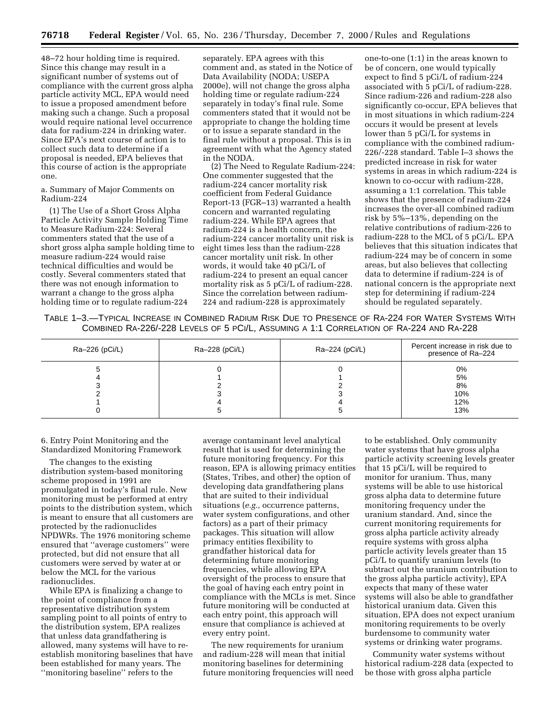48–72 hour holding time is required. Since this change may result in a significant number of systems out of compliance with the current gross alpha particle activity MCL, EPA would need to issue a proposed amendment before making such a change. Such a proposal would require national level occurrence data for radium-224 in drinking water. Since EPA's next course of action is to collect such data to determine if a proposal is needed, EPA believes that this course of action is the appropriate one.

a. Summary of Major Comments on Radium-224

(1) The Use of a Short Gross Alpha Particle Activity Sample Holding Time to Measure Radium-224: Several commenters stated that the use of a short gross alpha sample holding time to measure radium-224 would raise technical difficulties and would be costly. Several commenters stated that there was not enough information to warrant a change to the gross alpha holding time or to regulate radium-224

separately. EPA agrees with this comment and, as stated in the Notice of Data Availability (NODA; USEPA 2000e), will not change the gross alpha holding time or regulate radium-224 separately in today's final rule. Some commenters stated that it would not be appropriate to change the holding time or to issue a separate standard in the final rule without a proposal. This is in agreement with what the Agency stated in the NODA.

(2) The Need to Regulate Radium-224: One commenter suggested that the radium-224 cancer mortality risk coefficient from Federal Guidance Report-13 (FGR–13) warranted a health concern and warranted regulating radium-224. While EPA agrees that radium-224 is a health concern, the radium-224 cancer mortality unit risk is eight times less than the radium-228 cancer mortality unit risk. In other words, it would take 40 pCi/L of radium-224 to present an equal cancer mortality risk as 5 pCi/L of radium-228. Since the correlation between radium-224 and radium-228 is approximately

one-to-one (1:1) in the areas known to be of concern, one would typically expect to find 5 pCi/L of radium-224 associated with 5 pCi/L of radium-228. Since radium-226 and radium-228 also significantly co-occur, EPA believes that in most situations in which radium-224 occurs it would be present at levels lower than 5 pCi/L for systems in compliance with the combined radium-226/-228 standard. Table I–3 shows the predicted increase in risk for water systems in areas in which radium-224 is known to co-occur with radium-228, assuming a 1:1 correlation. This table shows that the presence of radium-224 increases the over-all combined radium risk by 5%–13%, depending on the relative contributions of radium-226 to radium-228 to the MCL of 5 pCi/L. EPA believes that this situation indicates that radium-224 may be of concern in some areas, but also believes that collecting data to determine if radium-224 is of national concern is the appropriate next step for determining if radium-224 should be regulated separately.

TABLE 1–3.—TYPICAL INCREASE IN COMBINED RADIUM RISK DUE TO PRESENCE OF RA-224 FOR WATER SYSTEMS WITH COMBINED RA-226/-228 LEVELS OF 5 PCI/L, ASSUMING A 1:1 CORRELATION OF RA-224 AND RA-228

| Ra-226 (pCi/L) | Ra-228 (pCi/L) | Ra-224 (pCi/L) | Percent increase in risk due to<br>presence of Ra-224 |
|----------------|----------------|----------------|-------------------------------------------------------|
|                | ວ              |                | 0%<br>5%<br>8%<br>10%<br>12%<br>13%                   |

6. Entry Point Monitoring and the Standardized Monitoring Framework

The changes to the existing distribution system-based monitoring scheme proposed in 1991 are promulgated in today's final rule. New monitoring must be performed at entry points to the distribution system, which is meant to ensure that all customers are protected by the radionuclides NPDWRs. The 1976 monitoring scheme ensured that ''average customers'' were protected, but did not ensure that all customers were served by water at or below the MCL for the various radionuclides.

While EPA is finalizing a change to the point of compliance from a representative distribution system sampling point to all points of entry to the distribution system, EPA realizes that unless data grandfathering is allowed, many systems will have to reestablish monitoring baselines that have been established for many years. The ''monitoring baseline'' refers to the

average contaminant level analytical result that is used for determining the future monitoring frequency. For this reason, EPA is allowing primacy entities (States, Tribes, and other) the option of developing data grandfathering plans that are suited to their individual situations (*e.g.,* occurrence patterns, water system configurations, and other factors) as a part of their primacy packages. This situation will allow primacy entities flexibility to grandfather historical data for determining future monitoring frequencies, while allowing EPA oversight of the process to ensure that the goal of having each entry point in compliance with the MCLs is met. Since future monitoring will be conducted at each entry point, this approach will ensure that compliance is achieved at every entry point.

The new requirements for uranium and radium-228 will mean that initial monitoring baselines for determining future monitoring frequencies will need to be established. Only community water systems that have gross alpha particle activity screening levels greater that 15 pCi/L will be required to monitor for uranium. Thus, many systems will be able to use historical gross alpha data to determine future monitoring frequency under the uranium standard. And, since the current monitoring requirements for gross alpha particle activity already require systems with gross alpha particle activity levels greater than 15 pCi/L to quantify uranium levels (to subtract out the uranium contribution to the gross alpha particle activity), EPA expects that many of these water systems will also be able to grandfather historical uranium data. Given this situation, EPA does not expect uranium monitoring requirements to be overly burdensome to community water systems or drinking water programs.

Community water systems without historical radium-228 data (expected to be those with gross alpha particle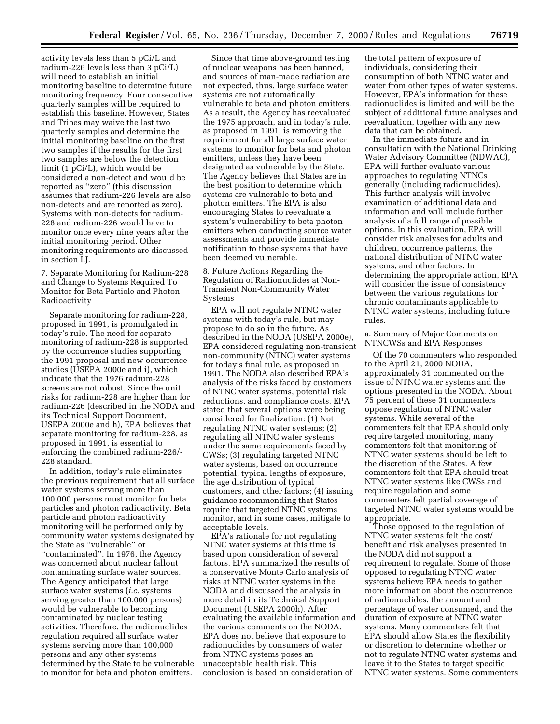activity levels less than 5 pCi/L and radium-226 levels less than 3 pCi/L) will need to establish an initial monitoring baseline to determine future monitoring frequency. Four consecutive quarterly samples will be required to establish this baseline. However, States and Tribes may waive the last two quarterly samples and determine the initial monitoring baseline on the first two samples if the results for the first two samples are below the detection limit (1 pCi/L), which would be considered a non-detect and would be reported as ''zero'' (this discussion assumes that radium-226 levels are also non-detects and are reported as zero). Systems with non-detects for radium-228 and radium-226 would have to monitor once every nine years after the initial monitoring period. Other monitoring requirements are discussed in section I.J.

7. Separate Monitoring for Radium-228 and Change to Systems Required To Monitor for Beta Particle and Photon Radioactivity

Separate monitoring for radium-228, proposed in 1991, is promulgated in today's rule. The need for separate monitoring of radium-228 is supported by the occurrence studies supporting the 1991 proposal and new occurrence studies (USEPA 2000e and i), which indicate that the 1976 radium-228 screens are not robust. Since the unit risks for radium-228 are higher than for radium-226 (described in the NODA and its Technical Support Document, USEPA 2000e and h), EPA believes that separate monitoring for radium-228, as proposed in 1991, is essential to enforcing the combined radium-226/- 228 standard.

In addition, today's rule eliminates the previous requirement that all surface water systems serving more than 100,000 persons must monitor for beta particles and photon radioactivity. Beta particle and photon radioactivity monitoring will be performed only by community water systems designated by the State as ''vulnerable'' or ''contaminated''. In 1976, the Agency was concerned about nuclear fallout contaminating surface water sources. The Agency anticipated that large surface water systems (*i.e.* systems serving greater than 100,000 persons) would be vulnerable to becoming contaminated by nuclear testing activities. Therefore, the radionuclides regulation required all surface water systems serving more than 100,000 persons and any other systems determined by the State to be vulnerable to monitor for beta and photon emitters.

Since that time above-ground testing of nuclear weapons has been banned, and sources of man-made radiation are not expected, thus, large surface water systems are not automatically vulnerable to beta and photon emitters. As a result, the Agency has reevaluated the 1975 approach, and in today's rule, as proposed in 1991, is removing the requirement for all large surface water systems to monitor for beta and photon emitters, unless they have been designated as vulnerable by the State. The Agency believes that States are in the best position to determine which systems are vulnerable to beta and photon emitters. The EPA is also encouraging States to reevaluate a system's vulnerability to beta photon emitters when conducting source water assessments and provide immediate notification to those systems that have been deemed vulnerable.

8. Future Actions Regarding the Regulation of Radionuclides at Non-Transient Non-Community Water Systems

EPA will not regulate NTNC water systems with today's rule, but may propose to do so in the future. As described in the NODA (USEPA 2000e), EPA considered regulating non-transient non-community (NTNC) water systems for today's final rule, as proposed in 1991. The NODA also described EPA's analysis of the risks faced by customers of NTNC water systems, potential risk reductions, and compliance costs. EPA stated that several options were being considered for finalization: (1) Not regulating NTNC water systems; (2) regulating all NTNC water systems under the same requirements faced by CWSs; (3) regulating targeted NTNC water systems, based on occurrence potential, typical lengths of exposure, the age distribution of typical customers, and other factors; (4) issuing guidance recommending that States require that targeted NTNC systems monitor, and in some cases, mitigate to acceptable levels.

EPA's rationale for not regulating NTNC water systems at this time is based upon consideration of several factors. EPA summarized the results of a conservative Monte Carlo analysis of risks at NTNC water systems in the NODA and discussed the analysis in more detail in its Technical Support Document (USEPA 2000h). After evaluating the available information and the various comments on the NODA, EPA does not believe that exposure to radionuclides by consumers of water from NTNC systems poses an unacceptable health risk. This conclusion is based on consideration of

the total pattern of exposure of individuals, considering their consumption of both NTNC water and water from other types of water systems. However, EPA's information for these radionuclides is limited and will be the subject of additional future analyses and reevaluation, together with any new data that can be obtained.

In the immediate future and in consultation with the National Drinking Water Advisory Committee (NDWAC), EPA will further evaluate various approaches to regulating NTNCs generally (including radionuclides). This further analysis will involve examination of additional data and information and will include further analysis of a full range of possible options. In this evaluation, EPA will consider risk analyses for adults and children, occurrence patterns, the national distribution of NTNC water systems, and other factors. In determining the appropriate action, EPA will consider the issue of consistency between the various regulations for chronic contaminants applicable to NTNC water systems, including future rules.

a. Summary of Major Comments on NTNCWSs and EPA Responses

Of the 70 commenters who responded to the April 21, 2000 NODA, approximately 31 commented on the issue of NTNC water systems and the options presented in the NODA. About 75 percent of these 31 commenters oppose regulation of NTNC water systems. While several of the commenters felt that EPA should only require targeted monitoring, many commenters felt that monitoring of NTNC water systems should be left to the discretion of the States. A few commenters felt that EPA should treat NTNC water systems like CWSs and require regulation and some commenters felt partial coverage of targeted NTNC water systems would be appropriate.

Those opposed to the regulation of NTNC water systems felt the cost/ benefit and risk analyses presented in the NODA did not support a requirement to regulate. Some of those opposed to regulating NTNC water systems believe EPA needs to gather more information about the occurrence of radionuclides, the amount and percentage of water consumed, and the duration of exposure at NTNC water systems. Many commenters felt that EPA should allow States the flexibility or discretion to determine whether or not to regulate NTNC water systems and leave it to the States to target specific NTNC water systems. Some commenters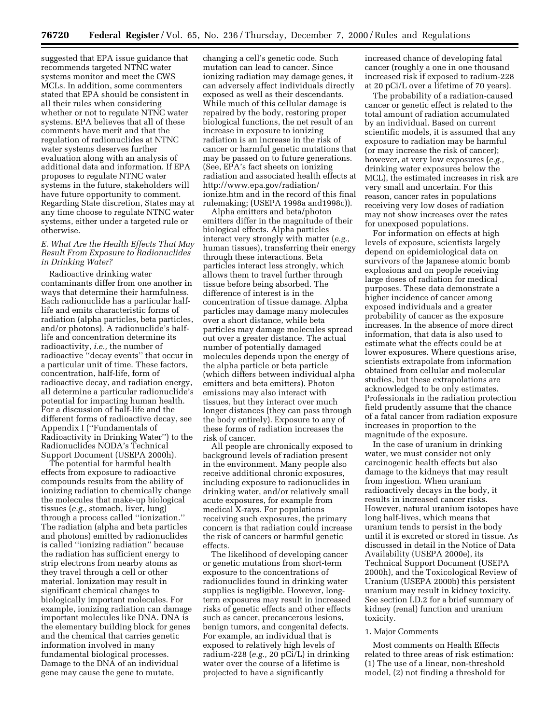suggested that EPA issue guidance that recommends targeted NTNC water systems monitor and meet the CWS MCLs. In addition, some commenters stated that EPA should be consistent in all their rules when considering whether or not to regulate NTNC water systems. EPA believes that all of these comments have merit and that the regulation of radionuclides at NTNC water systems deserves further evaluation along with an analysis of additional data and information. If EPA proposes to regulate NTNC water systems in the future, stakeholders will have future opportunity to comment. Regarding State discretion, States may at any time choose to regulate NTNC water systems, either under a targeted rule or otherwise.

### *E. What Are the Health Effects That May Result From Exposure to Radionuclides in Drinking Water?*

Radioactive drinking water contaminants differ from one another in ways that determine their harmfulness. Each radionuclide has a particular halflife and emits characteristic forms of radiation (alpha particles, beta particles, and/or photons). A radionuclide's halflife and concentration determine its radioactivity, *i.e.,* the number of radioactive ''decay events'' that occur in a particular unit of time. These factors, concentration, half-life, form of radioactive decay, and radiation energy, all determine a particular radionuclide's potential for impacting human health. For a discussion of half-life and the different forms of radioactive decay, see Appendix I (''Fundamentals of Radioactivity in Drinking Water'') to the Radionuclides NODA's Technical Support Document (USEPA 2000h).

The potential for harmful health effects from exposure to radioactive compounds results from the ability of ionizing radiation to chemically change the molecules that make-up biological tissues (*e.g.,* stomach, liver, lung) through a process called ''ionization.'' The radiation (alpha and beta particles and photons) emitted by radionuclides is called ''ionizing radiation'' because the radiation has sufficient energy to strip electrons from nearby atoms as they travel through a cell or other material. Ionization may result in significant chemical changes to biologically important molecules. For example, ionizing radiation can damage important molecules like DNA. DNA is the elementary building block for genes and the chemical that carries genetic information involved in many fundamental biological processes. Damage to the DNA of an individual gene may cause the gene to mutate,

changing a cell's genetic code. Such mutation can lead to cancer. Since ionizing radiation may damage genes, it can adversely affect individuals directly exposed as well as their descendants. While much of this cellular damage is repaired by the body, restoring proper biological functions, the net result of an increase in exposure to ionizing radiation is an increase in the risk of cancer or harmful genetic mutations that may be passed on to future generations. (See, EPA's fact sheets on ionizing radiation and associated health effects at http://www.epa.gov/radiation/ ionize.htm and in the record of this final rulemaking; (USEPA 1998a and1998c)).

Alpha emitters and beta/photon emitters differ in the magnitude of their biological effects. Alpha particles interact very strongly with matter (*e.g.,* human tissues), transferring their energy through these interactions. Beta particles interact less strongly, which allows them to travel further through tissue before being absorbed. The difference of interest is in the concentration of tissue damage. Alpha particles may damage many molecules over a short distance, while beta particles may damage molecules spread out over a greater distance. The actual number of potentially damaged molecules depends upon the energy of the alpha particle or beta particle (which differs between individual alpha emitters and beta emitters). Photon emissions may also interact with tissues, but they interact over much longer distances (they can pass through the body entirely). Exposure to any of these forms of radiation increases the risk of cancer.

All people are chronically exposed to background levels of radiation present in the environment. Many people also receive additional chronic exposures, including exposure to radionuclides in drinking water, and/or relatively small acute exposures, for example from medical X-rays. For populations receiving such exposures, the primary concern is that radiation could increase the risk of cancers or harmful genetic effects.

The likelihood of developing cancer or genetic mutations from short-term exposure to the concentrations of radionuclides found in drinking water supplies is negligible. However, longterm exposures may result in increased risks of genetic effects and other effects such as cancer, precancerous lesions, benign tumors, and congenital defects. For example, an individual that is exposed to relatively high levels of radium-228 (*e.g.,* 20 pCi/L) in drinking water over the course of a lifetime is projected to have a significantly

increased chance of developing fatal cancer (roughly a one in one thousand increased risk if exposed to radium-228 at 20 pCi/L over a lifetime of 70 years).

The probability of a radiation-caused cancer or genetic effect is related to the total amount of radiation accumulated by an individual. Based on current scientific models, it is assumed that any exposure to radiation may be harmful (or may increase the risk of cancer); however, at very low exposures (*e.g.,* drinking water exposures below the MCL), the estimated increases in risk are very small and uncertain. For this reason, cancer rates in populations receiving very low doses of radiation may not show increases over the rates for unexposed populations.

For information on effects at high levels of exposure, scientists largely depend on epidemiological data on survivors of the Japanese atomic bomb explosions and on people receiving large doses of radiation for medical purposes. These data demonstrate a higher incidence of cancer among exposed individuals and a greater probability of cancer as the exposure increases. In the absence of more direct information, that data is also used to estimate what the effects could be at lower exposures. Where questions arise, scientists extrapolate from information obtained from cellular and molecular studies, but these extrapolations are acknowledged to be only estimates. Professionals in the radiation protection field prudently assume that the chance of a fatal cancer from radiation exposure increases in proportion to the magnitude of the exposure.

In the case of uranium in drinking water, we must consider not only carcinogenic health effects but also damage to the kidneys that may result from ingestion. When uranium radioactively decays in the body, it results in increased cancer risks. However, natural uranium isotopes have long half-lives, which means that uranium tends to persist in the body until it is excreted or stored in tissue. As discussed in detail in the Notice of Data Availability (USEPA 2000e), its Technical Support Document (USEPA 2000h), and the Toxicological Review of Uranium (USEPA 2000b) this persistent uranium may result in kidney toxicity. See section I.D.2 for a brief summary of kidney (renal) function and uranium toxicity.

### 1. Major Comments

Most comments on Health Effects related to three areas of risk estimation: (1) The use of a linear, non-threshold model, (2) not finding a threshold for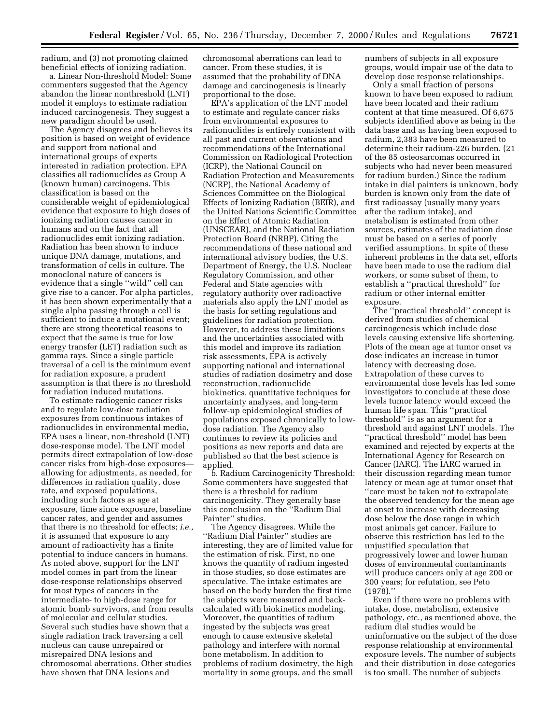radium, and (3) not promoting claimed beneficial effects of ionizing radiation.

a. Linear Non-threshold Model: Some commenters suggested that the Agency abandon the linear nonthreshold (LNT) model it employs to estimate radiation induced carcinogenesis. They suggest a new paradigm should be used.

The Agency disagrees and believes its position is based on weight of evidence and support from national and international groups of experts interested in radiation protection. EPA classifies all radionuclides as Group A (known human) carcinogens. This classification is based on the considerable weight of epidemiological evidence that exposure to high doses of ionizing radiation causes cancer in humans and on the fact that all radionuclides emit ionizing radiation. Radiation has been shown to induce unique DNA damage, mutations, and transformation of cells in culture. The monoclonal nature of cancers is evidence that a single ''wild'' cell can give rise to a cancer. For alpha particles, it has been shown experimentally that a single alpha passing through a cell is sufficient to induce a mutational event; there are strong theoretical reasons to expect that the same is true for low energy transfer (LET) radiation such as gamma rays. Since a single particle traversal of a cell is the minimum event for radiation exposure, a prudent assumption is that there is no threshold for radiation induced mutations.

To estimate radiogenic cancer risks and to regulate low-dose radiation exposures from continuous intakes of radionuclides in environmental media, EPA uses a linear, non-threshold (LNT) dose-response model. The LNT model permits direct extrapolation of low-dose cancer risks from high-dose exposures allowing for adjustments, as needed, for differences in radiation quality, dose rate, and exposed populations, including such factors as age at exposure, time since exposure, baseline cancer rates, and gender and assumes that there is no threshold for effects; *i.e.,* it is assumed that exposure to any amount of radioactivity has a finite potential to induce cancers in humans. As noted above, support for the LNT model comes in part from the linear dose-response relationships observed for most types of cancers in the intermediate- to high-dose range for atomic bomb survivors, and from results of molecular and cellular studies. Several such studies have shown that a single radiation track traversing a cell nucleus can cause unrepaired or misrepaired DNA lesions and chromosomal aberrations. Other studies have shown that DNA lesions and

chromosomal aberrations can lead to cancer. From these studies, it is assumed that the probability of DNA damage and carcinogenesis is linearly proportional to the dose.

EPA's application of the LNT model to estimate and regulate cancer risks from environmental exposures to radionuclides is entirely consistent with all past and current observations and recommendations of the International Commission on Radiological Protection (ICRP), the National Council on Radiation Protection and Measurements (NCRP), the National Academy of Sciences Committee on the Biological Effects of Ionizing Radiation (BEIR), and the United Nations Scientific Committee on the Effect of Atomic Radiation (UNSCEAR), and the National Radiation Protection Board (NRBP). Citing the recommendations of these national and international advisory bodies, the U.S. Department of Energy, the U.S. Nuclear Regulatory Commission, and other Federal and State agencies with regulatory authority over radioactive materials also apply the LNT model as the basis for setting regulations and guidelines for radiation protection. However, to address these limitations and the uncertainties associated with this model and improve its radiation risk assessments, EPA is actively supporting national and international studies of radiation dosimetry and dose reconstruction, radionuclide biokinetics, quantitative techniques for uncertainty analyses, and long-term follow-up epidemiological studies of populations exposed chronically to lowdose radiation. The Agency also continues to review its policies and positions as new reports and data are published so that the best science is applied.

b. Radium Carcinogenicity Threshold: Some commenters have suggested that there is a threshold for radium carcinogenicity. They generally base this conclusion on the ''Radium Dial Painter'' studies.

The Agency disagrees. While the ''Radium Dial Painter'' studies are interesting, they are of limited value for the estimation of risk. First, no one knows the quantity of radium ingested in those studies, so dose estimates are speculative. The intake estimates are based on the body burden the first time the subjects were measured and backcalculated with biokinetics modeling. Moreover, the quantities of radium ingested by the subjects was great enough to cause extensive skeletal pathology and interfere with normal bone metabolism. In addition to problems of radium dosimetry, the high mortality in some groups, and the small numbers of subjects in all exposure groups, would impair use of the data to develop dose response relationships.

Only a small fraction of persons known to have been exposed to radium have been located and their radium content at that time measured. Of 6,675 subjects identified above as being in the data base and as having been exposed to radium, 2,383 have been measured to determine their radium-226 burden. (21 of the 85 osteosarcomas occurred in subjects who had never been measured for radium burden.) Since the radium intake in dial painters is unknown, body burden is known only from the date of first radioassay (usually many years after the radium intake), and metabolism is estimated from other sources, estimates of the radiation dose must be based on a series of poorly verified assumptions. In spite of these inherent problems in the data set, efforts have been made to use the radium dial workers, or some subset of them, to establish a ''practical threshold'' for radium or other internal emitter exposure.

The ''practical threshold'' concept is derived from studies of chemical carcinogenesis which include dose levels causing extensive life shortening. Plots of the mean age at tumor onset vs dose indicates an increase in tumor latency with decreasing dose. Extrapolation of these curves to environmental dose levels has led some investigators to conclude at these dose levels tumor latency would exceed the human life span. This ''practical threshold'' is as an argument for a threshold and against LNT models. The ''practical threshold'' model has been examined and rejected by experts at the International Agency for Research on Cancer (IARC). The IARC warned in their discussion regarding mean tumor latency or mean age at tumor onset that ''care must be taken not to extrapolate the observed tendency for the mean age at onset to increase with decreasing dose below the dose range in which most animals get cancer. Failure to observe this restriction has led to the unjustified speculation that progressively lower and lower human doses of environmental contaminants will produce cancers only at age 200 or 300 years; for refutation, see Peto (1978).''

Even if there were no problems with intake, dose, metabolism, extensive pathology, etc., as mentioned above, the radium dial studies would be uninformative on the subject of the dose response relationship at environmental exposure levels. The number of subjects and their distribution in dose categories is too small. The number of subjects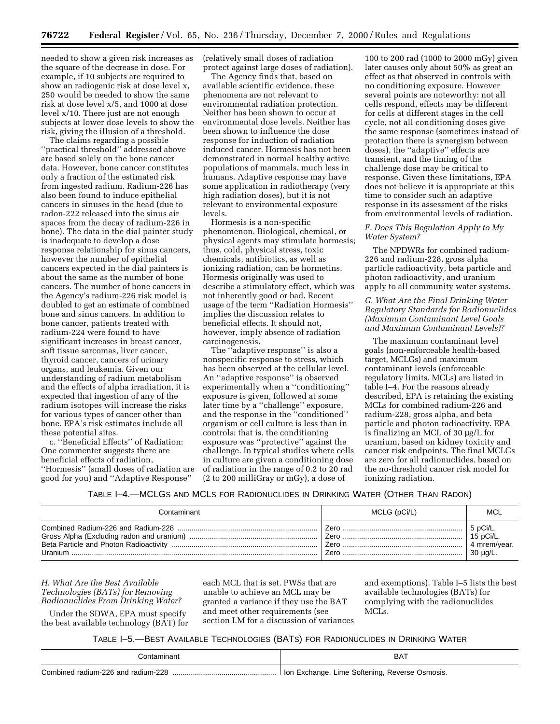needed to show a given risk increases as the square of the decrease in dose. For example, if 10 subjects are required to show an radiogenic risk at dose level x, 250 would be needed to show the same risk at dose level x/5, and 1000 at dose level x/10. There just are not enough subjects at lower dose levels to show the risk, giving the illusion of a threshold.

The claims regarding a possible ''practical threshold'' addressed above are based solely on the bone cancer data. However, bone cancer constitutes only a fraction of the estimated risk from ingested radium. Radium-226 has also been found to induce epithelial cancers in sinuses in the head (due to radon-222 released into the sinus air spaces from the decay of radium-226 in bone). The data in the dial painter study is inadequate to develop a dose response relationship for sinus cancers, however the number of epithelial cancers expected in the dial painters is about the same as the number of bone cancers. The number of bone cancers in the Agency's radium-226 risk model is doubled to get an estimate of combined bone and sinus cancers. In addition to bone cancer, patients treated with radium-224 were found to have significant increases in breast cancer, soft tissue sarcomas, liver cancer, thyroid cancer, cancers of urinary organs, and leukemia. Given our understanding of radium metabolism and the effects of alpha irradiation, it is expected that ingestion of any of the radium isotopes will increase the risks for various types of cancer other than bone. EPA's risk estimates include all these potential sites.

c. ''Beneficial Effects'' of Radiation: One commenter suggests there are beneficial effects of radiation, ''Hormesis'' (small doses of radiation are good for you) and ''Adaptive Response''

(relatively small doses of radiation protect against large doses of radiation).

The Agency finds that, based on available scientific evidence, these phenomena are not relevant to environmental radiation protection. Neither has been shown to occur at environmental dose levels. Neither has been shown to influence the dose response for induction of radiation induced cancer. Hormesis has not been demonstrated in normal healthy active populations of mammals, much less in humans. Adaptive response may have some application in radiotherapy (very high radiation doses), but it is not relevant to environmental exposure levels.

Hormesis is a non-specific phenomenon. Biological, chemical, or physical agents may stimulate hormesis; thus, cold, physical stress, toxic chemicals, antibiotics, as well as ionizing radiation, can be hormetins. Hormesis originally was used to describe a stimulatory effect, which was not inherently good or bad. Recent usage of the term ''Radiation Hormesis'' implies the discussion relates to beneficial effects. It should not, however, imply absence of radiation carcinogenesis.

The ''adaptive response'' is also a nonspecific response to stress, which has been observed at the cellular level. An ''adaptive response'' is observed experimentally when a ''conditioning'' exposure is given, followed at some later time by a ''challenge'' exposure, and the response in the ''conditioned'' organism or cell culture is less than in controls; that is, the conditioning exposure was ''protective'' against the challenge. In typical studies where cells in culture are given a conditioning dose of radiation in the range of 0.2 to 20 rad (2 to 200 milliGray or mGy), a dose of

100 to 200 rad (1000 to 2000 mGy) given later causes only about 50% as great an effect as that observed in controls with no conditioning exposure. However several points are noteworthy: not all cells respond, effects may be different for cells at different stages in the cell cycle, not all conditioning doses give the same response (sometimes instead of protection there is synergism between doses), the ''adaptive'' effects are transient, and the timing of the challenge dose may be critical to response. Given these limitations, EPA does not believe it is appropriate at this time to consider such an adaptive response in its assessment of the risks from environmental levels of radiation.

### *F. Does This Regulation Apply to My Water System?*

The NPDWRs for combined radium-226 and radium-228, gross alpha particle radioactivity, beta particle and photon radioactivity, and uranium apply to all community water systems.

### *G. What Are the Final Drinking Water Regulatory Standards for Radionuclides (Maximum Contaminant Level Goals and Maximum Contaminant Levels)?*

The maximum contaminant level goals (non-enforceable health-based target, MCLGs) and maximum contaminant levels (enforceable regulatory limits, MCLs) are listed in table I–4. For the reasons already described, EPA is retaining the existing MCLs for combined radium-226 and radium-228, gross alpha, and beta particle and photon radioactivity. EPA is finalizing an MCL of 30 µg/L for uranium, based on kidney toxicity and cancer risk endpoints. The final MCLGs are zero for all radionuclides, based on the no-threshold cancer risk model for ionizing radiation.

TABLE I–4.—MCLGS AND MCLS FOR RADIONUCLIDES IN DRINKING WATER (OTHER THAN RADON)

| Contaminant | MCLG (pCi/L) | MCL                 |
|-------------|--------------|---------------------|
|             |              | $^{\circ}$ 5 pCi/L. |
|             |              | $15$ pCi/L.         |
|             |              | 4 mrem/vear.        |
|             |              | 30 ug/L.            |

*H. What Are the Best Available Technologies (BATs) for Removing Radionuclides From Drinking Water?*

Under the SDWA, EPA must specify the best available technology (BAT) for

each MCL that is set. PWSs that are unable to achieve an MCL may be granted a variance if they use the BAT and meet other requirements (see section I.M for a discussion of variances

and exemptions). Table I–5 lists the best available technologies (BATs) for complying with the radionuclides MCLs.

TABLE I–5.—BEST AVAILABLE TECHNOLOGIES (BATS) FOR RADIONUCLIDES IN DRINKING WATER

| `∩nton<br>:amınant                          | <b>BAT</b>                                                                |  |  |
|---------------------------------------------|---------------------------------------------------------------------------|--|--|
| radium-228<br>Combined<br>radium-226<br>anc | Softening,<br>Osmosis.<br>∟ime<br>Reverse<br>lon.<br>-xchange.<br>neverse |  |  |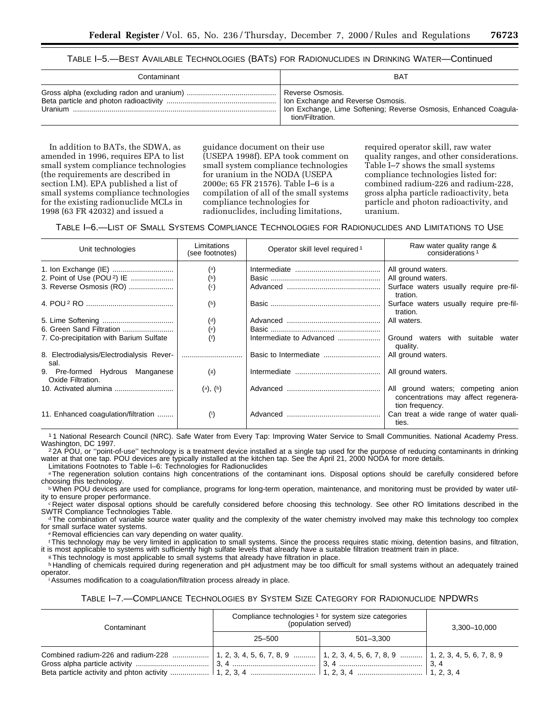TABLE I–5.—BEST AVAILABLE TECHNOLOGIES (BATS) FOR RADIONUCLIDES IN DRINKING WATER—Continued

| Contaminant | <b>BAT</b>                                                                                               |
|-------------|----------------------------------------------------------------------------------------------------------|
| Uranium     | Reverse Osmosis.<br>lon Exchange, Lime Softening; Reverse Osmosis, Enhanced Coagula-<br>tion/Filtration. |

In addition to BATs, the SDWA, as amended in 1996, requires EPA to list small system compliance technologies (the requirements are described in section I.M). EPA published a list of small systems compliance technologies for the existing radionuclide MCLs in 1998 (63 FR 42032) and issued a

guidance document on their use (USEPA 1998f). EPA took comment on small system compliance technologies for uranium in the NODA (USEPA 2000e; 65 FR 21576). Table I–6 is a compilation of all of the small systems compliance technologies for radionuclides, including limitations,

required operator skill, raw water quality ranges, and other considerations. Table I–7 shows the small systems compliance technologies listed for: combined radium-226 and radium-228, gross alpha particle radioactivity, beta particle and photon radioactivity, and uranium.

TABLE I–6.—LIST OF SMALL SYSTEMS COMPLIANCE TECHNOLOGIES FOR RADIONUCLIDES AND LIMITATIONS TO USE

| Unit technologies                                    | Limitations<br>(see footnotes) | Operator skill level required <sup>1</sup> | Raw water quality range &<br>considerations <sup>1</sup>                                     |
|------------------------------------------------------|--------------------------------|--------------------------------------------|----------------------------------------------------------------------------------------------|
|                                                      | $\binom{a}{b}$                 |                                            | All ground waters.                                                                           |
| 2. Point of Use (POU <sup>2</sup> ) IE               | $(b)$                          |                                            | All ground waters.                                                                           |
| 3. Reverse Osmosis (RO)                              | $\binom{c}{c}$                 |                                            | Surface waters usually require pre-fil-<br>tration.                                          |
|                                                      | $(\mathbf{b})$                 |                                            | Surface waters usually require pre-fil-<br>tration.                                          |
|                                                      | $\binom{d}{ }$                 |                                            | All waters.                                                                                  |
|                                                      | (e)                            |                                            |                                                                                              |
| 7. Co-precipitation with Barium Sulfate              |                                | Intermediate to Advanced                   | Ground waters<br>with suitable<br>water<br>quality.                                          |
| 8. Electrodialysis/Electrodialysis Rever-<br>sal.    |                                |                                            | All ground waters.                                                                           |
| 9. Pre-formed Hydrous Manganese<br>Oxide Filtration. | $(\mathrm{s})$                 |                                            | All ground waters.                                                                           |
|                                                      | (a), (h)                       |                                            | All ground waters; competing anion<br>concentrations may affect regenera-<br>tion frequency. |
| 11. Enhanced coagulation/filtration                  | (i)                            |                                            | Can treat a wide range of water quali-<br>ties.                                              |

<sup>1</sup>1 National Research Council (NRC). Safe Water from Every Tap: Improving Water Service to Small Communities. National Academy Press.<br>Washington, DC 1997.

22A POU, or "point-of-use" technology is a treatment device installed at a single tap used for the purpose of reducing contaminants in drinking water at that one tap. POU devices are typically installed at the kitchen tap. See the April 21, 2000 NODA for more details.

Limitations Footnotes to Table I–6: Technologies for Radionuclides

aThe regeneration solution contains high concentrations of the contaminant ions. Disposal options should be carefully considered before choosing this technology.

**bWhen POU devices are used for compliance, programs for long-term operation, maintenance, and monitoring must be provided by water util**ity to ensure proper performance.

c Reject water disposal options should be carefully considered before choosing this technology. See other RO limitations described in the SWTR Compliance Technologies Table.

<sup>d</sup>The combination of variable source water quality and the complexity of the water chemistry involved may make this technology too complex for small surface water systems.

e Removal efficiencies can vary depending on water quality.

fThis technology may be very limited in application to small systems. Since the process requires static mixing, detention basins, and filtration, it is most applicable to systems with sufficiently high sulfate levels that already have a suitable filtration treatment train in place.

gThis technology is most applicable to small systems that already have filtration in place.

h Handling of chemicals required during regeneration and pH adjustment may be too difficult for small systems without an adequately trained operator.

<sup>i</sup> Assumes modification to a coagulation/filtration process already in place.

### TABLE I–7.—COMPLIANCE TECHNOLOGIES BY SYSTEM SIZE CATEGORY FOR RADIONUCLIDE NPDWRS

| Contaminant | Compliance technologies <sup>1</sup> for system size categories<br>(population served) | 3.300-10.000 |  |
|-------------|----------------------------------------------------------------------------------------|--------------|--|
|             | $25 - 500$                                                                             | 501-3.300    |  |
|             |                                                                                        |              |  |
|             |                                                                                        |              |  |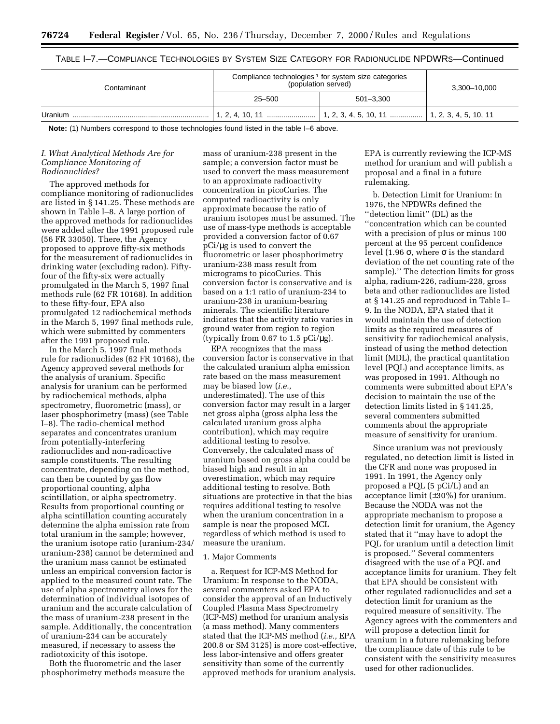TABLE I–7.—COMPLIANCE TECHNOLOGIES BY SYSTEM SIZE CATEGORY FOR RADIONUCLIDE NPDWRS—Continued

| Contaminant | Compliance technologies <sup>1</sup> for system size categories<br>(population served) | 3,300-10,000                                                                            |  |  |
|-------------|----------------------------------------------------------------------------------------|-----------------------------------------------------------------------------------------|--|--|
|             | $25 - 500$                                                                             | $501 - 3,300$                                                                           |  |  |
| Uranium     |                                                                                        | $\mid$ 1, 2, 4, 10, 11 ………………………   1, 2, 3, 4, 5, 10, 11 ………………   1, 2, 3, 4, 5, 10, 11 |  |  |

**Note:** (1) Numbers correspond to those technologies found listed in the table I–6 above.

### *I. What Analytical Methods Are for Compliance Monitoring of Radionuclides?*

The approved methods for compliance monitoring of radionuclides are listed in § 141.25. These methods are shown in Table I–8. A large portion of the approved methods for radionuclides were added after the 1991 proposed rule (56 FR 33050). There, the Agency proposed to approve fifty-six methods for the measurement of radionuclides in drinking water (excluding radon). Fiftyfour of the fifty-six were actually promulgated in the March 5, 1997 final methods rule (62 FR 10168). In addition to these fifty-four, EPA also promulgated 12 radiochemical methods in the March 5, 1997 final methods rule, which were submitted by commenters after the 1991 proposed rule.

In the March 5, 1997 final methods rule for radionuclides (62 FR 10168), the Agency approved several methods for the analysis of uranium. Specific analysis for uranium can be performed by radiochemical methods, alpha spectrometry, fluorometric (mass), or laser phosphorimetry (mass) (see Table I–8). The radio-chemical method separates and concentrates uranium from potentially-interfering radionuclides and non-radioactive sample constituents. The resulting concentrate, depending on the method, can then be counted by gas flow proportional counting, alpha scintillation, or alpha spectrometry. Results from proportional counting or alpha scintillation counting accurately determine the alpha emission rate from total uranium in the sample; however, the uranium isotope ratio (uranium-234/ uranium-238) cannot be determined and the uranium mass cannot be estimated unless an empirical conversion factor is applied to the measured count rate. The use of alpha spectrometry allows for the determination of individual isotopes of uranium and the accurate calculation of the mass of uranium-238 present in the sample. Additionally, the concentration of uranium-234 can be accurately measured, if necessary to assess the radiotoxicity of this isotope.

Both the fluorometric and the laser phosphorimetry methods measure the

mass of uranium-238 present in the sample; a conversion factor must be used to convert the mass measurement to an approximate radioactivity concentration in picoCuries. The computed radioactivity is only approximate because the ratio of uranium isotopes must be assumed. The use of mass-type methods is acceptable provided a conversion factor of 0.67 pCi/µg is used to convert the fluorometric or laser phosphorimetry uranium-238 mass result from micrograms to picoCuries. This conversion factor is conservative and is based on a 1:1 ratio of uranium-234 to uranium-238 in uranium-bearing minerals. The scientific literature indicates that the activity ratio varies in ground water from region to region (typically from  $0.67$  to  $1.5$  pCi/ $\mu$ g).

EPA recognizes that the mass conversion factor is conservative in that the calculated uranium alpha emission rate based on the mass measurement may be biased low (*i.e.,* underestimated). The use of this conversion factor may result in a larger net gross alpha (gross alpha less the calculated uranium gross alpha contribution), which may require additional testing to resolve. Conversely, the calculated mass of uranium based on gross alpha could be biased high and result in an overestimation, which may require additional testing to resolve. Both situations are protective in that the bias requires additional testing to resolve when the uranium concentration in a sample is near the proposed MCL regardless of which method is used to measure the uranium.

### 1. Major Comments

a. Request for ICP-MS Method for Uranium: In response to the NODA, several commenters asked EPA to consider the approval of an Inductively Coupled Plasma Mass Spectrometry (ICP-MS) method for uranium analysis (a mass method). Many commenters stated that the ICP-MS method (*i.e.,* EPA 200.8 or SM 3125) is more cost-effective, less labor-intensive and offers greater sensitivity than some of the currently approved methods for uranium analysis.

EPA is currently reviewing the ICP-MS method for uranium and will publish a proposal and a final in a future rulemaking.

b. Detection Limit for Uranium: In 1976, the NPDWRs defined the ''detection limit'' (DL) as the ''concentration which can be counted with a precision of plus or minus 100 percent at the 95 percent confidence level (1.96  $\sigma$ , where  $\sigma$  is the standard deviation of the net counting rate of the sample).'' The detection limits for gross alpha, radium-226, radium-228, gross beta and other radionuclides are listed at § 141.25 and reproduced in Table I– 9. In the NODA, EPA stated that it would maintain the use of detection limits as the required measures of sensitivity for radiochemical analysis, instead of using the method detection limit (MDL), the practical quantitation level (PQL) and acceptance limits, as was proposed in 1991. Although no comments were submitted about EPA's decision to maintain the use of the detection limits listed in § 141.25, several commenters submitted comments about the appropriate measure of sensitivity for uranium.

Since uranium was not previously regulated, no detection limit is listed in the CFR and none was proposed in 1991. In 1991, the Agency only proposed a PQL (5 pCi/L) and an acceptance limit (±30%) for uranium. Because the NODA was not the appropriate mechanism to propose a detection limit for uranium, the Agency stated that it ''may have to adopt the PQL for uranium until a detection limit is proposed.'' Several commenters disagreed with the use of a PQL and acceptance limits for uranium. They felt that EPA should be consistent with other regulated radionuclides and set a detection limit for uranium as the required measure of sensitivity. The Agency agrees with the commenters and will propose a detection limit for uranium in a future rulemaking before the compliance date of this rule to be consistent with the sensitivity measures used for other radionuclides.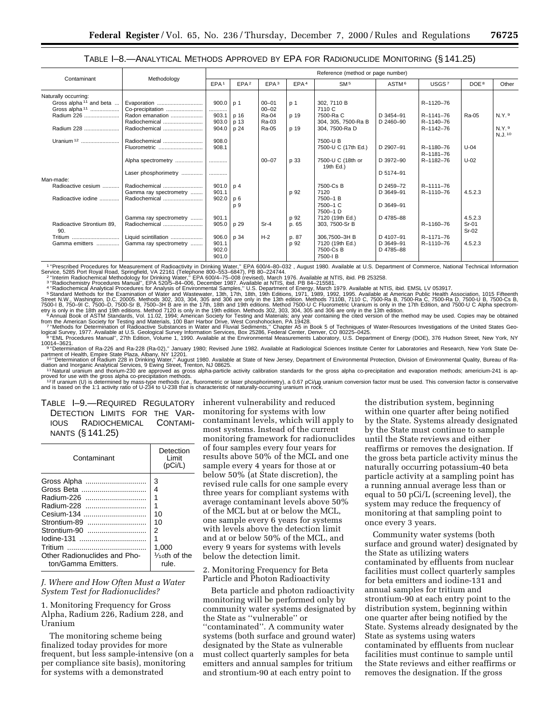### TABLE I–8.—ANALYTICAL METHODS APPROVED BY EPA FOR RADIONUCLIDE MONITORING (§ 141.25)

|                                                                 |                                 | Reference (method or page number) |                  |                        |                  |                                          |                        |                        |                  |                  |  |
|-----------------------------------------------------------------|---------------------------------|-----------------------------------|------------------|------------------------|------------------|------------------------------------------|------------------------|------------------------|------------------|------------------|--|
| Contaminant                                                     | Methodology                     | EPA <sup>1</sup>                  | EPA <sup>2</sup> | EPA <sup>3</sup>       | EPA <sup>4</sup> | SM <sub>5</sub>                          | ASTM <sup>6</sup>      | USGS7                  | DOE <sup>8</sup> | Other            |  |
| Naturally occurring:                                            |                                 |                                   |                  |                        |                  |                                          |                        |                        |                  |                  |  |
| Gross alpha <sup>11</sup> and beta<br>Gross alpha <sup>11</sup> | Evaporation<br>Co-precipitation | $900.0$ p 1<br>.                  |                  | $00 - 01$<br>$00 - 02$ | p 1              | 302, 7110 B<br>7110 C                    |                        | R-1120-76              |                  |                  |  |
| Radium 226                                                      | Radon emanation                 | 903.1                             | p 16             | Ra-04                  | p 19             | 7500-Ra C                                | D 3454-91              | R-1141-76              | Ra-05            | N.Y.9            |  |
|                                                                 | Radiochemical                   | 903.0                             | p 13             | Ra-03                  |                  | 304, 305, 7500-Ra B                      | D 2460-90              | R-1140-76              |                  |                  |  |
| Radium 228                                                      | Radiochemical                   | 904.0                             | p 24             | Ra-05                  | p 19             | 304, 7500-Ra D                           |                        | R-1142-76              |                  | N.Y.9<br>N.J. 10 |  |
| Uranium <sup>12</sup>                                           | Radiochemical                   | 908.0                             |                  |                        |                  | 7500-U B                                 |                        |                        |                  |                  |  |
|                                                                 | Fluorometric                    | 908.1                             |                  |                        |                  | 7500-U C (17th Ed.)                      | D 2907-91              | R-1180-76<br>R-1181-76 | $U-04$           |                  |  |
|                                                                 |                                 |                                   |                  | $00 - 07$              | p 33             | 7500-U C (18th or<br>19th Ed.)           | D 3972-90              | R-1182-76              | $U-02$           |                  |  |
|                                                                 | Laser phosphorimetry            | .                                 |                  |                        |                  |                                          | D 5174-91              |                        |                  |                  |  |
| Man-made:                                                       |                                 |                                   |                  |                        |                  |                                          |                        |                        |                  |                  |  |
| Radioactive cesium                                              | Radiochemical                   | $901.0$ p 4                       |                  |                        |                  | 7500-Cs B                                | D 2459-72              | R-1111-76              |                  |                  |  |
|                                                                 | Gamma ray spectrometry          | 901.1                             |                  |                        | p 92             | 7120                                     | D 3649-91              | R-1110-76              | 4.5.2.3          |                  |  |
| Radioactive iodine                                              | Radiochemical                   | 902.0                             | p6               |                        |                  | 7500-1B                                  |                        |                        |                  |                  |  |
|                                                                 |                                 |                                   | p 9              |                        |                  | 7500-1 C<br>7500-1D                      | D 3649-91              |                        |                  |                  |  |
|                                                                 | Gamma ray spectrometry          | 901.1                             |                  |                        | p 92             | 7120 (19th Ed.)                          | D 4785-88              |                        | 4.5.2.3          |                  |  |
| Radioactive Strontium 89,<br>90.                                | Radiochemical                   | 905.0                             | p 29             | $Sr-4$                 | p. 65            | 303, 7500-Sr B                           |                        | R-1160-76              | $Sr-01$<br>Sr-02 |                  |  |
| Tritium                                                         | Liquid scintillation            | 906.0                             | p 34             | $H-2$                  | p. 87            | 306.7500-3H B                            | D 4107-91              | R-1171-76              |                  |                  |  |
| Gamma emitters                                                  | Gamma ray spectrometry          | 901.1<br>902.0<br>901.0           |                  |                        | p 92             | 7120 (19th Ed.)<br>7500-Cs B<br>7500-I B | D 3649-91<br>D 4785-88 | R-1110-76              | 4.5.2.3          |                  |  |

<sup>1</sup> "Prescribed Procedures for Measurement of Radioactivity in Drinking Water," EPA 600/4–80–032 , August 1980. Available at U.S. Department of Commerce, National Technical Information<br>Service, 5285 Port Royal Road, Spring

<sup>4</sup> "Radiochemical Analytical Procedures for Analysis of Environmental Samples," U.S. Department of Energy, March 1979. Available at NTIS, ibid. EMSL LV 053917.<br><sup>5</sup> Standard Methods for the Examination of Water and Wastewa

from the American Society for Testing and Materials, 100 Barr Harbor Drive, West Conshohocken, PA 19428.<br>7 "Methods for Determination of Radioactive Substances in Water and Fluvial Sediments," Chapter A5 in Book 5 of Techn logical Survey, 1977. Available at U.S. Geological Survey Information Services, Box 25286, Federal Center, Denver, CO 80225–0425.<br><sup>8 "</sup>EML Procedures Manual", 27th Edition, Volume 1, 1990. Available at the Environmental Me

10014–3621.<br>Pithermination of Ra-226 and Ra-228 (Ra-02),'' January 1980; Revised June 1982. Available at Radiological Sciences Institute Center for Laboratories and Research, New York State De-

partment of Health, Empire State Plaza, Albany, NY 12201.<br>10 "Determination of Radium 228 in Drinking Water," August 1980. Available at State of New Jersey, Department of Environmental Protection, Division of Environmental

diation and Inorganic Analytical Services, 9 Ewing Street, Trenton, NJ 08625.<br>11 Natural uranium and thorium-230 are approved as gross alpha-particle activity calibration standards for the gross alpha co-precipitation and

proved for use with the gross alpha co-precipitation methods.<br>+ 1º If uranium (U) is determined by mass-type methods (*i.e.*, fluorometric or laser phosphorimetry), a 0.67 pCi/µg uranium conversion factor must be used. Thi

TABLE I–9.—REQUIRED REGULATORY DETECTION LIMITS FOR THE VAR-IOUS RADIOCHEMICAL CONTAMI-NANTS (§ 141.25)

| Contaminant                  | Detection<br>Limit<br>(pCi/L) |
|------------------------------|-------------------------------|
|                              | 3                             |
| Gross Beta                   | 4                             |
| Radium-226                   | 1                             |
| Radium-228                   | 1                             |
| Cesium-134                   | 10                            |
|                              | 10                            |
| Strontium-90                 | 2                             |
|                              |                               |
| Tritium                      | 1.000                         |
| Other Radionuclides and Pho- | $1/1$ <sub>o</sub> th of the  |
| ton/Gamma Emitters.          | rule.                         |

### *J. Where and How Often Must a Water System Test for Radionuclides?*

1. Monitoring Frequency for Gross Alpha, Radium 226, Radium 228, and Uranium

The monitoring scheme being finalized today provides for more frequent, but less sample-intensive (on a per compliance site basis), monitoring for systems with a demonstrated

inherent vulnerability and reduced monitoring for systems with low contaminant levels, which will apply to most systems. Instead of the current monitoring framework for radionuclides of four samples every four years for results above 50% of the MCL and one sample every 4 years for those at or below 50% (at State discretion), the revised rule calls for one sample every three years for compliant systems with average contaminant levels above 50% of the MCL but at or below the MCL, one sample every 6 years for systems with levels above the detection limit and at or below 50% of the MCL, and every 9 years for systems with levels below the detection limit.

2. Monitoring Frequency for Beta Particle and Photon Radioactivity

Beta particle and photon radioactivity monitoring will be performed only by community water systems designated by the State as ''vulnerable'' or ''contaminated''. A community water systems (both surface and ground water) designated by the State as vulnerable must collect quarterly samples for beta emitters and annual samples for tritium and strontium-90 at each entry point to

the distribution system, beginning within one quarter after being notified by the State. Systems already designated by the State must continue to sample until the State reviews and either reaffirms or removes the designation. If the gross beta particle activity minus the naturally occurring potassium-40 beta particle activity at a sampling point has a running annual average less than or equal to 50 pCi/L (screening level), the system may reduce the frequency of monitoring at that sampling point to once every 3 years.

Community water systems (both surface and ground water) designated by the State as utilizing waters contaminated by effluents from nuclear facilities must collect quarterly samples for beta emitters and iodine-131 and annual samples for tritium and strontium-90 at each entry point to the distribution system, beginning within one quarter after being notified by the State. Systems already designated by the State as systems using waters contaminated by effluents from nuclear facilities must continue to sample until the State reviews and either reaffirms or removes the designation. If the gross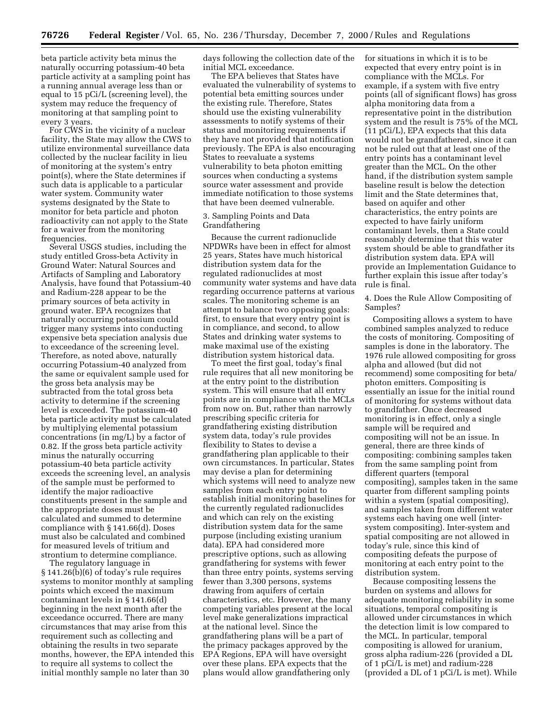beta particle activity beta minus the naturally occurring potassium-40 beta particle activity at a sampling point has a running annual average less than or equal to 15 pCi/L (screening level), the system may reduce the frequency of monitoring at that sampling point to every 3 years.

For CWS in the vicinity of a nuclear facility, the State may allow the CWS to utilize environmental surveillance data collected by the nuclear facility in lieu of monitoring at the system's entry point(s), where the State determines if such data is applicable to a particular water system. Community water systems designated by the State to monitor for beta particle and photon radioactivity can not apply to the State for a waiver from the monitoring frequencies.

Several USGS studies, including the study entitled Gross-beta Activity in Ground Water: Natural Sources and Artifacts of Sampling and Laboratory Analysis, have found that Potassium-40 and Radium-228 appear to be the primary sources of beta activity in ground water. EPA recognizes that naturally occurring potassium could trigger many systems into conducting expensive beta speciation analysis due to exceedance of the screening level. Therefore, as noted above, naturally occurring Potassium-40 analyzed from the same or equivalent sample used for the gross beta analysis may be subtracted from the total gross beta activity to determine if the screening level is exceeded. The potassium-40 beta particle activity must be calculated by multiplying elemental potassium concentrations (in mg/L) by a factor of 0.82. If the gross beta particle activity minus the naturally occurring potassium-40 beta particle activity exceeds the screening level, an analysis of the sample must be performed to identify the major radioactive constituents present in the sample and the appropriate doses must be calculated and summed to determine compliance with § 141.66(d). Doses must also be calculated and combined for measured levels of tritium and strontium to determine compliance.

The regulatory language in § 141.26(b)(6) of today's rule requires systems to monitor monthly at sampling points which exceed the maximum contaminant levels in § 141.66(d) beginning in the next month after the exceedance occurred. There are many circumstances that may arise from this requirement such as collecting and obtaining the results in two separate months, however, the EPA intended this to require all systems to collect the initial monthly sample no later than 30

days following the collection date of the initial MCL exceedance.

The EPA believes that States have evaluated the vulnerability of systems to potential beta emitting sources under the existing rule. Therefore, States should use the existing vulnerability assessments to notify systems of their status and monitoring requirements if they have not provided that notification previously. The EPA is also encouraging States to reevaluate a systems vulnerability to beta photon emitting sources when conducting a systems source water assessment and provide immediate notification to those systems that have been deemed vulnerable.

### 3. Sampling Points and Data Grandfathering

Because the current radionuclide NPDWRs have been in effect for almost 25 years, States have much historical distribution system data for the regulated radionuclides at most community water systems and have data regarding occurrence patterns at various scales. The monitoring scheme is an attempt to balance two opposing goals: first, to ensure that every entry point is in compliance, and second, to allow States and drinking water systems to make maximal use of the existing distribution system historical data.

To meet the first goal, today's final rule requires that all new monitoring be at the entry point to the distribution system. This will ensure that all entry points are in compliance with the MCLs from now on. But, rather than narrowly prescribing specific criteria for grandfathering existing distribution system data, today's rule provides flexibility to States to devise a grandfathering plan applicable to their own circumstances. In particular, States may devise a plan for determining which systems will need to analyze new samples from each entry point to establish initial monitoring baselines for the currently regulated radionuclides and which can rely on the existing distribution system data for the same purpose (including existing uranium data). EPA had considered more prescriptive options, such as allowing grandfathering for systems with fewer than three entry points, systems serving fewer than 3,300 persons, systems drawing from aquifers of certain characteristics, etc. However, the many competing variables present at the local level make generalizations impractical at the national level. Since the grandfathering plans will be a part of the primacy packages approved by the EPA Regions, EPA will have oversight over these plans. EPA expects that the plans would allow grandfathering only

for situations in which it is to be expected that every entry point is in compliance with the MCLs. For example, if a system with five entry points (all of significant flows) has gross alpha monitoring data from a representative point in the distribution system and the result is 75% of the MCL (11 pCi/L), EPA expects that this data would not be grandfathered, since it can not be ruled out that at least one of the entry points has a contaminant level greater than the MCL. On the other hand, if the distribution system sample baseline result is below the detection limit and the State determines that, based on aquifer and other characteristics, the entry points are expected to have fairly uniform contaminant levels, then a State could reasonably determine that this water system should be able to grandfather its distribution system data. EPA will provide an Implementation Guidance to further explain this issue after today's rule is final.

### 4. Does the Rule Allow Compositing of Samples?

Compositing allows a system to have combined samples analyzed to reduce the costs of monitoring. Compositing of samples is done in the laboratory. The 1976 rule allowed compositing for gross alpha and allowed (but did not recommend) some compositing for beta/ photon emitters. Compositing is essentially an issue for the initial round of monitoring for systems without data to grandfather. Once decreased monitoring is in effect, only a single sample will be required and compositing will not be an issue. In general, there are three kinds of compositing: combining samples taken from the same sampling point from different quarters (temporal compositing), samples taken in the same quarter from different sampling points within a system (spatial compositing), and samples taken from different water systems each having one well (intersystem compositing). Inter-system and spatial compositing are not allowed in today's rule, since this kind of compositing defeats the purpose of monitoring at each entry point to the distribution system.

Because compositing lessens the burden on systems and allows for adequate monitoring reliability in some situations, temporal compositing is allowed under circumstances in which the detection limit is low compared to the MCL. In particular, temporal compositing is allowed for uranium, gross alpha radium-226 (provided a DL of 1 pCi/L is met) and radium-228 (provided a DL of 1 pCi/L is met). While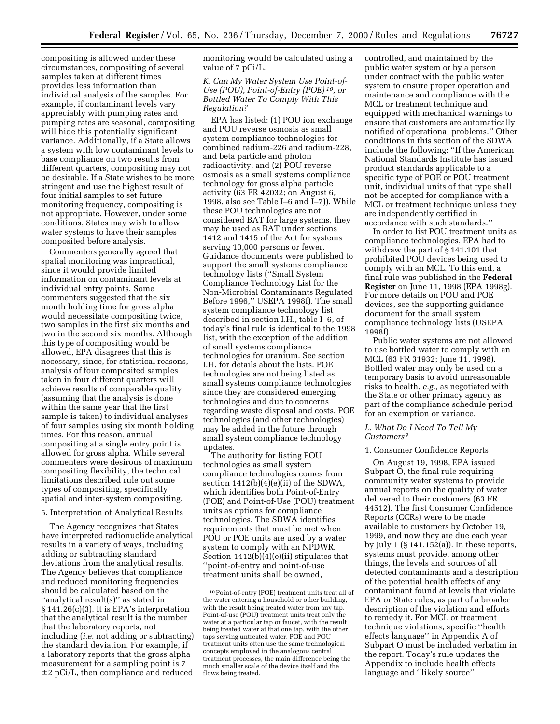compositing is allowed under these circumstances, compositing of several samples taken at different times provides less information than individual analysis of the samples. For example, if contaminant levels vary appreciably with pumping rates and pumping rates are seasonal, compositing will hide this potentially significant variance. Additionally, if a State allows a system with low contaminant levels to base compliance on two results from different quarters, compositing may not be desirable. If a State wishes to be more stringent and use the highest result of four initial samples to set future monitoring frequency, compositing is not appropriate. However, under some conditions, States may wish to allow water systems to have their samples composited before analysis.

Commenters generally agreed that spatial monitoring was impractical, since it would provide limited information on contaminant levels at individual entry points. Some commenters suggested that the six month holding time for gross alpha would necessitate compositing twice, two samples in the first six months and two in the second six months. Although this type of compositing would be allowed, EPA disagrees that this is necessary, since, for statistical reasons, analysis of four composited samples taken in four different quarters will achieve results of comparable quality (assuming that the analysis is done within the same year that the first sample is taken) to individual analyses of four samples using six month holding times. For this reason, annual compositing at a single entry point is allowed for gross alpha. While several commenters were desirous of maximum compositing flexibility, the technical limitations described rule out some types of compositing, specifically spatial and inter-system compositing.

### 5. Interpretation of Analytical Results

The Agency recognizes that States have interpreted radionuclide analytical results in a variety of ways, including adding or subtracting standard deviations from the analytical results. The Agency believes that compliance and reduced monitoring frequencies should be calculated based on the ''analytical result(s)'' as stated in § 141.26(c)(3). It is EPA's interpretation that the analytical result is the number that the laboratory reports, not including (*i.e.* not adding or subtracting) the standard deviation. For example, if a laboratory reports that the gross alpha measurement for a sampling point is 7 ± 2 pCi/L, then compliance and reduced

monitoring would be calculated using a value of 7 pCi/L.

*K. Can My Water System Use Point-of-Use (POU), Point-of-Entry (POE) 10, or Bottled Water To Comply With This Regulation?*

EPA has listed: (1) POU ion exchange and POU reverse osmosis as small system compliance technologies for combined radium-226 and radium-228, and beta particle and photon radioactivity; and (2) POU reverse osmosis as a small systems compliance technology for gross alpha particle activity (63 FR 42032; on August 6, 1998, also see Table I–6 and I–7)). While these POU technologies are not considered BAT for large systems, they may be used as BAT under sections 1412 and 1415 of the Act for systems serving 10,000 persons or fewer. Guidance documents were published to support the small systems compliance technology lists (''Small System Compliance Technology List for the Non-Microbial Contaminants Regulated Before 1996,'' USEPA 1998f). The small system compliance technology list described in section I.H., table I–6, of today's final rule is identical to the 1998 list, with the exception of the addition of small systems compliance technologies for uranium. See section I.H. for details about the lists. POE technologies are not being listed as small systems compliance technologies since they are considered emerging technologies and due to concerns regarding waste disposal and costs. POE technologies (and other technologies) may be added in the future through small system compliance technology updates.

The authority for listing POU technologies as small system compliance technologies comes from section 1412(b)(4)(e)(ii) of the SDWA, which identifies both Point-of-Entry (POE) and Point-of-Use (POU) treatment units as options for compliance technologies. The SDWA identifies requirements that must be met when POU or POE units are used by a water system to comply with an NPDWR. Section 1412(b)(4)(e)(ii) stipulates that ''point-of-entry and point-of-use treatment units shall be owned,

controlled, and maintained by the public water system or by a person under contract with the public water system to ensure proper operation and maintenance and compliance with the MCL or treatment technique and equipped with mechanical warnings to ensure that customers are automatically notified of operational problems.'' Other conditions in this section of the SDWA include the following: ''If the American National Standards Institute has issued product standards applicable to a specific type of POE or POU treatment unit, individual units of that type shall not be accepted for compliance with a MCL or treatment technique unless they are independently certified in accordance with such standards.''

In order to list POU treatment units as compliance technologies, EPA had to withdraw the part of § 141.101 that prohibited POU devices being used to comply with an MCL. To this end, a final rule was published in the **Federal Register** on June 11, 1998 (EPA 1998g). For more details on POU and POE devices, see the supporting guidance document for the small system compliance technology lists (USEPA 1998f).

Public water systems are not allowed to use bottled water to comply with an MCL (63 FR 31932; June 11, 1998). Bottled water may only be used on a temporary basis to avoid unreasonable risks to health, *e.g.,* as negotiated with the State or other primacy agency as part of the compliance schedule period for an exemption or variance.

### *L. What Do I Need To Tell My Customers?*

### 1. Consumer Confidence Reports

On August 19, 1998, EPA issued Subpart O, the final rule requiring community water systems to provide annual reports on the quality of water delivered to their customers (63 FR 44512). The first Consumer Confidence Reports (CCRs) were to be made available to customers by October 19, 1999, and now they are due each year by July 1  $(\S 141.152(a))$ . In these reports, systems must provide, among other things, the levels and sources of all detected contaminants and a description of the potential health effects of any contaminant found at levels that violate EPA or State rules, as part of a broader description of the violation and efforts to remedy it. For MCL or treatment technique violations, specific ''health effects language'' in Appendix A of Subpart O must be included verbatim in the report. Today's rule updates the Appendix to include health effects language and ''likely source''

<sup>10</sup>Point-of-entry (POE) treatment units treat all of the water entering a household or other building, with the result being treated water from any tap. Point-of-use (POU) treatment units treat only the water at a particular tap or faucet, with the result being treated water at that one tap, with the other taps serving untreated water. POE and POU treatment units often use the same technological concepts employed in the analogous central treatment processes, the main difference being the much smaller scale of the device itself and the flows being treated.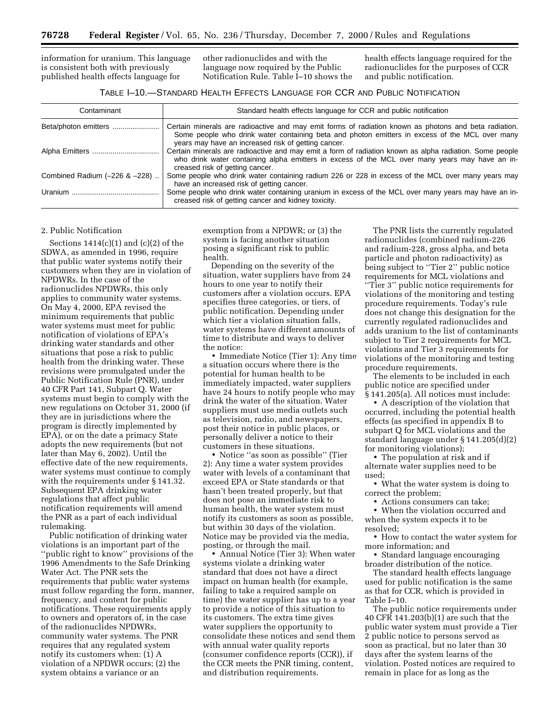information for uranium. This language is consistent both with previously published health effects language for

other radionuclides and with the language now required by the Public Notification Rule. Table I–10 shows the health effects language required for the radionuclides for the purposes of CCR and public notification.

### TABLE I–10.—STANDARD HEALTH EFFECTS LANGUAGE FOR CCR AND PUBLIC NOTIFICATION

| Contaminant                   | Standard health effects language for CCR and public notification                                                                                                                                                                                               |
|-------------------------------|----------------------------------------------------------------------------------------------------------------------------------------------------------------------------------------------------------------------------------------------------------------|
| Beta/photon emitters          | Certain minerals are radioactive and may emit forms of radiation known as photons and beta radiation.<br>Some people who drink water containing beta and photon emitters in excess of the MCL over many<br>years may have an increased risk of getting cancer. |
|                               | Certain minerals are radioactive and may emit a form of radiation known as alpha radiation. Some people<br>who drink water containing alpha emitters in excess of the MCL over many years may have an in-<br>creased risk of getting cancer.                   |
| Combined Radium (-226 & -228) | Some people who drink water containing radium 226 or 228 in excess of the MCL over many years may<br>have an increased risk of getting cancer.                                                                                                                 |
|                               | Some people who drink water containing uranium in excess of the MCL over many years may have an in-<br>creased risk of getting cancer and kidney toxicity.                                                                                                     |

### 2. Public Notification

Sections 1414(c)(1) and (c)(2) of the SDWA, as amended in 1996, require that public water systems notify their customers when they are in violation of NPDWRs. In the case of the radionuclides NPDWRs, this only applies to community water systems. On May 4, 2000, EPA revised the minimum requirements that public water systems must meet for public notification of violations of EPA's drinking water standards and other situations that pose a risk to public health from the drinking water. These revisions were promulgated under the Public Notification Rule (PNR), under 40 CFR Part 141, Subpart Q. Water systems must begin to comply with the new regulations on October 31, 2000 (if they are in jurisdictions where the program is directly implemented by EPA), or on the date a primacy State adopts the new requirements (but not later than May 6, 2002). Until the effective date of the new requirements, water systems must continue to comply with the requirements under § 141.32. Subsequent EPA drinking water regulations that affect public notification requirements will amend the PNR as a part of each individual rulemaking.

Public notification of drinking water violations is an important part of the ''public right to know'' provisions of the 1996 Amendments to the Safe Drinking Water Act. The PNR sets the requirements that public water systems must follow regarding the form, manner, frequency, and content for public notifications. These requirements apply to owners and operators of, in the case of the radionuclides NPDWRs, community water systems. The PNR requires that any regulated system notify its customers when: (1) A violation of a NPDWR occurs; (2) the system obtains a variance or an

exemption from a NPDWR; or (3) the system is facing another situation posing a significant risk to public health.

Depending on the severity of the situation, water suppliers have from 24 hours to one year to notify their customers after a violation occurs. EPA specifies three categories, or tiers, of public notification. Depending under which tier a violation situation falls, water systems have different amounts of time to distribute and ways to deliver the notice:

• Immediate Notice (Tier 1): Any time a situation occurs where there is the potential for human health to be immediately impacted, water suppliers have 24 hours to notify people who may drink the water of the situation. Water suppliers must use media outlets such as television, radio, and newspapers, post their notice in public places, or personally deliver a notice to their customers in these situations.

• Notice ''as soon as possible'' (Tier 2): Any time a water system provides water with levels of a contaminant that exceed EPA or State standards or that hasn't been treated properly, but that does not pose an immediate risk to human health, the water system must notify its customers as soon as possible, but within 30 days of the violation. Notice may be provided via the media, posting, or through the mail.

• Annual Notice (Tier 3): When water systems violate a drinking water standard that does not have a direct impact on human health (for example, failing to take a required sample on time) the water supplier has up to a year to provide a notice of this situation to its customers. The extra time gives water suppliers the opportunity to consolidate these notices and send them with annual water quality reports (consumer confidence reports (CCR)), if the CCR meets the PNR timing, content, and distribution requirements.

The PNR lists the currently regulated radionuclides (combined radium-226 and radium-228, gross alpha, and beta particle and photon radioactivity) as being subject to ''Tier 2'' public notice requirements for MCL violations and ''Tier 3'' public notice requirements for violations of the monitoring and testing procedure requirements. Today's rule does not change this designation for the currently regulated radionuclides and adds uranium to the list of contaminants subject to Tier 2 requirements for MCL violations and Tier 3 requirements for violations of the monitoring and testing procedure requirements.

The elements to be included in each public notice are specified under § 141.205(a). All notices must include:

• A description of the violation that occurred, including the potential health effects (as specified in appendix B to subpart Q for MCL violations and the standard language under § 141.205(d)(2) for monitoring violations);

• The population at risk and if alternate water supplies need to be used;

• What the water system is doing to correct the problem;

• Actions consumers can take;

• When the violation occurred and when the system expects it to be resolved;

• How to contact the water system for more information; and

• Standard language encouraging broader distribution of the notice.

The standard health effects language used for public notification is the same as that for CCR, which is provided in Table I–10.

The public notice requirements under 40 CFR 141.203(b)(1) are such that the public water system must provide a Tier 2 public notice to persons served as soon as practical, but no later than 30 days after the system learns of the violation. Posted notices are required to remain in place for as long as the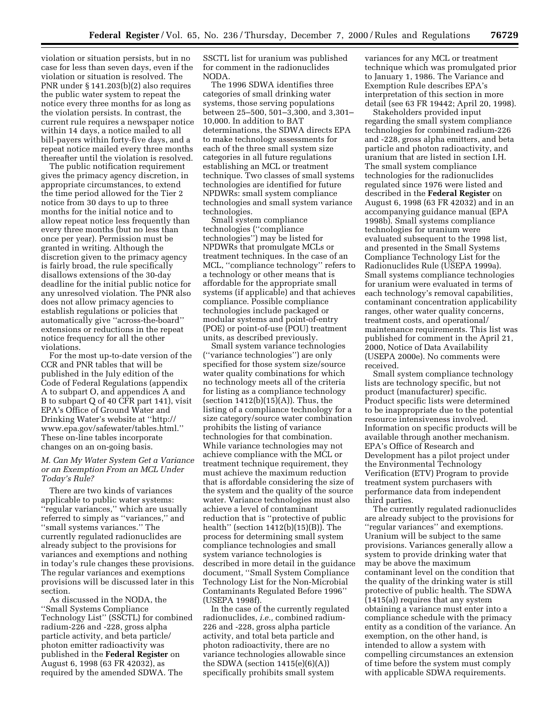violation or situation persists, but in no case for less than seven days, even if the violation or situation is resolved. The PNR under § 141.203(b)(2) also requires the public water system to repeat the notice every three months for as long as the violation persists. In contrast, the current rule requires a newspaper notice within 14 days, a notice mailed to all bill-payers within forty-five days, and a repeat notice mailed every three months thereafter until the violation is resolved.

The public notification requirement gives the primacy agency discretion, in appropriate circumstances, to extend the time period allowed for the Tier 2 notice from 30 days to up to three months for the initial notice and to allow repeat notice less frequently than every three months (but no less than once per year). Permission must be granted in writing. Although the discretion given to the primacy agency is fairly broad, the rule specifically disallows extensions of the 30-day deadline for the initial public notice for any unresolved violation. The PNR also does not allow primacy agencies to establish regulations or policies that automatically give ''across-the-board'' extensions or reductions in the repeat notice frequency for all the other violations.

For the most up-to-date version of the CCR and PNR tables that will be published in the July edition of the Code of Federal Regulations (appendix A to subpart O, and appendices A and B to subpart Q of 40 CFR part 141), visit EPA's Office of Ground Water and Drinking Water's website at ''http:// www.epa.gov/safewater/tables.html.'' These on-line tables incorporate changes on an on-going basis.

### *M. Can My Water System Get a Variance or an Exemption From an MCL Under Today's Rule?*

There are two kinds of variances applicable to public water systems: ''regular variances,'' which are usually referred to simply as ''variances,'' and ''small systems variances.'' The currently regulated radionuclides are already subject to the provisions for variances and exemptions and nothing in today's rule changes these provisions. The regular variances and exemptions provisions will be discussed later in this section.

As discussed in the NODA, the ''Small Systems Compliance Technology List'' (SSCTL) for combined radium-226 and -228, gross alpha particle activity, and beta particle/ photon emitter radioactivity was published in the **Federal Register** on August 6, 1998 (63 FR 42032), as required by the amended SDWA. The

SSCTL list for uranium was published for comment in the radionuclides NODA.

The 1996 SDWA identifies three categories of small drinking water systems, those serving populations between 25–500, 501–3,300, and 3,301– 10,000. In addition to BAT determinations, the SDWA directs EPA to make technology assessments for each of the three small system size categories in all future regulations establishing an MCL or treatment technique. Two classes of small systems technologies are identified for future NPDWRs: small system compliance technologies and small system variance technologies.

Small system compliance technologies (''compliance technologies'') may be listed for NPDWRs that promulgate MCLs or treatment techniques. In the case of an MCL, ''compliance technology'' refers to a technology or other means that is affordable for the appropriate small systems (if applicable) and that achieves compliance. Possible compliance technologies include packaged or modular systems and point-of-entry (POE) or point-of-use (POU) treatment units, as described previously.

Small system variance technologies (''variance technologies'') are only specified for those system size/source water quality combinations for which no technology meets all of the criteria for listing as a compliance technology (section  $1412(b)(15)(A)$ ). Thus, the listing of a compliance technology for a size category/source water combination prohibits the listing of variance technologies for that combination. While variance technologies may not achieve compliance with the MCL or treatment technique requirement, they must achieve the maximum reduction that is affordable considering the size of the system and the quality of the source water. Variance technologies must also achieve a level of contaminant reduction that is ''protective of public health'' (section 1412(b)(15)(B)). The process for determining small system compliance technologies and small system variance technologies is described in more detail in the guidance document, ''Small System Compliance Technology List for the Non-Microbial Contaminants Regulated Before 1996'' (USEPA 1998f).

In the case of the currently regulated radionuclides, *i.e.,* combined radium-226 and -228, gross alpha particle activity, and total beta particle and photon radioactivity, there are no variance technologies allowable since the SDWA (section  $1415(e)(6)(A)$ ) specifically prohibits small system

variances for any MCL or treatment technique which was promulgated prior to January 1, 1986. The Variance and Exemption Rule describes EPA's interpretation of this section in more detail (see 63 FR 19442; April 20, 1998).

Stakeholders provided input regarding the small system compliance technologies for combined radium-226 and -228, gross alpha emitters, and beta particle and photon radioactivity, and uranium that are listed in section I.H. The small system compliance technologies for the radionuclides regulated since 1976 were listed and described in the **Federal Register** on August 6, 1998 (63 FR 42032) and in an accompanying guidance manual (EPA 1998b). Small systems compliance technologies for uranium were evaluated subsequent to the 1998 list, and presented in the Small Systems Compliance Technology List for the Radionuclides Rule (USEPA 1999a). Small systems compliance technologies for uranium were evaluated in terms of each technology's removal capabilities, contaminant concentration applicability ranges, other water quality concerns, treatment costs, and operational/ maintenance requirements. This list was published for comment in the April 21, 2000, Notice of Data Availability (USEPA 2000e). No comments were received.

Small system compliance technology lists are technology specific, but not product (manufacturer) specific. Product specific lists were determined to be inappropriate due to the potential resource intensiveness involved. Information on specific products will be available through another mechanism. EPA's Office of Research and Development has a pilot project under the Environmental Technology Verification (ETV) Program to provide treatment system purchasers with performance data from independent third parties.

The currently regulated radionuclides are already subject to the provisions for ''regular variances'' and exemptions. Uranium will be subject to the same provisions. Variances generally allow a system to provide drinking water that may be above the maximum contaminant level on the condition that the quality of the drinking water is still protective of public health. The SDWA (1415(a)) requires that any system obtaining a variance must enter into a compliance schedule with the primacy entity as a condition of the variance. An exemption, on the other hand, is intended to allow a system with compelling circumstances an extension of time before the system must comply with applicable SDWA requirements.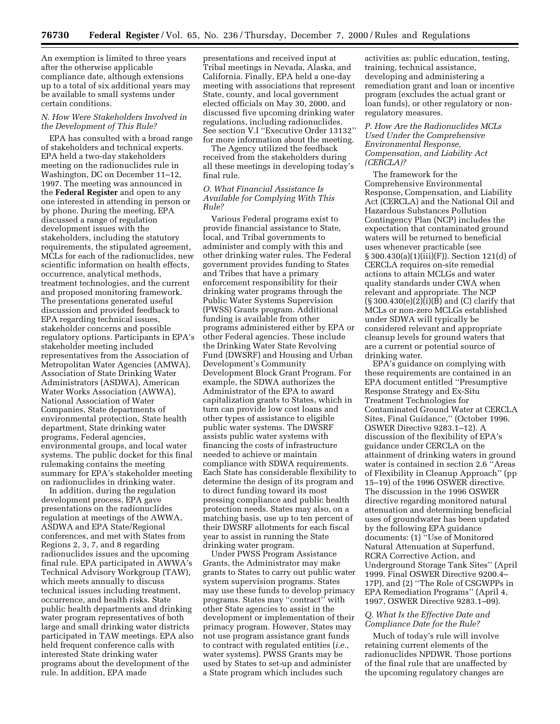An exemption is limited to three years after the otherwise applicable compliance date, although extensions up to a total of six additional years may be available to small systems under certain conditions.

### *N. How Were Stakeholders Involved in the Development of This Rule?*

EPA has consulted with a broad range of stakeholders and technical experts. EPA held a two-day stakeholders meeting on the radionuclides rule in Washington, DC on December 11–12, 1997. The meeting was announced in the **Federal Register** and open to any one interested in attending in person or by phone. During the meeting, EPA discussed a range of regulation development issues with the stakeholders, including the statutory requirements, the stipulated agreement, MCLs for each of the radionuclides, new scientific information on health effects, occurrence, analytical methods, treatment technologies, and the current and proposed monitoring framework. The presentations generated useful discussion and provided feedback to EPA regarding technical issues, stakeholder concerns and possible regulatory options. Participants in EPA's stakeholder meeting included representatives from the Association of Metropolitan Water Agencies (AMWA), Association of State Drinking Water Administrators (ASDWA), American Water Works Association (AWWA), National Association of Water Companies, State departments of environmental protection, State health department, State drinking water programs, Federal agencies, environmental groups, and local water systems. The public docket for this final rulemaking contains the meeting summary for EPA's stakeholder meeting on radionuclides in drinking water.

In addition, during the regulation development process, EPA gave presentations on the radionuclides regulation at meetings of the AWWA, ASDWA and EPA State/Regional conferences, and met with States from Regions 2, 3, 7, and 8 regarding radionuclides issues and the upcoming final rule. EPA participated in AWWA's Technical Advisory Workgroup (TAW), which meets annually to discuss technical issues including treatment, occurrence, and health risks. State public health departments and drinking water program representatives of both large and small drinking water districts participated in TAW meetings. EPA also held frequent conference calls with interested State drinking water programs about the development of the rule. In addition, EPA made

presentations and received input at Tribal meetings in Nevada, Alaska, and California. Finally, EPA held a one-day meeting with associations that represent State, county, and local government elected officials on May 30, 2000, and discussed five upcoming drinking water regulations, including radionuclides. See section V.I ''Executive Order 13132'' for more information about the meeting.

The Agency utilized the feedback received from the stakeholders during all these meetings in developing today's final rule.

### *O. What Financial Assistance Is Available for Complying With This Rule?*

Various Federal programs exist to provide financial assistance to State, local, and Tribal governments to administer and comply with this and other drinking water rules. The Federal government provides funding to States and Tribes that have a primary enforcement responsibility for their drinking water programs through the Public Water Systems Supervision (PWSS) Grants program. Additional funding is available from other programs administered either by EPA or other Federal agencies. These include the Drinking Water State Revolving Fund (DWSRF) and Housing and Urban Development's Community Development Block Grant Program. For example, the SDWA authorizes the Administrator of the EPA to award capitalization grants to States, which in turn can provide low cost loans and other types of assistance to eligible public water systems. The DWSRF assists public water systems with financing the costs of infrastructure needed to achieve or maintain compliance with SDWA requirements. Each State has considerable flexibility to determine the design of its program and to direct funding toward its most pressing compliance and public health protection needs. States may also, on a matching basis, use up to ten percent of their DWSRF allotments for each fiscal year to assist in running the State drinking water program.

Under PWSS Program Assistance Grants, the Administrator may make grants to States to carry out public water system supervision programs. States may use these funds to develop primacy programs. States may ''contract'' with other State agencies to assist in the development or implementation of their primacy program. However, States may not use program assistance grant funds to contract with regulated entities (*i.e.,* water systems). PWSS Grants may be used by States to set-up and administer a State program which includes such

activities as: public education, testing, training, technical assistance, developing and administering a remediation grant and loan or incentive program (excludes the actual grant or loan funds), or other regulatory or nonregulatory measures.

*P. How Are the Radionuclides MCLs Used Under the Comprehensive Environmental Response, Compensation, and Liability Act (CERCLA)?*

The framework for the Comprehensive Environmental Response, Compensation, and Liability Act (CERCLA) and the National Oil and Hazardous Substances Pollution Contingency Plan (NCP) includes the expectation that contaminated ground waters will be returned to beneficial uses whenever practicable (see  $§ 300.430(a)(1)(iii)(F)$ . Section 121(d) of CERCLA requires on-site remedial actions to attain MCLGs and water quality standards under CWA when relevant and appropriate. The NCP  $(\S 300.430(e)(2)\tilde{1})(B)$  and (C) clarify that MCLs or non-zero MCLGs established under SDWA will typically be considered relevant and appropriate cleanup levels for ground waters that are a current or potential source of drinking water.

EPA's guidance on complying with these requirements are contained in an EPA document entitled ''Presumptive Response Strategy and Ex-Situ Treatment Technologies for Contaminated Ground Water at CERCLA Sites, Final Guidance,'' (October 1996. OSWER Directive 9283.1–12). A discussion of the flexibility of EPA's guidance under CERCLA on the attainment of drinking waters in ground water is contained in section 2.6 ''Areas of Flexibility in Cleanup Approach'' (pp 15–19) of the 1996 OSWER directive. The discussion in the 1996 OSWER directive regarding monitored natural attenuation and determining beneficial uses of groundwater has been updated by the following EPA guidance documents: (1) ''Use of Monitored Natural Attenuation at Superfund, RCRA Corrective Action, and Underground Storage Tank Sites'' (April 1999. Final OSWER Directive 9200.4– 17P), and (2) ''The Role of CSGWPPs in EPA Remediation Programs'' (April 4, 1997, OSWER Directive 9283.1–09).

### *Q. What Is the Effective Date and Compliance Date for the Rule?*

Much of today's rule will involve retaining current elements of the radionuclides NPDWR. Those portions of the final rule that are unaffected by the upcoming regulatory changes are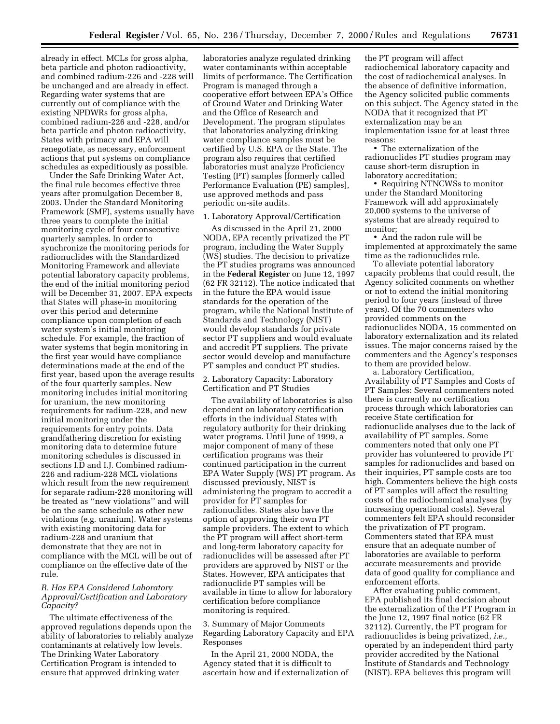already in effect. MCLs for gross alpha, beta particle and photon radioactivity, and combined radium-226 and -228 will be unchanged and are already in effect. Regarding water systems that are currently out of compliance with the existing NPDWRs for gross alpha, combined radium-226 and -228, and/or beta particle and photon radioactivity, States with primacy and EPA will renegotiate, as necessary, enforcement actions that put systems on compliance schedules as expeditiously as possible.

Under the Safe Drinking Water Act, the final rule becomes effective three years after promulgation December 8, 2003. Under the Standard Monitoring Framework (SMF), systems usually have three years to complete the initial monitoring cycle of four consecutive quarterly samples. In order to synchronize the monitoring periods for radionuclides with the Standardized Monitoring Framework and alleviate potential laboratory capacity problems, the end of the initial monitoring period will be December 31, 2007. EPA expects that States will phase-in monitoring over this period and determine compliance upon completion of each water system's initial monitoring schedule. For example, the fraction of water systems that begin monitoring in the first year would have compliance determinations made at the end of the first year, based upon the average results of the four quarterly samples. New monitoring includes initial monitoring for uranium, the new monitoring requirements for radium-228, and new initial monitoring under the requirements for entry points. Data grandfathering discretion for existing monitoring data to determine future monitoring schedules is discussed in sections I.D and I.J. Combined radium-226 and radium-228 MCL violations which result from the new requirement for separate radium-228 monitoring will be treated as ''new violations'' and will be on the same schedule as other new violations (e.g. uranium). Water systems with existing monitoring data for radium-228 and uranium that demonstrate that they are not in compliance with the MCL will be out of compliance on the effective date of the rule.

### *R. Has EPA Considered Laboratory Approval/Certification and Laboratory Capacity?*

The ultimate effectiveness of the approved regulations depends upon the ability of laboratories to reliably analyze contaminants at relatively low levels. The Drinking Water Laboratory Certification Program is intended to ensure that approved drinking water

laboratories analyze regulated drinking water contaminants within acceptable limits of performance. The Certification Program is managed through a cooperative effort between EPA's Office of Ground Water and Drinking Water and the Office of Research and Development. The program stipulates that laboratories analyzing drinking water compliance samples must be certified by U.S. EPA or the State. The program also requires that certified laboratories must analyze Proficiency Testing (PT) samples [formerly called Performance Evaluation (PE) samples], use approved methods and pass periodic on-site audits.

### 1. Laboratory Approval/Certification

As discussed in the April 21, 2000 NODA, EPA recently privatized the PT program, including the Water Supply (WS) studies. The decision to privatize the PT studies programs was announced in the **Federal Register** on June 12, 1997 (62 FR 32112). The notice indicated that in the future the EPA would issue standards for the operation of the program, while the National Institute of Standards and Technology (NIST) would develop standards for private sector PT suppliers and would evaluate and accredit PT suppliers. The private sector would develop and manufacture PT samples and conduct PT studies.

2. Laboratory Capacity: Laboratory Certification and PT Studies

The availability of laboratories is also dependent on laboratory certification efforts in the individual States with regulatory authority for their drinking water programs. Until June of 1999, a major component of many of these certification programs was their continued participation in the current EPA Water Supply (WS) PT program. As discussed previously, NIST is administering the program to accredit a provider for PT samples for radionuclides. States also have the option of approving their own PT sample providers. The extent to which the PT program will affect short-term and long-term laboratory capacity for radionuclides will be assessed after PT providers are approved by NIST or the States. However, EPA anticipates that radionuclide PT samples will be available in time to allow for laboratory certification before compliance monitoring is required.

3. Summary of Major Comments Regarding Laboratory Capacity and EPA Responses

In the April 21, 2000 NODA, the Agency stated that it is difficult to ascertain how and if externalization of

the PT program will affect radiochemical laboratory capacity and the cost of radiochemical analyses. In the absence of definitive information, the Agency solicited public comments on this subject. The Agency stated in the NODA that it recognized that PT externalization may be an implementation issue for at least three reasons:

• The externalization of the radionuclides PT studies program may cause short-term disruption in laboratory accreditation;

• Requiring NTNCWSs to monitor under the Standard Monitoring Framework will add approximately 20,000 systems to the universe of systems that are already required to monitor;

• And the radon rule will be implemented at approximately the same time as the radionuclides rule.

To alleviate potential laboratory capacity problems that could result, the Agency solicited comments on whether or not to extend the initial monitoring period to four years (instead of three years). Of the 70 commenters who provided comments on the radionuclides NODA, 15 commented on laboratory externalization and its related issues. The major concerns raised by the commenters and the Agency's responses to them are provided below.

a. Laboratory Certification, Availability of PT Samples and Costs of PT Samples: Several commenters noted there is currently no certification process through which laboratories can receive State certification for radionuclide analyses due to the lack of availability of PT samples. Some commenters noted that only one PT provider has volunteered to provide PT samples for radionuclides and based on their inquiries, PT sample costs are too high. Commenters believe the high costs of PT samples will affect the resulting costs of the radiochemical analyses (by increasing operational costs). Several commenters felt EPA should reconsider the privatization of PT program. Commenters stated that EPA must ensure that an adequate number of laboratories are available to perform accurate measurements and provide data of good quality for compliance and enforcement efforts.

After evaluating public comment, EPA published its final decision about the externalization of the PT Program in the June 12, 1997 final notice (62 FR 32112). Currently, the PT program for radionuclides is being privatized, *i.e.,* operated by an independent third party provider accredited by the National Institute of Standards and Technology (NIST). EPA believes this program will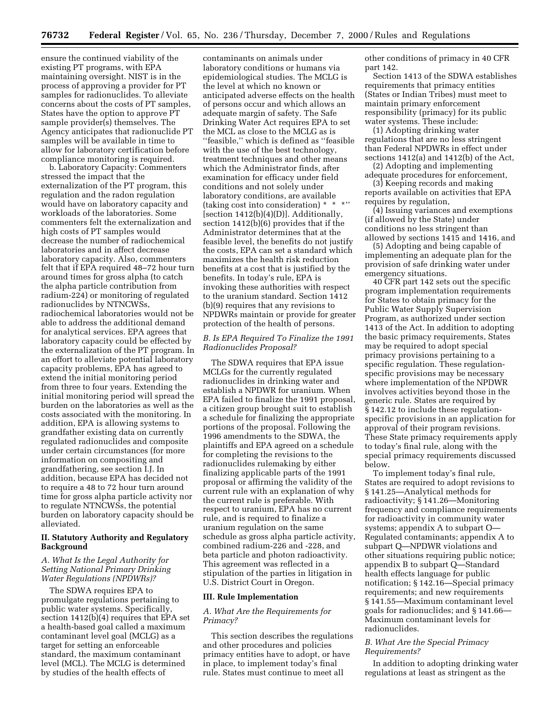ensure the continued viability of the existing PT programs, with EPA maintaining oversight. NIST is in the process of approving a provider for PT samples for radionuclides. To alleviate concerns about the costs of PT samples, States have the option to approve PT sample provider(s) themselves. The Agency anticipates that radionuclide PT samples will be available in time to allow for laboratory certification before compliance monitoring is required.

b. Laboratory Capacity: Commenters stressed the impact that the externalization of the PT program, this regulation and the radon regulation would have on laboratory capacity and workloads of the laboratories. Some commenters felt the externalization and high costs of PT samples would decrease the number of radiochemical laboratories and in affect decrease laboratory capacity. Also, commenters felt that if EPA required 48–72 hour turn around times for gross alpha (to catch the alpha particle contribution from radium-224) or monitoring of regulated radionuclides by NTNCWSs, radiochemical laboratories would not be able to address the additional demand for analytical services. EPA agrees that laboratory capacity could be effected by the externalization of the PT program. In an effort to alleviate potential laboratory capacity problems, EPA has agreed to extend the initial monitoring period from three to four years. Extending the initial monitoring period will spread the burden on the laboratories as well as the costs associated with the monitoring. In addition, EPA is allowing systems to grandfather existing data on currently regulated radionuclides and composite under certain circumstances (for more information on compositing and grandfathering, see section I.J. In addition, because EPA has decided not to require a 48 to 72 hour turn around time for gross alpha particle activity nor to regulate NTNCWSs, the potential burden on laboratory capacity should be alleviated.

### **II. Statutory Authority and Regulatory Background**

### *A. What Is the Legal Authority for Setting National Primary Drinking Water Regulations (NPDWRs)?*

The SDWA requires EPA to promulgate regulations pertaining to public water systems. Specifically, section 1412(b)(4) requires that EPA set a health-based goal called a maximum contaminant level goal (MCLG) as a target for setting an enforceable standard, the maximum contaminant level (MCL). The MCLG is determined by studies of the health effects of

contaminants on animals under laboratory conditions or humans via epidemiological studies. The MCLG is the level at which no known or anticipated adverse effects on the health of persons occur and which allows an adequate margin of safety. The Safe Drinking Water Act requires EPA to set the MCL as close to the MCLG as is ''feasible,'' which is defined as ''feasible with the use of the best technology, treatment techniques and other means which the Administrator finds, after examination for efficacy under field conditions and not solely under laboratory conditions, are available (taking cost into consideration) \* [section 1412(b)(4)(D)]. Additionally, section 1412(b)(6) provides that if the Administrator determines that at the feasible level, the benefits do not justify the costs, EPA can set a standard which maximizes the health risk reduction benefits at a cost that is justified by the benefits. In today's rule, EPA is invoking these authorities with respect to the uranium standard. Section 1412 (b)(9) requires that any revisions to NPDWRs maintain or provide for greater protection of the health of persons.

### *B. Is EPA Required To Finalize the 1991 Radionuclides Proposal?*

The SDWA requires that EPA issue MCLGs for the currently regulated radionuclides in drinking water and establish a NPDWR for uranium. When EPA failed to finalize the 1991 proposal, a citizen group brought suit to establish a schedule for finalizing the appropriate portions of the proposal. Following the 1996 amendments to the SDWA, the plaintiffs and EPA agreed on a schedule for completing the revisions to the radionuclides rulemaking by either finalizing applicable parts of the 1991 proposal or affirming the validity of the current rule with an explanation of why the current rule is preferable. With respect to uranium, EPA has no current rule, and is required to finalize a uranium regulation on the same schedule as gross alpha particle activity, combined radium-226 and -228, and beta particle and photon radioactivity. This agreement was reflected in a stipulation of the parties in litigation in U.S. District Court in Oregon.

### **III. Rule Implementation**

### *A. What Are the Requirements for Primacy?*

This section describes the regulations and other procedures and policies primacy entities have to adopt, or have in place, to implement today's final rule. States must continue to meet all

other conditions of primacy in 40 CFR part 142.

Section 1413 of the SDWA establishes requirements that primacy entities (States or Indian Tribes) must meet to maintain primary enforcement responsibility (primacy) for its public water systems. These include:

(1) Adopting drinking water regulations that are no less stringent than Federal NPDWRs in effect under sections 1412(a) and 1412(b) of the Act,

(2) Adopting and implementing adequate procedures for enforcement,

(3) Keeping records and making reports available on activities that EPA requires by regulation,

(4) Issuing variances and exemptions (if allowed by the State) under conditions no less stringent than allowed by sections 1415 and 1416, and

(5) Adopting and being capable of implementing an adequate plan for the provision of safe drinking water under emergency situations.

40 CFR part 142 sets out the specific program implementation requirements for States to obtain primacy for the Public Water Supply Supervision Program, as authorized under section 1413 of the Act. In addition to adopting the basic primacy requirements, States may be required to adopt special primacy provisions pertaining to a specific regulation. These regulationspecific provisions may be necessary where implementation of the NPDWR involves activities beyond those in the generic rule. States are required by § 142.12 to include these regulationspecific provisions in an application for approval of their program revisions. These State primacy requirements apply to today's final rule, along with the special primacy requirements discussed below.

To implement today's final rule, States are required to adopt revisions to § 141.25—Analytical methods for radioactivity; § 141.26—Monitoring frequency and compliance requirements for radioactivity in community water systems; appendix A to subpart O— Regulated contaminants; appendix A to subpart Q—NPDWR violations and other situations requiring public notice; appendix B to subpart Q—Standard health effects language for public notification; § 142.16—Special primacy requirements; and new requirements § 141.55—Maximum contaminant level goals for radionuclides; and § 141.66— Maximum contaminant levels for radionuclides.

### *B. What Are the Special Primacy Requirements?*

In addition to adopting drinking water regulations at least as stringent as the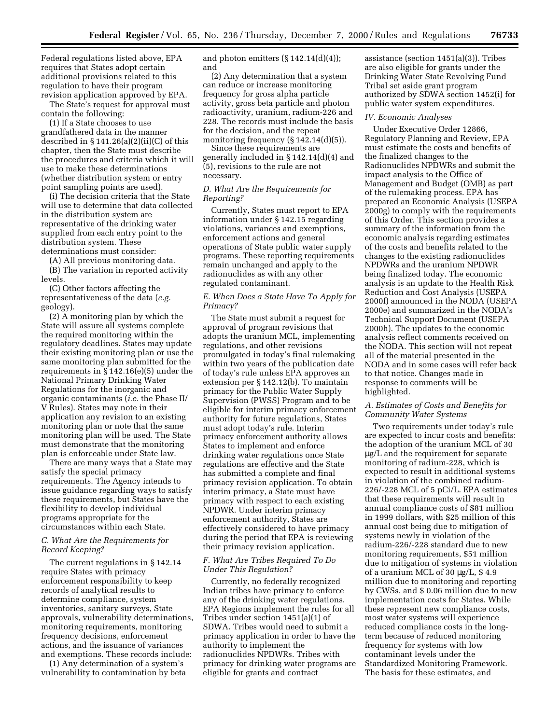Federal regulations listed above, EPA requires that States adopt certain additional provisions related to this regulation to have their program revision application approved by EPA.

The State's request for approval must contain the following:

(1) If a State chooses to use grandfathered data in the manner described in  $\S 141.26(a)(2)(ii)(C)$  of this chapter, then the State must describe the procedures and criteria which it will use to make these determinations (whether distribution system or entry point sampling points are used).

(i) The decision criteria that the State will use to determine that data collected in the distribution system are representative of the drinking water supplied from each entry point to the distribution system. These determinations must consider:

(A) All previous monitoring data.

(B) The variation in reported activity levels.

(C) Other factors affecting the representativeness of the data (*e.g.* geology).

(2) A monitoring plan by which the State will assure all systems complete the required monitoring within the regulatory deadlines. States may update their existing monitoring plan or use the same monitoring plan submitted for the requirements in § 142.16(e)(5) under the National Primary Drinking Water Regulations for the inorganic and organic contaminants (*i.e.* the Phase II/ V Rules). States may note in their application any revision to an existing monitoring plan or note that the same monitoring plan will be used. The State must demonstrate that the monitoring plan is enforceable under State law.

There are many ways that a State may satisfy the special primacy requirements. The Agency intends to issue guidance regarding ways to satisfy these requirements, but States have the flexibility to develop individual programs appropriate for the circumstances within each State.

### *C. What Are the Requirements for Record Keeping?*

The current regulations in § 142.14 require States with primacy enforcement responsibility to keep records of analytical results to determine compliance, system inventories, sanitary surveys, State approvals, vulnerability determinations, monitoring requirements, monitoring frequency decisions, enforcement actions, and the issuance of variances and exemptions. These records include:

(1) Any determination of a system's vulnerability to contamination by beta and photon emitters  $(\S 142.14(d)(4))$ ; and

(2) Any determination that a system can reduce or increase monitoring frequency for gross alpha particle activity, gross beta particle and photon radioactivity, uranium, radium-226 and 228. The records must include the basis for the decision, and the repeat monitoring frequency  $(\S 142.14(d)(5))$ .

Since these requirements are generally included in § 142.14(d)(4) and (5), revisions to the rule are not necessary.

### *D. What Are the Requirements for Reporting?*

Currently, States must report to EPA information under § 142.15 regarding violations, variances and exemptions, enforcement actions and general operations of State public water supply programs. These reporting requirements remain unchanged and apply to the radionuclides as with any other regulated contaminant.

### *E. When Does a State Have To Apply for Primacy?*

The State must submit a request for approval of program revisions that adopts the uranium MCL, implementing regulations, and other revisions promulgated in today's final rulemaking within two years of the publication date of today's rule unless EPA approves an extension per § 142.12(b). To maintain primacy for the Public Water Supply Supervision (PWSS) Program and to be eligible for interim primacy enforcement authority for future regulations, States must adopt today's rule. Interim primacy enforcement authority allows States to implement and enforce drinking water regulations once State regulations are effective and the State has submitted a complete and final primacy revision application. To obtain interim primacy, a State must have primacy with respect to each existing NPDWR. Under interim primacy enforcement authority, States are effectively considered to have primacy during the period that EPA is reviewing their primacy revision application.

### *F. What Are Tribes Required To Do Under This Regulation?*

Currently, no federally recognized Indian tribes have primacy to enforce any of the drinking water regulations. EPA Regions implement the rules for all Tribes under section 1451(a)(1) of SDWA. Tribes would need to submit a primacy application in order to have the authority to implement the radionuclides NPDWRs. Tribes with primacy for drinking water programs are eligible for grants and contract

assistance (section 1451(a)(3)). Tribes are also eligible for grants under the Drinking Water State Revolving Fund Tribal set aside grant program authorized by SDWA section 1452(i) for public water system expenditures.

### *IV. Economic Analyses*

Under Executive Order 12866, Regulatory Planning and Review, EPA must estimate the costs and benefits of the finalized changes to the Radionuclides NPDWRs and submit the impact analysis to the Office of Management and Budget (OMB) as part of the rulemaking process. EPA has prepared an Economic Analysis (USEPA 2000g) to comply with the requirements of this Order. This section provides a summary of the information from the economic analysis regarding estimates of the costs and benefits related to the changes to the existing radionuclides NPDWRs and the uranium NPDWR being finalized today. The economic analysis is an update to the Health Risk Reduction and Cost Analysis (USEPA 2000f) announced in the NODA (USEPA 2000e) and summarized in the NODA's Technical Support Document (USEPA 2000h). The updates to the economic analysis reflect comments received on the NODA. This section will not repeat all of the material presented in the NODA and in some cases will refer back to that notice. Changes made in response to comments will be highlighted.

### *A. Estimates of Costs and Benefits for Community Water Systems*

Two requirements under today's rule are expected to incur costs and benefits: the adoption of the uranium MCL of 30 µg/L and the requirement for separate monitoring of radium-228, which is expected to result in additional systems in violation of the combined radium-226/-228 MCL of 5 pCi/L. EPA estimates that these requirements will result in annual compliance costs of \$81 million in 1999 dollars, with \$25 million of this annual cost being due to mitigation of systems newly in violation of the radium-226/-228 standard due to new monitoring requirements, \$51 million due to mitigation of systems in violation of a uranium MCL of 30 µg/L, \$ 4.9 million due to monitoring and reporting by CWSs, and \$ 0.06 million due to new implementation costs for States. While these represent new compliance costs, most water systems will experience reduced compliance costs in the longterm because of reduced monitoring frequency for systems with low contaminant levels under the Standardized Monitoring Framework. The basis for these estimates, and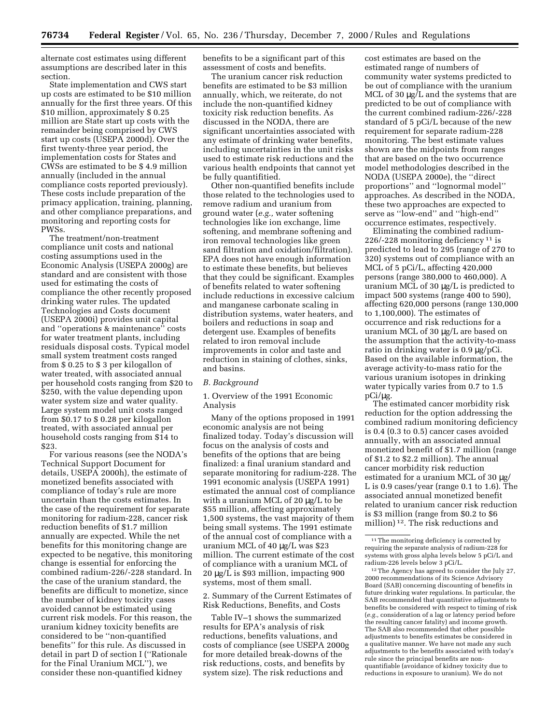alternate cost estimates using different assumptions are described later in this section.

State implementation and CWS start up costs are estimated to be \$10 million annually for the first three years. Of this \$10 million, approximately \$ 0.25 million are State start up costs with the remainder being comprised by CWS start up costs (USEPA 2000d). Over the first twenty-three year period, the implementation costs for States and CWSs are estimated to be \$ 4.9 million annually (included in the annual compliance costs reported previously). These costs include preparation of the primacy application, training, planning, and other compliance preparations, and monitoring and reporting costs for PWSs.

The treatment/non-treatment compliance unit costs and national costing assumptions used in the Economic Analysis (USEPA 2000g) are standard and are consistent with those used for estimating the costs of compliance the other recently proposed drinking water rules. The updated Technologies and Costs document (USEPA 2000i) provides unit capital and ''operations & maintenance'' costs for water treatment plants, including residuals disposal costs. Typical model small system treatment costs ranged from \$ 0.25 to \$ 3 per kilogallon of water treated, with associated annual per household costs ranging from \$20 to \$250, with the value depending upon water system size and water quality. Large system model unit costs ranged from \$0.17 to \$ 0.28 per kilogallon treated, with associated annual per household costs ranging from \$14 to \$23.

For various reasons (see the NODA's Technical Support Document for details, USEPA 2000h), the estimate of monetized benefits associated with compliance of today's rule are more uncertain than the costs estimates. In the case of the requirement for separate monitoring for radium-228, cancer risk reduction benefits of \$1.7 million annually are expected. While the net benefits for this monitoring change are expected to be negative, this monitoring change is essential for enforcing the combined radium-226/-228 standard. In the case of the uranium standard, the benefits are difficult to monetize, since the number of kidney toxicity cases avoided cannot be estimated using current risk models. For this reason, the uranium kidney toxicity benefits are considered to be ''non-quantified benefits'' for this rule. As discussed in detail in part D of section I (''Rationale for the Final Uranium MCL''), we consider these non-quantified kidney

benefits to be a significant part of this assessment of costs and benefits.

The uranium cancer risk reduction benefits are estimated to be \$3 million annually, which, we reiterate, do not include the non-quantified kidney toxicity risk reduction benefits. As discussed in the NODA, there are significant uncertainties associated with any estimate of drinking water benefits, including uncertainties in the unit risks used to estimate risk reductions and the various health endpoints that cannot yet be fully quantifitied.

Other non-quantified benefits include those related to the technologies used to remove radium and uranium from ground water (*e.g.,* water softening technologies like ion exchange, lime softening, and membrane softening and iron removal technologies like green sand filtration and oxidation/filtration). EPA does not have enough information to estimate these benefits, but believes that they could be significant. Examples of benefits related to water softening include reductions in excessive calcium and manganese carbonate scaling in distribution systems, water heaters, and boilers and reductions in soap and detergent use. Examples of benefits related to iron removal include improvements in color and taste and reduction in staining of clothes, sinks, and basins.

### *B. Background*

1. Overview of the 1991 Economic Analysis

Many of the options proposed in 1991 economic analysis are not being finalized today. Today's discussion will focus on the analysis of costs and benefits of the options that are being finalized: a final uranium standard and separate monitoring for radium-228. The 1991 economic analysis (USEPA 1991) estimated the annual cost of compliance with a uranium MCL of 20 µg/L to be \$55 million, affecting approximately 1,500 systems, the vast majority of them being small systems. The 1991 estimate of the annual cost of compliance with a uranium MCL of 40 µg/L was \$23 million. The current estimate of the cost of compliance with a uranium MCL of 20 µg/L is \$93 million, impacting 900 systems, most of them small.

2. Summary of the Current Estimates of Risk Reductions, Benefits, and Costs

Table IV–1 shows the summarized results for EPA's analysis of risk reductions, benefits valuations, and costs of compliance (see USEPA 2000g for more detailed break-downs of the risk reductions, costs, and benefits by system size). The risk reductions and

cost estimates are based on the estimated range of numbers of community water systems predicted to be out of compliance with the uranium MCL of 30  $\mu$ g/L and the systems that are predicted to be out of compliance with the current combined radium-226/-228 standard of 5 pCi/L because of the new requirement for separate radium-228 monitoring. The best estimate values shown are the midpoints from ranges that are based on the two occurrence model methodologies described in the NODA (USEPA 2000e), the ''direct proportions'' and ''lognormal model'' approaches. As described in the NODA, these two approaches are expected to serve as ''low-end'' and ''high-end'' occurrence estimates, respectively.

Eliminating the combined radium-226/-228 monitoring deficiency 11 is predicted to lead to 295 (range of 270 to 320) systems out of compliance with an MCL of 5 pCi/L, affecting 420,000 persons (range 380,000 to 460,000). A uranium MCL of 30 µg/L is predicted to impact 500 systems (range 400 to 590), affecting 620,000 persons (range 130,000 to 1,100,000). The estimates of occurrence and risk reductions for a uranium MCL of 30 µg/L are based on the assumption that the activity-to-mass ratio in drinking water is 0.9 µg/pCi. Based on the available information, the average activity-to-mass ratio for the various uranium isotopes in drinking water typically varies from 0.7 to 1.5 pCi/µg.

The estimated cancer morbidity risk reduction for the option addressing the combined radium monitoring deficiency is 0.4 (0.3 to 0.5) cancer cases avoided annually, with an associated annual monetized benefit of \$1.7 million (range of \$1.2 to \$2.2 million). The annual cancer morbidity risk reduction estimated for a uranium MCL of 30 µg/ L is 0.9 cases/year (range 0.1 to 1.6). The associated annual monetized benefit related to uranium cancer risk reduction is \$3 million (range from \$0.2 to \$6 million) 12. The risk reductions and

12The Agency has agreed to consider the July 27, 2000 recommendations of its Science Advisory Board (SAB) concerning discounting of benefits in future drinking water regulations. In particular, the SAB recommended that quantitative adjustments to benefits be considered with respect to timing of risk (*e.g.,* consideration of a lag or latency period before the resulting cancer fatality) and income growth. The SAB also recommended that other possible adjustments to benefits estimates be considered in a qualitative manner. We have not made any such adjustments to the benefits associated with today's rule since the principal benefits are nonquantifiable (avoidance of kidney toxicity due to reductions in exposure to uranium). We do not

<sup>&</sup>lt;sup>11</sup>The monitoring deficiency is corrected by requiring the separate analysis of radium-228 for systems with gross alpha levels below 5 pCi/L and radium-226 levels below 3 pCi/L.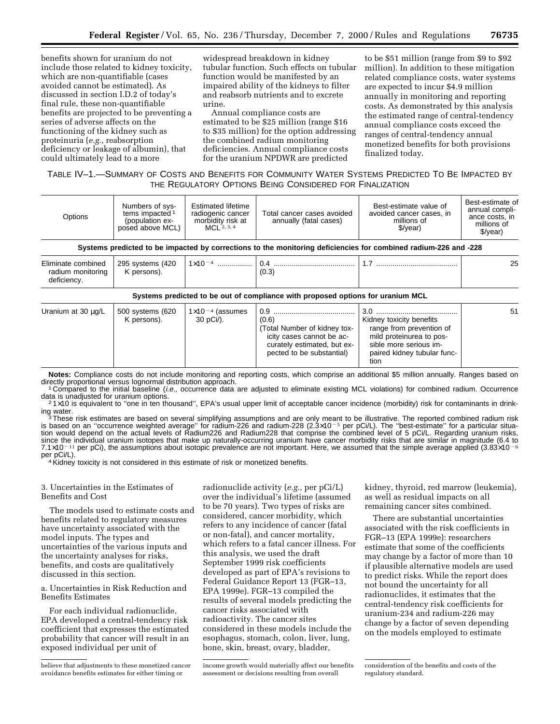benefits shown for uranium do not include those related to kidney toxicity, which are non-quantifiable (cases avoided cannot be estimated). As discussed in section I.D.2 of today's final rule, these non-quantifiable benefits are projected to be preventing a series of adverse affects on the functioning of the kidney such as proteinuria (*e.g.,* reabsorption deficiency or leakage of albumin), that could ultimately lead to a more

widespread breakdown in kidney tubular function. Such effects on tubular function would be manifested by an impaired ability of the kidneys to filter and reabsorb nutrients and to excrete urine.

Annual compliance costs are estimated to be \$25 million (range \$16 to \$35 million) for the option addressing the combined radium monitoring deficiencies. Annual compliance costs for the uranium NPDWR are predicted

to be \$51 million (range from \$9 to \$92 million). In addition to these mitigation related compliance costs, water systems are expected to incur \$4.9 million annually in monitoring and reporting costs. As demonstrated by this analysis the estimated range of central-tendency annual compliance costs exceed the ranges of central-tendency annual monetized benefits for both provisions finalized today.

| TABLE IV-1.—SUMMARY OF COSTS AND BENEFITS FOR COMMUNITY WATER SYSTEMS PREDICTED TO BE IMPACTED BY |  |
|---------------------------------------------------------------------------------------------------|--|
| THE REGULATORY OPTIONS BEING CONSIDERED FOR FINALIZATION                                          |  |

| Options                                                                         | Numbers of sys-<br>tems impacted $1$<br>(population ex-<br>posed above MCL) | <b>Estimated lifetime</b><br>radiogenic cancer<br>morbidity risk at<br>$MC1 \, 2, 3, 4$ | Total cancer cases avoided<br>annually (fatal cases)                                                            | Best-estimate value of<br>avoided cancer cases, in<br>millions of<br>$\sqrt{$}$ /year) | Best-estimate of<br>annual compli-<br>ance costs, in<br>millions of<br>$\sqrt{$}$ /year) |  |  |  |
|---------------------------------------------------------------------------------|-----------------------------------------------------------------------------|-----------------------------------------------------------------------------------------|-----------------------------------------------------------------------------------------------------------------|----------------------------------------------------------------------------------------|------------------------------------------------------------------------------------------|--|--|--|
|                                                                                 |                                                                             |                                                                                         | Systems predicted to be impacted by corrections to the monitoring deficiencies for combined radium-226 and -228 |                                                                                        |                                                                                          |  |  |  |
| Eliminate combined<br>radium monitoring<br>deficiency.                          | 295 systems (420<br>K persons).                                             | $1 \times 10^{-4}$                                                                      | (0.3)                                                                                                           |                                                                                        | 25                                                                                       |  |  |  |
| Systems predicted to be out of compliance with proposed options for uranium MCL |                                                                             |                                                                                         |                                                                                                                 |                                                                                        |                                                                                          |  |  |  |

| Uranium at 30 µg/L | 500 systems (620<br>K persons). | $1\times10^{-4}$ (assumes<br>30 pCi/). | 0.9<br>(0.6)<br>(Total Number of kidney tox-<br>icity cases cannot be ac-<br>curately estimated, but ex-<br>pected to be substantial) | Kidney toxicity benefits<br>range from prevention of<br>mild proteinurea to pos-<br>sible more serious im-<br>paired kidney tubular func-<br>tion | 51 |
|--------------------|---------------------------------|----------------------------------------|---------------------------------------------------------------------------------------------------------------------------------------|---------------------------------------------------------------------------------------------------------------------------------------------------|----|
|--------------------|---------------------------------|----------------------------------------|---------------------------------------------------------------------------------------------------------------------------------------|---------------------------------------------------------------------------------------------------------------------------------------------------|----|

**Notes:** Compliance costs do not include monitoring and reporting costs, which comprise an additional \$5 million annually. Ranges based on directly proportional versus lognormal distribution approach.

<sup>1</sup> Compared to the initial baseline (i.e., occurrence data are adjusted to eliminate existing MCL violations) for combined radium. Occurrence data is unadjusted for uranium options.

<sup>2</sup> 1×10 is equivalent to "one in ten thousand", EPA's usual upper limit of acceptable cancer incidence (morbidity) risk for contaminants in drinking water.<br>3These risk estimates are based on several simplifying assumptions and are only meant to be illustrative. The reported combined radium risk

is based on an "occurrence weighted average" for radium-226 and radium-228 (2.3×10<sup>-5</sup> per pCi/L). The "best-estimate" for a particular situa-<br>tion would depend on the actual levels of Radium226 and Radium228 that comprise since the individual uranium isotopes that make up naturally-occurring uranium have cancer morbidity risks that are similar in magnitude (6.4 to since the individual uranium isotopes that make up naturally-occurring uranium have cancer morbidity risks that are similar in magnitude (6.4 to 7.1×10<sup>-11</sup> per pCi), the assumptions about isotopic prevalence are not impo per pCi/L).<br>
<sup>1</sup>Hidney toxicity is not considered in this estimate of risk or monetized benefits.<br>
<sup>4</sup>Kidney toxicity is not considered in this estimate of risk or monetized benefits.

3. Uncertainties in the Estimates of Benefits and Cost

The models used to estimate costs and benefits related to regulatory measures have uncertainty associated with the model inputs. The types and uncertainties of the various inputs and the uncertainty analyses for risks, benefits, and costs are qualitatively discussed in this section.

a. Uncertainties in Risk Reduction and Benefits Estimates

For each individual radionuclide, EPA developed a central-tendency risk coefficient that expresses the estimated probability that cancer will result in an exposed individual per unit of

radionuclide activity (*e.g.,* per pCi/L) over the individual's lifetime (assumed to be 70 years). Two types of risks are considered, cancer morbidity, which refers to any incidence of cancer (fatal or non-fatal), and cancer mortality, which refers to a fatal cancer illness. For this analysis, we used the draft September 1999 risk coefficients developed as part of EPA's revisions to Federal Guidance Report 13 (FGR–13, EPA 1999e). FGR–13 compiled the results of several models predicting the cancer risks associated with radioactivity. The cancer sites considered in these models include the esophagus, stomach, colon, liver, lung, bone, skin, breast, ovary, bladder,

kidney, thyroid, red marrow (leukemia), as well as residual impacts on all remaining cancer sites combined.

There are substantial uncertainties associated with the risk coefficients in FGR–13 (EPA 1999e): researchers estimate that some of the coefficients may change by a factor of more than 10 if plausible alternative models are used to predict risks. While the report does not bound the uncertainty for all radionuclides, it estimates that the central-tendency risk coefficients for uranium-234 and radium-226 may change by a factor of seven depending on the models employed to estimate

believe that adjustments to these monetized cancer avoidance benefits estimates for either timing or

income growth would materially affect our benefits assessment or decisions resulting from overall

consideration of the benefits and costs of the regulatory standard.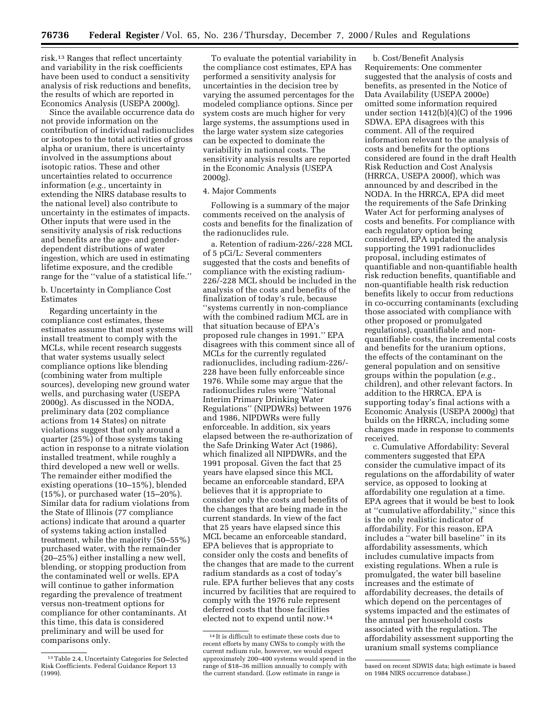risk.13 Ranges that reflect uncertainty and variability in the risk coefficients have been used to conduct a sensitivity analysis of risk reductions and benefits, the results of which are reported in Economics Analysis (USEPA 2000g).

Since the available occurrence data do not provide information on the contribution of individual radionuclides or isotopes to the total activities of gross alpha or uranium, there is uncertainty involved in the assumptions about isotopic ratios. These and other uncertainties related to occurrence information (*e.g.,* uncertainty in extending the NIRS database results to the national level) also contribute to uncertainty in the estimates of impacts. Other inputs that were used in the sensitivity analysis of risk reductions and benefits are the age- and genderdependent distributions of water ingestion, which are used in estimating lifetime exposure, and the credible range for the ''value of a statistical life.''

b. Uncertainty in Compliance Cost Estimates

Regarding uncertainty in the compliance cost estimates, these estimates assume that most systems will install treatment to comply with the MCLs, while recent research suggests that water systems usually select compliance options like blending (combining water from multiple sources), developing new ground water wells, and purchasing water (USEPA 2000g). As discussed in the NODA, preliminary data (202 compliance actions from 14 States) on nitrate violations suggest that only around a quarter (25%) of those systems taking action in response to a nitrate violation installed treatment, while roughly a third developed a new well or wells. The remainder either modified the existing operations (10–15%), blended (15%), or purchased water (15–20%). Similar data for radium violations from the State of Illinois (77 compliance actions) indicate that around a quarter of systems taking action installed treatment, while the majority (50–55%) purchased water, with the remainder (20–25%) either installing a new well, blending, or stopping production from the contaminated well or wells. EPA will continue to gather information regarding the prevalence of treatment versus non-treatment options for compliance for other contaminants. At this time, this data is considered preliminary and will be used for comparisons only.

To evaluate the potential variability in the compliance cost estimates, EPA has performed a sensitivity analysis for uncertainties in the decision tree by varying the assumed percentages for the modeled compliance options. Since per system costs are much higher for very large systems, the assumptions used in the large water system size categories can be expected to dominate the variability in national costs. The sensitivity analysis results are reported in the Economic Analysis (USEPA 2000g).

### 4. Major Comments

Following is a summary of the major comments received on the analysis of costs and benefits for the finalization of the radionuclides rule.

a. Retention of radium-226/-228 MCL of 5 pCi/L: Several commenters suggested that the costs and benefits of compliance with the existing radium-226/-228 MCL should be included in the analysis of the costs and benefits of the finalization of today's rule, because ''systems currently in non-compliance with the combined radium MCL are in that situation because of EPA's proposed rule changes in 1991.'' EPA disagrees with this comment since all of MCLs for the currently regulated radionuclides, including radium-226/- 228 have been fully enforceable since 1976. While some may argue that the radionuclides rules were ''National Interim Primary Drinking Water Regulations'' (NIPDWRs) between 1976 and 1986, NIPDWRs were fully enforceable. In addition, six years elapsed between the re-authorization of the Safe Drinking Water Act (1986), which finalized all NIPDWRs, and the 1991 proposal. Given the fact that 25 years have elapsed since this MCL became an enforceable standard, EPA believes that it is appropriate to consider only the costs and benefits of the changes that are being made in the current standards. In view of the fact that 25 years have elapsed since this MCL became an enforceable standard, EPA believes that is appropriate to consider only the costs and benefits of the changes that are made to the current radium standards as a cost of today's rule. EPA further believes that any costs incurred by facilities that are required to comply with the 1976 rule represent deferred costs that those facilities elected not to expend until now.14

b. Cost/Benefit Analysis Requirements: One commenter suggested that the analysis of costs and benefits, as presented in the Notice of Data Availability (USEPA 2000e) omitted some information required under section 1412(b)(4)(C) of the 1996 SDWA. EPA disagrees with this comment. All of the required information relevant to the analysis of costs and benefits for the options considered are found in the draft Health Risk Reduction and Cost Analysis (HRRCA, USEPA 2000f), which was announced by and described in the NODA. In the HRRCA, EPA did meet the requirements of the Safe Drinking Water Act for performing analyses of costs and benefits. For compliance with each regulatory option being considered, EPA updated the analysis supporting the 1991 radionuclides proposal, including estimates of quantifiable and non-quantifiable health risk reduction benefits, quantifiable and non-quantifiable health risk reduction benefits likely to occur from reductions in co-occurring contaminants (excluding those associated with compliance with other proposed or promulgated regulations), quantifiable and nonquantifiable costs, the incremental costs and benefits for the uranium options, the effects of the contaminant on the general population and on sensitive groups within the population (*e.g.,* children), and other relevant factors. In addition to the HRRCA, EPA is supporting today's final actions with a Economic Analysis (USEPA 2000g) that builds on the HRRCA, including some changes made in response to comments received.

c. Cumulative Affordability: Several commenters suggested that EPA consider the cumulative impact of its regulations on the affordability of water service, as opposed to looking at affordability one regulation at a time. EPA agrees that it would be best to look at ''cumulative affordability,'' since this is the only realistic indicator of affordability. For this reason, EPA includes a ''water bill baseline'' in its affordability assessments, which includes cumulative impacts from existing regulations. When a rule is promulgated, the water bill baseline increases and the estimate of affordability decreases, the details of which depend on the percentages of systems impacted and the estimates of the annual per household costs associated with the regulation. The affordability assessment supporting the uranium small systems compliance

<sup>13</sup>Table 2.4, Uncertainty Categories for Selected Risk Coefficients. Federal Guidance Report 13 (1999).

<sup>14</sup> It is difficult to estimate these costs due to recent efforts by many CWSs to comply with the current radium rule, however, we would expect approximately 200–400 systems would spend in the range of \$18–36 million annually to comply with the current standard. (Low estimate in range is

based on recent SDWIS data; high estimate is based on 1984 NIRS occurrence database.)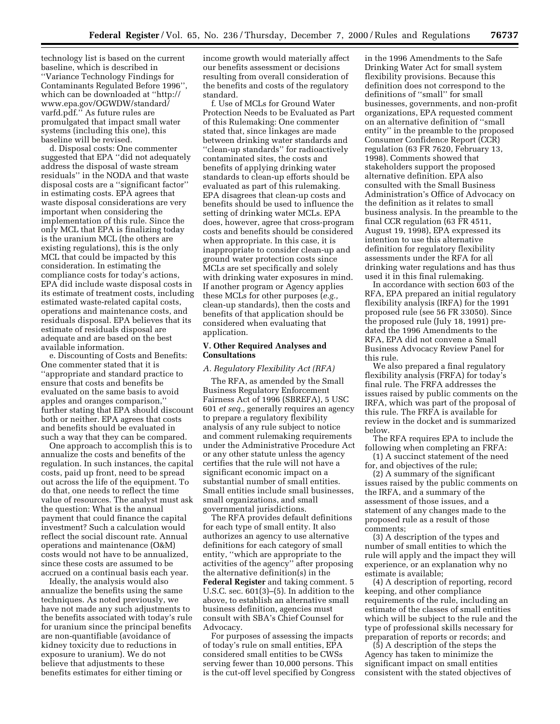technology list is based on the current baseline, which is described in ''Variance Technology Findings for Contaminants Regulated Before 1996'', which can be downloaded at ''http:// www.epa.gov/OGWDW/standard/ varfd.pdf.'' As future rules are promulgated that impact small water systems (including this one), this baseline will be revised.

d. Disposal costs: One commenter suggested that EPA ''did not adequately address the disposal of waste stream residuals'' in the NODA and that waste disposal costs are a ''significant factor'' in estimating costs. EPA agrees that waste disposal considerations are very important when considering the implementation of this rule. Since the only MCL that EPA is finalizing today is the uranium MCL (the others are existing regulations), this is the only MCL that could be impacted by this consideration. In estimating the compliance costs for today's actions, EPA did include waste disposal costs in its estimate of treatment costs, including estimated waste-related capital costs, operations and maintenance costs, and residuals disposal. EPA believes that its estimate of residuals disposal are adequate and are based on the best available information.

e. Discounting of Costs and Benefits: One commenter stated that it is ''appropriate and standard practice to ensure that costs and benefits be evaluated on the same basis to avoid apples and oranges comparison,'' further stating that EPA should discount both or neither. EPA agrees that costs and benefits should be evaluated in such a way that they can be compared.

One approach to accomplish this is to annualize the costs and benefits of the regulation. In such instances, the capital costs, paid up front, need to be spread out across the life of the equipment. To do that, one needs to reflect the time value of resources. The analyst must ask the question: What is the annual payment that could finance the capital investment? Such a calculation would reflect the social discount rate. Annual operations and maintenance (O&M) costs would not have to be annualized, since these costs are assumed to be accrued on a continual basis each year.

Ideally, the analysis would also annualize the benefits using the same techniques. As noted previously, we have not made any such adjustments to the benefits associated with today's rule for uranium since the principal benefits are non-quantifiable (avoidance of kidney toxicity due to reductions in exposure to uranium). We do not believe that adjustments to these benefits estimates for either timing or

income growth would materially affect our benefits assessment or decisions resulting from overall consideration of the benefits and costs of the regulatory standard.

f. Use of MCLs for Ground Water Protection Needs to be Evaluated as Part of this Rulemaking: One commenter stated that, since linkages are made between drinking water standards and ''clean-up standards'' for radioactively contaminated sites, the costs and benefits of applying drinking water standards to clean-up efforts should be evaluated as part of this rulemaking. EPA disagrees that clean-up costs and benefits should be used to influence the setting of drinking water MCLs. EPA does, however, agree that cross-program costs and benefits should be considered when appropriate. In this case, it is inappropriate to consider clean-up and ground water protection costs since MCLs are set specifically and solely with drinking water exposures in mind. If another program or Agency applies these MCLs for other purposes (*e.g.,* clean-up standards), then the costs and benefits of that application should be considered when evaluating that application.

### **V. Other Required Analyses and Consultations**

#### *A. Regulatory Flexibility Act (RFA)*

The RFA, as amended by the Small Business Regulatory Enforcement Fairness Act of 1996 (SBREFA), 5 USC 601 *et seq.,* generally requires an agency to prepare a regulatory flexibility analysis of any rule subject to notice and comment rulemaking requirements under the Administrative Procedure Act or any other statute unless the agency certifies that the rule will not have a significant economic impact on a substantial number of small entities. Small entities include small businesses, small organizations, and small governmental jurisdictions.

The RFA provides default definitions for each type of small entity. It also authorizes an agency to use alternative definitions for each category of small entity, ''which are appropriate to the activities of the agency'' after proposing the alternative definition(s) in the **Federal Register** and taking comment. 5 U.S.C. sec. 601(3)–(5). In addition to the above, to establish an alternative small business definition, agencies must consult with SBA's Chief Counsel for Advocacy.

For purposes of assessing the impacts of today's rule on small entities, EPA considered small entities to be CWSs serving fewer than 10,000 persons. This is the cut-off level specified by Congress in the 1996 Amendments to the Safe Drinking Water Act for small system flexibility provisions. Because this definition does not correspond to the definitions of ''small'' for small businesses, governments, and non-profit organizations, EPA requested comment on an alternative definition of ''small entity'' in the preamble to the proposed Consumer Confidence Report (CCR) regulation (63 FR 7620, February 13, 1998). Comments showed that stakeholders support the proposed alternative definition. EPA also consulted with the Small Business Administration's Office of Advocacy on the definition as it relates to small business analysis. In the preamble to the final CCR regulation (63 FR 4511, August 19, 1998), EPA expressed its intention to use this alternative definition for regulatory flexibility assessments under the RFA for all drinking water regulations and has thus used it in this final rulemaking.

In accordance with section 603 of the RFA, EPA prepared an initial regulatory flexibility analysis (IRFA) for the 1991 proposed rule (see 56 FR 33050). Since the proposed rule (July 18, 1991) predated the 1996 Amendments to the RFA, EPA did not convene a Small Business Advocacy Review Panel for this rule.

We also prepared a final regulatory flexibility analysis (FRFA) for today's final rule. The FRFA addresses the issues raised by public comments on the IRFA, which was part of the proposal of this rule. The FRFA is available for review in the docket and is summarized below.

The RFA requires EPA to include the following when completing an FRFA:

(1) A succinct statement of the need for, and objectives of the rule;

(2) A summary of the significant issues raised by the public comments on the IRFA, and a summary of the assessment of those issues, and a statement of any changes made to the proposed rule as a result of those comments;

(3) A description of the types and number of small entities to which the rule will apply and the impact they will experience, or an explanation why no estimate is available;

(4) A description of reporting, record keeping, and other compliance requirements of the rule, including an estimate of the classes of small entities which will be subject to the rule and the type of professional skills necessary for preparation of reports or records; and

(5) A description of the steps the Agency has taken to minimize the significant impact on small entities consistent with the stated objectives of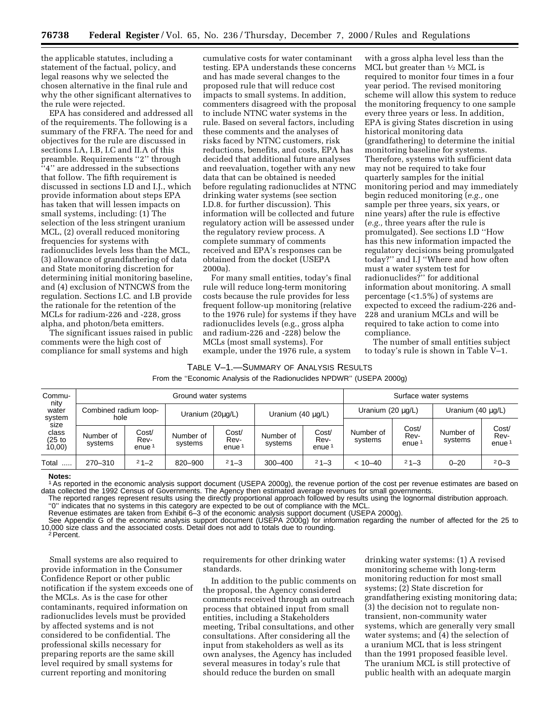the applicable statutes, including a statement of the factual, policy, and legal reasons why we selected the chosen alternative in the final rule and why the other significant alternatives to the rule were rejected.

EPA has considered and addressed all of the requirements. The following is a summary of the FRFA. The need for and objectives for the rule are discussed in sections I.A, I.B, I.C and II.A of this preamble. Requirements ''2'' through ''4'' are addressed in the subsections that follow. The fifth requirement is discussed in sections I.D and I.J., which provide information about steps EPA has taken that will lessen impacts on small systems, including: (1) The selection of the less stringent uranium MCL, (2) overall reduced monitoring frequencies for systems with radionuclides levels less than the MCL, (3) allowance of grandfathering of data and State monitoring discretion for determining initial monitoring baseline, and (4) exclusion of NTNCWS from the regulation. Sections I.C. and I.B provide the rationale for the retention of the MCLs for radium-226 and -228, gross alpha, and photon/beta emitters.

The significant issues raised in public comments were the high cost of compliance for small systems and high

cumulative costs for water contaminant testing. EPA understands these concerns and has made several changes to the proposed rule that will reduce cost impacts to small systems. In addition, commenters disagreed with the proposal to include NTNC water systems in the rule. Based on several factors, including these comments and the analyses of risks faced by NTNC customers, risk reductions, benefits, and costs, EPA has decided that additional future analyses and reevaluation, together with any new data that can be obtained is needed before regulating radionuclides at NTNC drinking water systems (see section I.D.8. for further discussion). This information will be collected and future regulatory action will be assessed under the regulatory review process. A complete summary of comments received and EPA's responses can be obtained from the docket (USEPA 2000a).

For many small entities, today's final rule will reduce long-term monitoring costs because the rule provides for less frequent follow-up monitoring (relative to the 1976 rule) for systems if they have radionuclides levels (e.g., gross alpha and radium-226 and -228) below the MCLs (most small systems). For example, under the 1976 rule, a system

with a gross alpha level less than the MCL but greater than  $\frac{1}{2}$  MCL is required to monitor four times in a four year period. The revised monitoring scheme will allow this system to reduce the monitoring frequency to one sample every three years or less. In addition, EPA is giving States discretion in using historical monitoring data (grandfathering) to determine the initial monitoring baseline for systems. Therefore, systems with sufficient data may not be required to take four quarterly samples for the initial monitoring period and may immediately begin reduced monitoring (*e.g.,* one sample per three years, six years, or nine years) after the rule is effective (*e.g.,* three years after the rule is promulgated). See sections I.D ''How has this new information impacted the regulatory decisions being promulgated today?'' and I.J ''Where and how often must a water system test for radionuclides?'' for additional information about monitoring. A small percentage (<1.5%) of systems are expected to exceed the radium-226 and-228 and uranium MCLs and will be required to take action to come into compliance.

The number of small entities subject to today's rule is shown in Table V–1.

### TABLE V–1.—SUMMARY OF ANALYSIS RESULTS

From the ''Economic Analysis of the Radionuclides NPDWR'' (USEPA 2000g)

| Commu-<br>nity                               |                               | Ground water systems               |                      |                                    |                      |                                    |                      | Surface water systems              |                        |                                    |  |  |
|----------------------------------------------|-------------------------------|------------------------------------|----------------------|------------------------------------|----------------------|------------------------------------|----------------------|------------------------------------|------------------------|------------------------------------|--|--|
| water                                        | Combined radium loop-<br>hole |                                    | Uranium (20µg/L)     |                                    | Uranium (40 µg/L)    |                                    | Uranium (20 µg/L)    |                                    | Uranium $(40 \mu g/L)$ |                                    |  |  |
| system<br>size<br>class<br>(25 to<br>(10,00) | Number of<br>systems          | Cost/<br>Rev-<br>enue <sup>1</sup> | Number of<br>systems | Cost/<br>Rev-<br>enue <sup>®</sup> | Number of<br>systems | Cost/<br>Rev-<br>enue <sup>1</sup> | Number of<br>systems | Cost/<br>Rev-<br>enue <sup>1</sup> | Number of<br>systems   | Cost/<br>Rev-<br>enue <sup>1</sup> |  |  |
| Total                                        | $270 - 310$                   | $21 - 2$                           | 820-900              | $21 - 3$                           | $300 - 400$          | $21 - 3$                           | $< 10 - 40$          | $21 - 3$                           | $0 - 20$               | $20 - 3$                           |  |  |

### **Notes:**

<sup>1</sup> As reported in the economic analysis support document (USEPA 2000g), the revenue portion of the cost per revenue estimates are based on data collected the 1992 Census of Governments. The Agency then estimated average revenues for small governments.

The reported ranges represent results using the directly proportional approach followed by results using the lognormal distribution approach.

''0'' indicates that no systems in this category are expected to be out of compliance with the MCL.

Revenue estimates are taken from Exhibit 6–3 of the economic analysis support document (USEPA 2000g).

See Appendix G of the economic analysis support document (USEPA 2000g) for information regarding the number of affected for the 25 to 10,000 size class and the associated costs. Detail does not add to totals due to rounding.<br><sup>2</sup> Percent.

Small systems are also required to provide information in the Consumer Confidence Report or other public notification if the system exceeds one of the MCLs. As is the case for other contaminants, required information on radionuclides levels must be provided by affected systems and is not considered to be confidential. The professional skills necessary for preparing reports are the same skill level required by small systems for current reporting and monitoring

requirements for other drinking water standards.

In addition to the public comments on the proposal, the Agency considered comments received through an outreach process that obtained input from small entities, including a Stakeholders meeting, Tribal consultations, and other consultations. After considering all the input from stakeholders as well as its own analyses, the Agency has included several measures in today's rule that should reduce the burden on small

drinking water systems: (1) A revised monitoring scheme with long-term monitoring reduction for most small systems; (2) State discretion for grandfathering existing monitoring data; (3) the decision not to regulate nontransient, non-community water systems, which are generally very small water systems; and (4) the selection of a uranium MCL that is less stringent than the 1991 proposed feasible level. The uranium MCL is still protective of public health with an adequate margin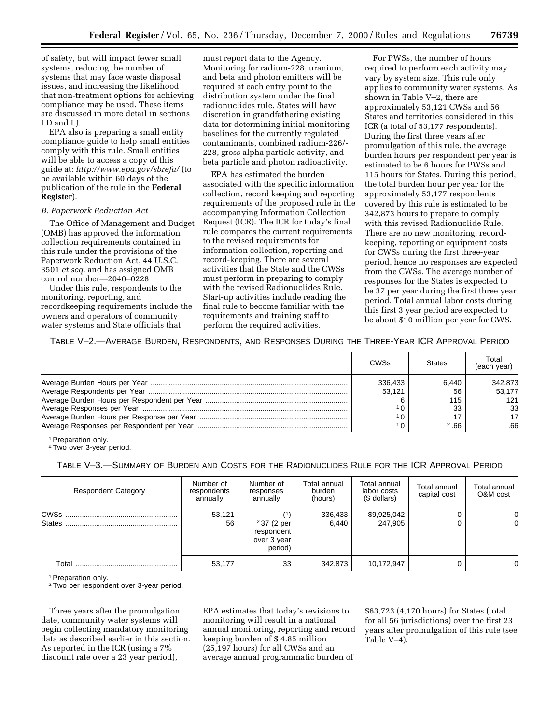of safety, but will impact fewer small systems, reducing the number of systems that may face waste disposal issues, and increasing the likelihood that non-treatment options for achieving compliance may be used. These items are discussed in more detail in sections I.D and I.J.

EPA also is preparing a small entity compliance guide to help small entities comply with this rule. Small entities will be able to access a copy of this guide at: *http://www.epa.gov/sbrefa/* (to be available within 60 days of the publication of the rule in the **Federal Register**).

### *B. Paperwork Reduction Act*

The Office of Management and Budget (OMB) has approved the information collection requirements contained in this rule under the provisions of the Paperwork Reduction Act, 44 U.S.C. 3501 *et seq.* and has assigned OMB control number—2040–0228

Under this rule, respondents to the monitoring, reporting, and recordkeeping requirements include the owners and operators of community water systems and State officials that

must report data to the Agency. Monitoring for radium-228, uranium, and beta and photon emitters will be required at each entry point to the distribution system under the final radionuclides rule. States will have discretion in grandfathering existing data for determining initial monitoring baselines for the currently regulated contaminants, combined radium-226/- 228, gross alpha particle activity, and beta particle and photon radioactivity.

EPA has estimated the burden associated with the specific information collection, record keeping and reporting requirements of the proposed rule in the accompanying Information Collection Request (ICR). The ICR for today's final rule compares the current requirements to the revised requirements for information collection, reporting and record-keeping. There are several activities that the State and the CWSs must perform in preparing to comply with the revised Radionuclides Rule. Start-up activities include reading the final rule to become familiar with the requirements and training staff to perform the required activities.

For PWSs, the number of hours required to perform each activity may vary by system size. This rule only applies to community water systems. As shown in Table V–2, there are approximately 53,121 CWSs and 56 States and territories considered in this ICR (a total of 53,177 respondents). During the first three years after promulgation of this rule, the average burden hours per respondent per year is estimated to be 6 hours for PWSs and 115 hours for States. During this period, the total burden hour per year for the approximately 53,177 respondents covered by this rule is estimated to be 342,873 hours to prepare to comply with this revised Radionuclide Rule. There are no new monitoring, recordkeeping, reporting or equipment costs for CWSs during the first three-year period, hence no responses are expected from the CWSs. The average number of responses for the States is expected to be 37 per year during the first three year period. Total annual labor costs during this first 3 year period are expected to be about \$10 million per year for CWS.

TABLE V–2.—AVERAGE BURDEN, RESPONDENTS, AND RESPONSES DURING THE THREE-YEAR ICR APPROVAL PERIOD

| CWSs    | <b>States</b> | Total<br>(each year) |
|---------|---------------|----------------------|
| 336,433 | 6.440         | 342,873              |
| 53.121  | 56            | 53,177               |
|         | 115           | 121                  |
| 1 ∩     | 33            | 33                   |
| ח ו     |               | 17                   |
| ח ו     | 2.66          | .66                  |

<sup>1</sup> Preparation only.

2Two over 3-year period.

TABLE V–3.—SUMMARY OF BURDEN AND COSTS FOR THE RADIONUCLIDES RULE FOR THE ICR APPROVAL PERIOD

| <b>Respondent Category</b> | Number of<br>respondents<br>annually | Number of<br>responses<br>annually                                    | Total annual<br>burden<br>(hours) | Total annual<br>labor costs<br>(\$ dollars) | Total annual<br>capital cost | Total annual<br>O&M cost |
|----------------------------|--------------------------------------|-----------------------------------------------------------------------|-----------------------------------|---------------------------------------------|------------------------------|--------------------------|
| <b>States</b>              | 53,121<br>56                         | (1)<br><sup>2</sup> 37 (2 per<br>respondent<br>over 3 year<br>period) | 336,433<br>6.440                  | \$9,925,042<br>247.905                      | υ                            | 0<br>0                   |
| Total                      | 53,177                               | 33                                                                    | 342.873                           | 10,172,947                                  | υ                            | $\Omega$                 |

1Preparation only.

2Two per respondent over 3-year period.

Three years after the promulgation date, community water systems will begin collecting mandatory monitoring data as described earlier in this section. As reported in the ICR (using a 7% discount rate over a 23 year period),

EPA estimates that today's revisions to monitoring will result in a national annual monitoring, reporting and record keeping burden of \$ 4.85 million (25,197 hours) for all CWSs and an average annual programmatic burden of

\$63,723 (4,170 hours) for States (total for all 56 jurisdictions) over the first 23 years after promulgation of this rule (see Table V–4).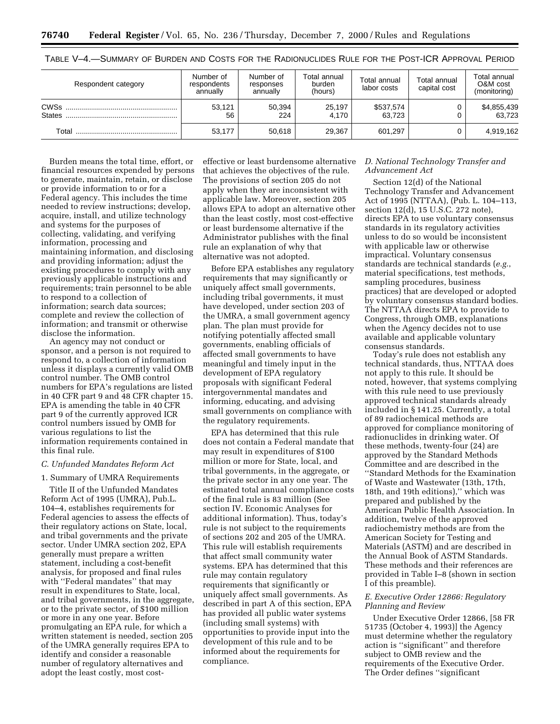| Respondent category          | Number of<br>respondents<br>annually | Number of<br>responses<br>annually | Total annual<br>burden<br>(hours) | Total annual<br>labor costs | Total annual<br>capital cost | Total annual<br>O&M cost<br>(monitoring) |
|------------------------------|--------------------------------------|------------------------------------|-----------------------------------|-----------------------------|------------------------------|------------------------------------------|
| <b>CWSs</b><br><b>States</b> | 53.121<br>56                         | 50,394<br>224                      | 25.197<br>4.170                   | \$537,574<br>63.723         |                              | \$4,855,439<br>63,723                    |
| Total                        | 53.177                               | 50.618                             | 29.367                            | 601.297                     |                              | 4,919,162                                |

TABLE V–4.—SUMMARY OF BURDEN AND COSTS FOR THE RADIONUCLIDES RULE FOR THE POST-ICR APPROVAL PERIOD

Burden means the total time, effort, or financial resources expended by persons to generate, maintain, retain, or disclose or provide information to or for a Federal agency. This includes the time needed to review instructions; develop, acquire, install, and utilize technology and systems for the purposes of collecting, validating, and verifying information, processing and maintaining information, and disclosing and providing information; adjust the existing procedures to comply with any previously applicable instructions and requirements; train personnel to be able to respond to a collection of information; search data sources; complete and review the collection of information; and transmit or otherwise disclose the information.

An agency may not conduct or sponsor, and a person is not required to respond to, a collection of information unless it displays a currently valid OMB control number. The OMB control numbers for EPA's regulations are listed in 40 CFR part 9 and 48 CFR chapter 15. EPA is amending the table in 40 CFR part 9 of the currently approved ICR control numbers issued by OMB for various regulations to list the information requirements contained in this final rule.

### *C. Unfunded Mandates Reform Act*

### 1. Summary of UMRA Requirements

Title II of the Unfunded Mandates Reform Act of 1995 (UMRA), Pub.L. 104–4, establishes requirements for Federal agencies to assess the effects of their regulatory actions on State, local, and tribal governments and the private sector. Under UMRA section 202, EPA generally must prepare a written statement, including a cost-benefit analysis, for proposed and final rules with ''Federal mandates'' that may result in expenditures to State, local, and tribal governments, in the aggregate, or to the private sector, of \$100 million or more in any one year. Before promulgating an EPA rule, for which a written statement is needed, section 205 of the UMRA generally requires EPA to identify and consider a reasonable number of regulatory alternatives and adopt the least costly, most cost-

effective or least burdensome alternative that achieves the objectives of the rule. The provisions of section 205 do not apply when they are inconsistent with applicable law. Moreover, section 205 allows EPA to adopt an alternative other than the least costly, most cost-effective or least burdensome alternative if the Administrator publishes with the final rule an explanation of why that alternative was not adopted.

Before EPA establishes any regulatory requirements that may significantly or uniquely affect small governments, including tribal governments, it must have developed, under section 203 of the UMRA, a small government agency plan. The plan must provide for notifying potentially affected small governments, enabling officials of affected small governments to have meaningful and timely input in the development of EPA regulatory proposals with significant Federal intergovernmental mandates and informing, educating, and advising small governments on compliance with the regulatory requirements.

EPA has determined that this rule does not contain a Federal mandate that may result in expenditures of \$100 million or more for State, local, and tribal governments, in the aggregate, or the private sector in any one year. The estimated total annual compliance costs of the final rule is 83 million (See section IV. Economic Analyses for additional information). Thus, today's rule is not subject to the requirements of sections 202 and 205 of the UMRA. This rule will establish requirements that affect small community water systems. EPA has determined that this rule may contain regulatory requirements that significantly or uniquely affect small governments. As described in part A of this section, EPA has provided all public water systems (including small systems) with opportunities to provide input into the development of this rule and to be informed about the requirements for compliance.

### *D. National Technology Transfer and Advancement Act*

Section 12(d) of the National Technology Transfer and Advancement Act of 1995 (NTTAA), (Pub. L. 104–113, section 12(d), 15 U.S.C. 272 note), directs EPA to use voluntary consensus standards in its regulatory activities unless to do so would be inconsistent with applicable law or otherwise impractical. Voluntary consensus standards are technical standards (*e.g.*, material specifications, test methods, sampling procedures, business practices) that are developed or adopted by voluntary consensus standard bodies. The NTTAA directs EPA to provide to Congress, through OMB, explanations when the Agency decides not to use available and applicable voluntary consensus standards.

Today's rule does not establish any technical standards, thus, NTTAA does not apply to this rule. It should be noted, however, that systems complying with this rule need to use previously approved technical standards already included in § 141.25. Currently, a total of 89 radiochemical methods are approved for compliance monitoring of radionuclides in drinking water. Of these methods, twenty-four (24) are approved by the Standard Methods Committee and are described in the ''Standard Methods for the Examination of Waste and Wastewater (13th, 17th, 18th, and 19th editions),'' which was prepared and published by the American Public Health Association. In addition, twelve of the approved radiochemistry methods are from the American Society for Testing and Materials (ASTM) and are described in the Annual Book of ASTM Standards. These methods and their references are provided in Table I–8 (shown in section I of this preamble).

### *E. Executive Order 12866: Regulatory Planning and Review*

Under Executive Order 12866, [58 FR 51735 (October 4, 1993)] the Agency must determine whether the regulatory action is ''significant'' and therefore subject to OMB review and the requirements of the Executive Order. The Order defines ''significant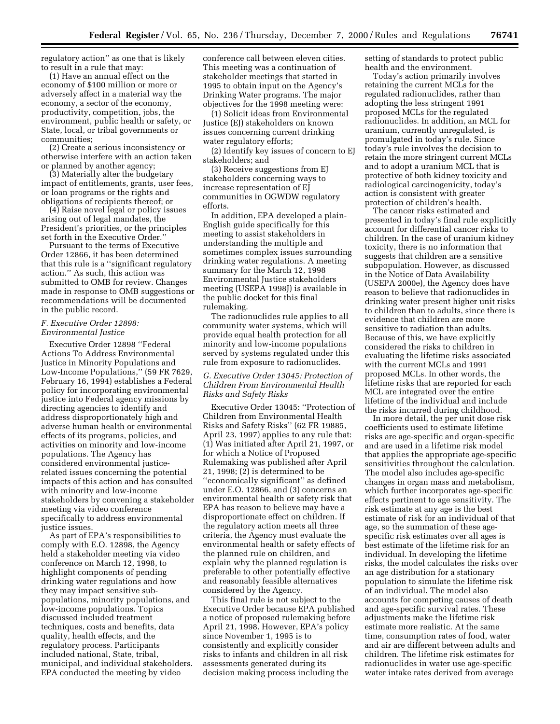regulatory action'' as one that is likely to result in a rule that may:

(1) Have an annual effect on the economy of \$100 million or more or adversely affect in a material way the economy, a sector of the economy, productivity, competition, jobs, the environment, public health or safety, or State, local, or tribal governments or communities;

(2) Create a serious inconsistency or otherwise interfere with an action taken or planned by another agency;

(3) Materially alter the budgetary impact of entitlements, grants, user fees, or loan programs or the rights and obligations of recipients thereof; or

(4) Raise novel legal or policy issues arising out of legal mandates, the President's priorities, or the principles set forth in the Executive Order.''

Pursuant to the terms of Executive Order 12866, it has been determined that this rule is a ''significant regulatory action.'' As such, this action was submitted to OMB for review. Changes made in response to OMB suggestions or recommendations will be documented in the public record.

### *F. Executive Order 12898: Environmental Justice*

Executive Order 12898 ''Federal Actions To Address Environmental Justice in Minority Populations and Low-Income Populations,'' (59 FR 7629, February 16, 1994) establishes a Federal policy for incorporating environmental justice into Federal agency missions by directing agencies to identify and address disproportionately high and adverse human health or environmental effects of its programs, policies, and activities on minority and low-income populations. The Agency has considered environmental justicerelated issues concerning the potential impacts of this action and has consulted with minority and low-income stakeholders by convening a stakeholder meeting via video conference specifically to address environmental justice issues.

As part of EPA's responsibilities to comply with E.O. 12898, the Agency held a stakeholder meeting via video conference on March 12, 1998, to highlight components of pending drinking water regulations and how they may impact sensitive subpopulations, minority populations, and low-income populations. Topics discussed included treatment techniques, costs and benefits, data quality, health effects, and the regulatory process. Participants included national, State, tribal, municipal, and individual stakeholders. EPA conducted the meeting by video

conference call between eleven cities. This meeting was a continuation of stakeholder meetings that started in 1995 to obtain input on the Agency's Drinking Water programs. The major objectives for the 1998 meeting were:

(1) Solicit ideas from Environmental Justice (EJ) stakeholders on known issues concerning current drinking water regulatory efforts;

(2) Identify key issues of concern to EJ stakeholders; and

(3) Receive suggestions from EJ stakeholders concerning ways to increase representation of EJ communities in OGWDW regulatory efforts.

In addition, EPA developed a plain-English guide specifically for this meeting to assist stakeholders in understanding the multiple and sometimes complex issues surrounding drinking water regulations. A meeting summary for the March 12, 1998 Environmental Justice stakeholders meeting (USEPA 1998J) is available in the public docket for this final rulemaking.

The radionuclides rule applies to all community water systems, which will provide equal health protection for all minority and low-income populations served by systems regulated under this rule from exposure to radionuclides.

### *G. Executive Order 13045: Protection of Children From Environmental Health Risks and Safety Risks*

Executive Order 13045: ''Protection of Children from Environmental Health Risks and Safety Risks'' (62 FR 19885, April 23, 1997) applies to any rule that: (1) Was initiated after April 21, 1997, or for which a Notice of Proposed Rulemaking was published after April 21, 1998; (2) is determined to be ''economically significant'' as defined under E.O. 12866, and (3) concerns an environmental health or safety risk that EPA has reason to believe may have a disproportionate effect on children. If the regulatory action meets all three criteria, the Agency must evaluate the environmental health or safety effects of the planned rule on children, and explain why the planned regulation is preferable to other potentially effective and reasonably feasible alternatives considered by the Agency.

This final rule is not subject to the Executive Order because EPA published a notice of proposed rulemaking before April 21, 1998. However, EPA's policy since November 1, 1995 is to consistently and explicitly consider risks to infants and children in all risk assessments generated during its decision making process including the

setting of standards to protect public health and the environment.

Today's action primarily involves retaining the current MCLs for the regulated radionuclides, rather than adopting the less stringent 1991 proposed MCLs for the regulated radionuclides. In addition, an MCL for uranium, currently unregulated, is promulgated in today's rule. Since today's rule involves the decision to retain the more stringent current MCLs and to adopt a uranium MCL that is protective of both kidney toxicity and radiological carcinogenicity, today's action is consistent with greater protection of children's health.

The cancer risks estimated and presented in today's final rule explicitly account for differential cancer risks to children. In the case of uranium kidney toxicity, there is no information that suggests that children are a sensitive subpopulation. However, as discussed in the Notice of Data Availability (USEPA 2000e), the Agency does have reason to believe that radionuclides in drinking water present higher unit risks to children than to adults, since there is evidence that children are more sensitive to radiation than adults. Because of this, we have explicitly considered the risks to children in evaluating the lifetime risks associated with the current MCLs and 1991 proposed MCLs. In other words, the lifetime risks that are reported for each MCL are integrated over the entire lifetime of the individual and include the risks incurred during childhood.

In more detail, the per unit dose risk coefficients used to estimate lifetime risks are age-specific and organ-specific and are used in a lifetime risk model that applies the appropriate age-specific sensitivities throughout the calculation. The model also includes age-specific changes in organ mass and metabolism, which further incorporates age-specific effects pertinent to age sensitivity. The risk estimate at any age is the best estimate of risk for an individual of that age, so the summation of these agespecific risk estimates over all ages is best estimate of the lifetime risk for an individual. In developing the lifetime risks, the model calculates the risks over an age distribution for a stationary population to simulate the lifetime risk of an individual. The model also accounts for competing causes of death and age-specific survival rates. These adjustments make the lifetime risk estimate more realistic. At the same time, consumption rates of food, water and air are different between adults and children. The lifetime risk estimates for radionuclides in water use age-specific water intake rates derived from average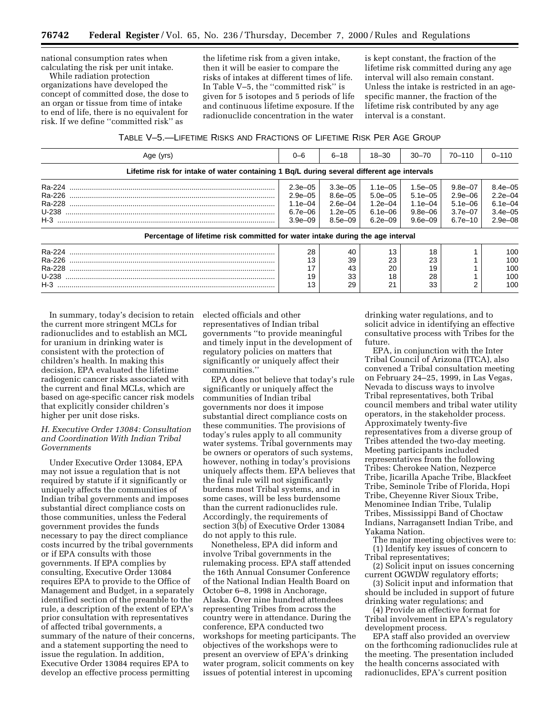national consumption rates when calculating the risk per unit intake.

While radiation protection organizations have developed the concept of committed dose, the dose to an organ or tissue from time of intake to end of life, there is no equivalent for risk. If we define ''committed risk'' as

the lifetime risk from a given intake, then it will be easier to compare the risks of intakes at different times of life. In Table V–5, the ''committed risk'' is given for 5 isotopes and 5 periods of life and continuous lifetime exposure. If the radionuclide concentration in the water

is kept constant, the fraction of the lifetime risk committed during any age interval will also remain constant. Unless the intake is restricted in an agespecific manner, the fraction of the lifetime risk contributed by any age interval is a constant.

TABLE V–5.—LIFETIME RISKS AND FRACTIONS OF LIFETIME RISK PER AGE GROUP

| Age (yrs)                                                                                  | $0 - 6$      | $6 - 18$     | $18 - 30$    | $30 - 70$    | $70 - 110$  | $0 - 110$   |
|--------------------------------------------------------------------------------------------|--------------|--------------|--------------|--------------|-------------|-------------|
| Lifetime risk for intake of water containing 1 Bq/L during several different age intervals |              |              |              |              |             |             |
| Ra-224                                                                                     | $2.3e - 0.5$ | $3.3e - 0.5$ | $1.1e - 0.5$ | $1.5e - 0.5$ | $9.8e - 07$ | $8.4e - 05$ |
| Ra-226                                                                                     | $2.9e - 0.5$ | 8.6e-05      | $5.0e - 0.5$ | $5.1e - 0.5$ | $2.9e - 06$ | $2.2e - 04$ |
| Ra-228                                                                                     | $1.1e - 04$  | 2.6e–04      | $1.2e - 04$  | $1.1e - 04$  | $5.1e - 06$ | $6.1e - 04$ |
| U-238                                                                                      | 6.7e-06      | $1.2e - 0.5$ | $6.1e - 06$  | $9.8e - 06$  | $3.7e - 07$ | $3.4e - 05$ |
|                                                                                            | $3.9e - 0.9$ | 8.5e–09      | $6.2e - 0.9$ | $9.6e - 0.9$ | $6.7e - 10$ | $2.9e - 08$ |
| Percentage of lifetime risk committed for water intake during the age interval             |              |              |              |              |             |             |
| Ra-224                                                                                     | 28           | 40           | 13           | 18           |             | 100         |
| Ra-226                                                                                     | 13           | 39           | 23           | 23           |             | 100         |
| Ra-228                                                                                     | 17           | 43           | 20           | 19           |             | 100         |
| U-238                                                                                      | 19           | 33           | 18           | 28           |             | 100         |
|                                                                                            | 13           | 29           | 21           | 33           |             | 100         |

In summary, today's decision to retain the current more stringent MCLs for radionuclides and to establish an MCL for uranium in drinking water is consistent with the protection of children's health. In making this decision, EPA evaluated the lifetime radiogenic cancer risks associated with the current and final MCLs, which are based on age-specific cancer risk models that explicitly consider children's higher per unit dose risks.

### *H. Executive Order 13084: Consultation and Coordination With Indian Tribal Governments*

Under Executive Order 13084, EPA may not issue a regulation that is not required by statute if it significantly or uniquely affects the communities of Indian tribal governments and imposes substantial direct compliance costs on those communities, unless the Federal government provides the funds necessary to pay the direct compliance costs incurred by the tribal governments or if EPA consults with those governments. If EPA complies by consulting, Executive Order 13084 requires EPA to provide to the Office of Management and Budget, in a separately identified section of the preamble to the rule, a description of the extent of EPA's prior consultation with representatives of affected tribal governments, a summary of the nature of their concerns, and a statement supporting the need to issue the regulation. In addition, Executive Order 13084 requires EPA to develop an effective process permitting

elected officials and other representatives of Indian tribal governments ''to provide meaningful and timely input in the development of regulatory policies on matters that significantly or uniquely affect their communities.''

EPA does not believe that today's rule significantly or uniquely affect the communities of Indian tribal governments nor does it impose substantial direct compliance costs on these communities. The provisions of today's rules apply to all community water systems. Tribal governments may be owners or operators of such systems, however, nothing in today's provisions uniquely affects them. EPA believes that the final rule will not significantly burdens most Tribal systems, and in some cases, will be less burdensome than the current radionuclides rule. Accordingly, the requirements of section 3(b) of Executive Order 13084 do not apply to this rule.

Nonetheless, EPA did inform and involve Tribal governments in the rulemaking process. EPA staff attended the 16th Annual Consumer Conference of the National Indian Health Board on October 6–8, 1998 in Anchorage, Alaska. Over nine hundred attendees representing Tribes from across the country were in attendance. During the conference, EPA conducted two workshops for meeting participants. The objectives of the workshops were to present an overview of EPA's drinking water program, solicit comments on key issues of potential interest in upcoming

drinking water regulations, and to solicit advice in identifying an effective consultative process with Tribes for the future.

EPA, in conjunction with the Inter Tribal Council of Arizona (ITCA), also convened a Tribal consultation meeting on February 24–25, 1999, in Las Vegas, Nevada to discuss ways to involve Tribal representatives, both Tribal council members and tribal water utility operators, in the stakeholder process. Approximately twenty-five representatives from a diverse group of Tribes attended the two-day meeting. Meeting participants included representatives from the following Tribes: Cherokee Nation, Nezperce Tribe, Jicarilla Apache Tribe, Blackfeet Tribe, Seminole Tribe of Florida, Hopi Tribe, Cheyenne River Sioux Tribe, Menominee Indian Tribe, Tulalip Tribes, Mississippi Band of Choctaw Indians, Narragansett Indian Tribe, and Yakama Nation.

The major meeting objectives were to: (1) Identify key issues of concern to Tribal representatives;

(2) Solicit input on issues concerning current OGWDW regulatory efforts;

(3) Solicit input and information that should be included in support of future drinking water regulations; and

(4) Provide an effective format for Tribal involvement in EPA's regulatory development process.

EPA staff also provided an overview on the forthcoming radionuclides rule at the meeting. The presentation included the health concerns associated with radionuclides, EPA's current position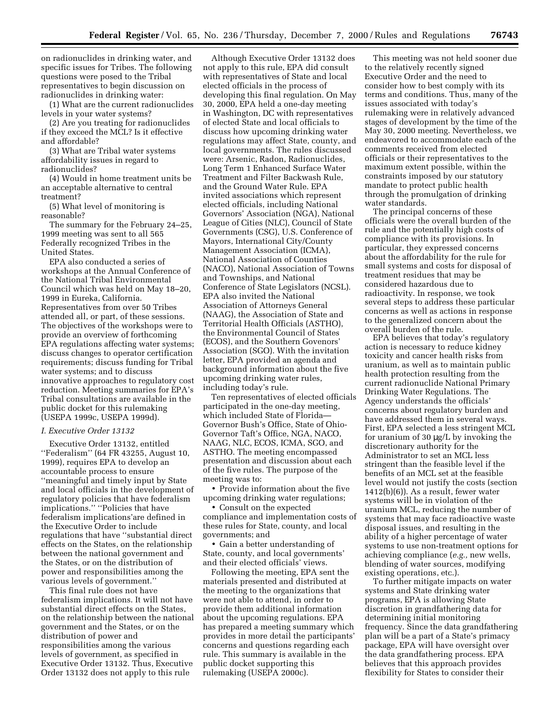on radionuclides in drinking water, and specific issues for Tribes. The following questions were posed to the Tribal representatives to begin discussion on radionuclides in drinking water:

(1) What are the current radionuclides levels in your water systems?

(2) Are you treating for radionuclides if they exceed the MCL? Is it effective and affordable?

(3) What are Tribal water systems affordability issues in regard to radionuclides?

(4) Would in home treatment units be an acceptable alternative to central treatment?

(5) What level of monitoring is reasonable?

The summary for the February 24–25, 1999 meeting was sent to all 565 Federally recognized Tribes in the United States.

EPA also conducted a series of workshops at the Annual Conference of the National Tribal Environmental Council which was held on May 18–20, 1999 in Eureka, California. Representatives from over 50 Tribes attended all, or part, of these sessions. The objectives of the workshops were to provide an overview of forthcoming EPA regulations affecting water systems; discuss changes to operator certification requirements; discuss funding for Tribal water systems; and to discuss innovative approaches to regulatory cost reduction. Meeting summaries for EPA's Tribal consultations are available in the public docket for this rulemaking (USEPA 1999c, USEPA 1999d).

### *I. Executive Order 13132*

Executive Order 13132, entitled ''Federalism'' (64 FR 43255, August 10, 1999), requires EPA to develop an accountable process to ensure ''meaningful and timely input by State and local officials in the development of regulatory policies that have federalism implications.'' ''Policies that have federalism implications'are defined in the Executive Order to include regulations that have ''substantial direct effects on the States, on the relationship between the national government and the States, or on the distribution of power and responsibilities among the various levels of government.''

This final rule does not have federalism implications. It will not have substantial direct effects on the States, on the relationship between the national government and the States, or on the distribution of power and responsibilities among the various levels of government, as specified in Executive Order 13132. Thus, Executive Order 13132 does not apply to this rule

Although Executive Order 13132 does not apply to this rule, EPA did consult with representatives of State and local elected officials in the process of developing this final regulation. On May 30, 2000, EPA held a one-day meeting in Washington, DC with representatives of elected State and local officials to discuss how upcoming drinking water regulations may affect State, county, and local governments. The rules discussed were: Arsenic, Radon, Radionuclides, Long Term 1 Enhanced Surface Water Treatment and Filter Backwash Rule, and the Ground Water Rule. EPA invited associations which represent elected officials, including National Governors' Association (NGA), National League of Cities (NLC), Council of State Governments (CSG), U.S. Conference of Mayors, International City/County Management Association (ICMA), National Association of Counties (NACO), National Association of Towns and Townships, and National Conference of State Legislators (NCSL). EPA also invited the National Association of Attorneys General (NAAG), the Association of State and Territorial Health Officials (ASTHO), the Environmental Council of States (ECOS), and the Southern Govenors' Association (SGO). With the invitation letter, EPA provided an agenda and background information about the five upcoming drinking water rules, including today's rule.

Ten representatives of elected officials participated in the one-day meeting, which included State of Florida— Governor Bush's Office, State of Ohio-Governor Taft's Office, NGA, NACO, NAAG, NLC, ECOS, ICMA, SGO, and ASTHO. The meeting encompassed presentation and discussion about each of the five rules. The purpose of the meeting was to:

• Provide information about the five upcoming drinking water regulations;

• Consult on the expected compliance and implementation costs of these rules for State, county, and local governments; and

• Gain a better understanding of State, county, and local governments' and their elected officials' views.

Following the meeting, EPA sent the materials presented and distributed at the meeting to the organizations that were not able to attend, in order to provide them additional information about the upcoming regulations. EPA has prepared a meeting summary which provides in more detail the participants' concerns and questions regarding each rule. This summary is available in the public docket supporting this rulemaking (USEPA 2000c).

This meeting was not held sooner due to the relatively recently signed Executive Order and the need to consider how to best comply with its terms and conditions. Thus, many of the issues associated with today's rulemaking were in relatively advanced stages of development by the time of the May 30, 2000 meeting. Nevertheless, we endeavored to accommodate each of the comments received from elected officials or their representatives to the maximum extent possible, within the constraints imposed by our statutory mandate to protect public health through the promulgation of drinking water standards.

The principal concerns of these officials were the overall burden of the rule and the potentially high costs of compliance with its provisions. In particular, they expressed concerns about the affordability for the rule for small systems and costs for disposal of treatment residues that may be considered hazardous due to radioactivity. In response, we took several steps to address these particular concerns as well as actions in response to the generalized concern about the overall burden of the rule.

EPA believes that today's regulatory action is necessary to reduce kidney toxicity and cancer health risks from uranium, as well as to maintain public health protection resulting from the current radionuclide National Primary Drinking Water Regulations. The Agency understands the officials' concerns about regulatory burden and have addressed them in several ways. First, EPA selected a less stringent MCL for uranium of 30 µg/L by invoking the discretionary authority for the Administrator to set an MCL less stringent than the feasible level if the benefits of an MCL set at the feasible level would not justify the costs (section 1412(b)(6)). As a result, fewer water systems will be in violation of the uranium MCL, reducing the number of systems that may face radioactive waste disposal issues, and resulting in the ability of a higher percentage of water systems to use non-treatment options for achieving compliance (*e.g.,* new wells, blending of water sources, modifying existing operations, etc.).

To further mitigate impacts on water systems and State drinking water programs, EPA is allowing State discretion in grandfathering data for determining initial monitoring frequency. Since the data grandfathering plan will be a part of a State's primacy package, EPA will have oversight over the data grandfathering process. EPA believes that this approach provides flexibility for States to consider their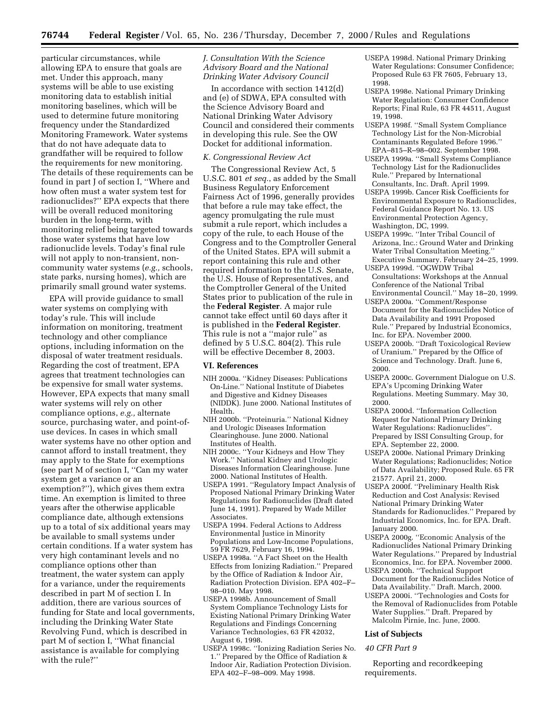particular circumstances, while allowing EPA to ensure that goals are met. Under this approach, many systems will be able to use existing monitoring data to establish initial monitoring baselines, which will be used to determine future monitoring frequency under the Standardized Monitoring Framework. Water systems that do not have adequate data to grandfather will be required to follow the requirements for new monitoring. The details of these requirements can be found in part J of section I, ''Where and how often must a water system test for radionuclides?'' EPA expects that there will be overall reduced monitoring burden in the long-term, with monitoring relief being targeted towards those water systems that have low radionuclide levels. Today's final rule will not apply to non-transient, noncommunity water systems (*e.g.,* schools, state parks, nursing homes), which are primarily small ground water systems.

EPA will provide guidance to small water systems on complying with today's rule. This will include information on monitoring, treatment technology and other compliance options, including information on the disposal of water treatment residuals. Regarding the cost of treatment, EPA agrees that treatment technologies can be expensive for small water systems. However, EPA expects that many small water systems will rely on other compliance options, *e.g.,* alternate source, purchasing water, and point-ofuse devices. In cases in which small water systems have no other option and cannot afford to install treatment, they may apply to the State for exemptions (see part M of section I, ''Can my water system get a variance or an exemption?''), which gives them extra time. An exemption is limited to three years after the otherwise applicable compliance date, although extensions up to a total of six additional years may be available to small systems under certain conditions. If a water system has very high contaminant levels and no compliance options other than treatment, the water system can apply for a variance, under the requirements described in part M of section I. In addition, there are various sources of funding for State and local governments, including the Drinking Water State Revolving Fund, which is described in part M of section I, ''What financial assistance is available for complying with the rule?''

### *J. Consultation With the Science Advisory Board and the National Drinking Water Advisory Council*

In accordance with section 1412(d) and (e) of SDWA, EPA consulted with the Science Advisory Board and National Drinking Water Advisory Council and considered their comments in developing this rule. See the OW Docket for additional information.

### *K. Congressional Review Act*

The Congressional Review Act, 5 U.S.C. 801 *et seq.*, as added by the Small Business Regulatory Enforcement Fairness Act of 1996, generally provides that before a rule may take effect, the agency promulgating the rule must submit a rule report, which includes a copy of the rule, to each House of the Congress and to the Comptroller General of the United States. EPA will submit a report containing this rule and other required information to the U.S. Senate, the U.S. House of Representatives, and the Comptroller General of the United States prior to publication of the rule in the **Federal Register**. A major rule cannot take effect until 60 days after it is published in the **Federal Register**. This rule is not a ''major rule'' as defined by 5 U.S.C. 804(2). This rule will be effective December 8, 2003.

### **VI. References**

- NIH 2000a. ''Kidney Diseases: Publications On-Line.'' National Institute of Diabetes and Digestive and Kidney Diseases (NIDDK). June 2000. National Institutes of Health.
- NIH 2000b. ''Proteinuria.'' National Kidney and Urologic Diseases Information Clearinghouse. June 2000. National Institutes of Health.
- NIH 2000c. ''Your Kidneys and How They Work.'' National Kidney and Urologic Diseases Information Clearinghouse. June 2000. National Institutes of Health.
- USEPA 1991. ''Regulatory Impact Analysis of Proposed National Primary Drinking Water Regulations for Radionuclides (Draft dated June 14, 1991). Prepared by Wade Miller Associates.
- USEPA 1994. Federal Actions to Address Environmental Justice in Minority Populations and Low-Income Populations, 59 FR 7629, February 16, 1994.
- USEPA 1998a. ''A Fact Sheet on the Health Effects from Ionizing Radiation.'' Prepared by the Office of Radiation & Indoor Air, Radiation Protection Division. EPA 402–F– 98–010. May 1998.
- USEPA 1998b. Announcement of Small System Compliance Technology Lists for Existing National Primary Drinking Water Regulations and Findings Concerning Variance Technologies, 63 FR 42032, August 6, 1998.
- USEPA 1998c. ''Ionizing Radiation Series No. 1.'' Prepared by the Office of Radiation & Indoor Air, Radiation Protection Division. EPA 402–F–98–009. May 1998.
- USEPA 1998d. National Primary Drinking Water Regulations: Consumer Confidence; Proposed Rule 63 FR 7605, February 13, 1998.
- USEPA 1998e. National Primary Drinking Water Regulation: Consumer Confidence Reports; Final Rule, 63 FR 44511, August 19, 1998.
- USEPA 1998f. ''Small System Compliance Technology List for the Non-Microbial Contaminants Regulated Before 1996.'' EPA–815–R–98–002. September 1998.
- USEPA 1999a. ''Small Systems Compliance Technology List for the Radionuclides Rule.'' Prepared by International Consultants, Inc. Draft. April 1999.
- USEPA 1999b. Cancer Risk Coefficients for Environmental Exposure to Radionuclides, Federal Guidance Report No. 13. US Environmental Protection Agency, Washington, DC, 1999.
- USEPA 1999c. ''Inter Tribal Council of Arizona, Inc.: Ground Water and Drinking Water Tribal Consultation Meeting.'' Executive Summary. February 24–25, 1999.
- USEPA 1999d. ''OGWDW Tribal Consultations: Workshops at the Annual Conference of the National Tribal Environmental Council.'' May 18–20, 1999.
- USEPA 2000a. ''Comment/Response Document for the Radionuclides Notice of Data Availability and 1991 Proposed Rule.'' Prepared by Industrial Economics, Inc. for EPA. November 2000.
- USEPA 2000b. ''Draft Toxicological Review of Uranium.'' Prepared by the Office of Science and Technology. Draft. June 6, 2000.
- USEPA 2000c. Government Dialogue on U.S. EPA's Upcoming Drinking Water Regulations. Meeting Summary. May 30, 2000.
- USEPA 2000d. ''Information Collection Request for National Primary Drinking Water Regulations: Radionuclides''. Prepared by ISSI Consulting Group, for EPA. September 22, 2000.
- USEPA 2000e. National Primary Drinking Water Regulations; Radionuclides; Notice of Data Availability; Proposed Rule. 65 FR 21577. April 21, 2000.
- USEPA 2000f. ''Preliminary Health Risk Reduction and Cost Analysis: Revised National Primary Drinking Water Standards for Radionuclides.'' Prepared by Industrial Economics, Inc. for EPA. Draft. January 2000.
- USEPA 2000g. ''Economic Analysis of the Radionuclides National Primary Drinking Water Regulations.'' Prepared by Industrial Economics, Inc. for EPA. November 2000.
- USEPA 2000h. ''Technical Support Document for the Radionuclides Notice of Data Availability.'' Draft. March, 2000.
- USEPA 2000i. ''Technologies and Costs for the Removal of Radionuclides from Potable Water Supplies.'' Draft. Prepared by Malcolm Pirnie, Inc. June, 2000.

### **List of Subjects**

#### *40 CFR Part 9*

Reporting and recordkeeping requirements.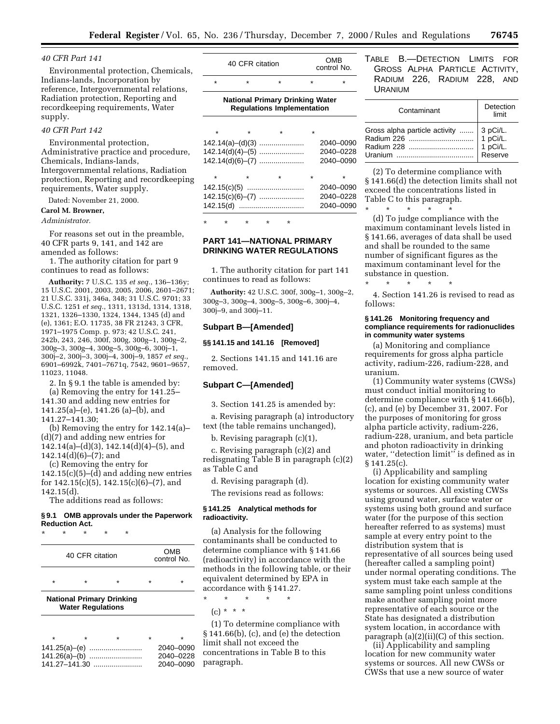### *40 CFR Part 141*

Environmental protection, Chemicals, Indians-lands, Incorporation by reference, Intergovernmental relations, Radiation protection, Reporting and recordkeeping requirements, Water supply.

### *40 CFR Part 142*

Environmental protection, Administrative practice and procedure, Chemicals, Indians-lands, Intergovernmental relations, Radiation protection, Reporting and recordkeeping requirements, Water supply.

Dated: November 21, 2000.

**Carol M. Browner,**

### *Administrator.*

For reasons set out in the preamble, 40 CFR parts 9, 141, and 142 are amended as follows:

1. The authority citation for part 9 continues to read as follows:

**Authority:** 7 U.S.C. 135 *et seq.*, 136–136y; 15 U.S.C. 2001, 2003, 2005, 2006, 2601–2671; 21 U.S.C. 331j, 346a, 348; 31 U.S.C. 9701; 33 U.S.C. 1251 *et seq.*, 1311, 1313d, 1314, 1318, 1321, 1326–1330, 1324, 1344, 1345 (d) and (e), 1361; E.O. 11735, 38 FR 21243, 3 CFR, 1971–1975 Comp. p. 973; 42 U.S.C. 241, 242b, 243, 246, 300f, 300g, 300g–1, 300g–2, 300g–3, 300g–4, 300g–5, 300g–6, 300j–1, 300j–2, 300j–3, 300j–4, 300j–9, 1857 *et seq.*, 6901–6992k, 7401–7671q, 7542, 9601–9657, 11023, 11048.

2. In § 9.1 the table is amended by: (a) Removing the entry for 141.25– 141.30 and adding new entries for

141.25(a)–(e), 141.26 (a)–(b), and 141.27–141.30;

(b) Removing the entry for 142.14(a)– (d)(7) and adding new entries for 142.14(a)–(d)(3), 142.14(d)(4)–(5), and 142.14(d)(6)–(7); and

(c) Removing the entry for  $142.15(c)(5)$ –(d) and adding new entries for 142.15(c)(5), 142.15(c)(6)–(7), and 142.15(d).

The additions read as follows:

### **§ 9.1 OMB approvals under the Paperwork Reduction Act.**

| ÷       | ÷ | ÷                                                            | ÷       | ÷                  |         |   |
|---------|---|--------------------------------------------------------------|---------|--------------------|---------|---|
|         |   | 40 CFR citation                                              |         | OMB<br>control No. |         |   |
| $\star$ |   | ÷                                                            | $\star$ |                    | $\star$ | ÷ |
|         |   | <b>National Primary Drinking</b><br><b>Water Regulations</b> |         |                    |         |   |

|  |  | 2040-0090<br>2040-0228 |
|--|--|------------------------|
|  |  | 2040-0090              |

| 40 CFR citation |  |  | <b>OMB</b><br>control No. |   |
|-----------------|--|--|---------------------------|---|
| ÷               |  |  |                           | ÷ |

**National Primary Drinking Water Regulations Implementation**

| $\star$ | $\star$ | $\star$            | $\star$ |           |
|---------|---------|--------------------|---------|-----------|
|         |         |                    |         | 2040-0090 |
|         |         |                    |         | 2040-0228 |
|         |         | $142.14(d)(6)–(7)$ |         | 2040-0090 |
|         |         |                    |         |           |
| $\star$ |         |                    | $\star$ |           |
|         |         |                    |         | 2040-0090 |
|         |         |                    |         | 2040-0228 |
|         |         | 142.15(d)          |         | 2040-0090 |
|         |         |                    |         |           |

\* \* \* \* \*

### **PART 141—NATIONAL PRIMARY DRINKING WATER REGULATIONS**

1. The authority citation for part 141 continues to read as follows:

**Authority:** 42 U.S.C. 300f, 300g–1, 300g–2, 300g–3, 300g–4, 300g–5, 300g–6, 300j–4, 300j–9, and 300j–11.

### **Subpart B—[Amended]**

### **§§ 141.15 and 141.16 [Removed]**

2. Sections 141.15 and 141.16 are removed.

### **Subpart C—[Amended]**

3. Section 141.25 is amended by:

a. Revising paragraph (a) introductory text (the table remains unchanged),

b. Revising paragraph (c)(1),

c. Revising paragraph (c)(2) and redisgnating Table B in paragraph (c)(2) as Table C and

d. Revising paragraph (d).

The revisions read as follows:

### **§ 141.25 Analytical methods for radioactivity.**

(a) Analysis for the following contaminants shall be conducted to determine compliance with § 141.66 (radioactivity) in accordance with the methods in the following table, or their equivalent determined by EPA in accordance with § 141.27.

\* \* \* \* \*

(c) \* \* \*

(1) To determine compliance with § 141.66(b), (c), and (e) the detection limit shall not exceed the concentrations in Table B to this paragraph.

TABLE B.—DETECTION LIMITS FOR GROSS ALPHA PARTICLE ACTIVITY, RADIUM 226, RADIUM 228, AND URANIUM

| Contaminant                   | Detection<br>limit                          |
|-------------------------------|---------------------------------------------|
| Gross alpha particle activity | 3 pCi/L.<br>1 pCi/L.<br>1 pCi/L.<br>Reserve |

(2) To determine compliance with § 141.66(d) the detection limits shall not exceed the concentrations listed in Table C to this paragraph.

\* \* \* \* \* (d) To judge compliance with the maximum contaminant levels listed in § 141.66, averages of data shall be used and shall be rounded to the same number of significant figures as the maximum contaminant level for the

substance in question.

\* \* \* \* \* 4. Section 141.26 is revised to read as follows:

### **§ 141.26 Monitoring frequency and compliance requirements for radionuclides in community water systems**

(a) Monitoring and compliance requirements for gross alpha particle activity, radium-226, radium-228, and uranium.

(1) Community water systems (CWSs) must conduct initial monitoring to determine compliance with § 141.66(b), (c), and (e) by December 31, 2007. For the purposes of monitoring for gross alpha particle activity, radium-226, radium-228, uranium, and beta particle and photon radioactivity in drinking water, ''detection limit'' is defined as in § 141.25(c).

(i) Applicability and sampling location for existing community water systems or sources. All existing CWSs using ground water, surface water or systems using both ground and surface water (for the purpose of this section hereafter referred to as systems) must sample at every entry point to the distribution system that is representative of all sources being used (hereafter called a sampling point) under normal operating conditions. The system must take each sample at the same sampling point unless conditions make another sampling point more representative of each source or the State has designated a distribution system location, in accordance with paragraph  $(a)(2)(ii)(C)$  of this section.

(ii) Applicability and sampling location for new community water systems or sources. All new CWSs or CWSs that use a new source of water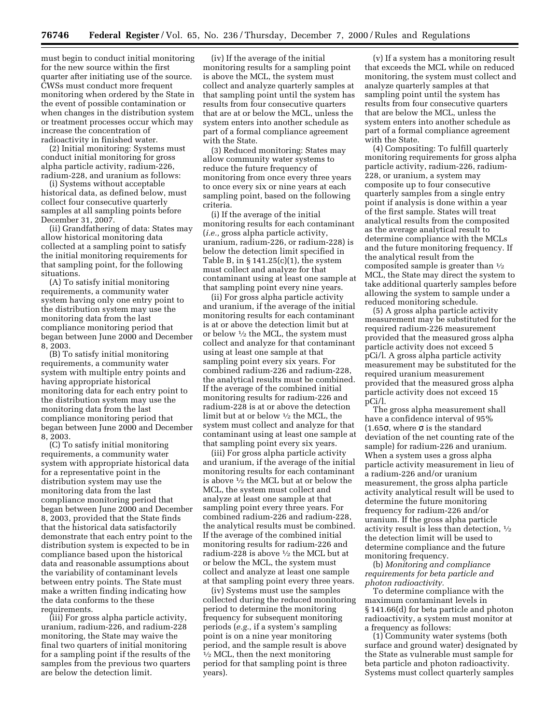must begin to conduct initial monitoring for the new source within the first quarter after initiating use of the source. CWSs must conduct more frequent monitoring when ordered by the State in the event of possible contamination or when changes in the distribution system or treatment processes occur which may increase the concentration of radioactivity in finished water.

(2) Initial monitoring: Systems must conduct initial monitoring for gross alpha particle activity, radium-226, radium-228, and uranium as follows:

(i) Systems without acceptable historical data, as defined below, must collect four consecutive quarterly samples at all sampling points before December 31, 2007.

(ii) Grandfathering of data: States may allow historical monitoring data collected at a sampling point to satisfy the initial monitoring requirements for that sampling point, for the following situations.

(A) To satisfy initial monitoring requirements, a community water system having only one entry point to the distribution system may use the monitoring data from the last compliance monitoring period that began between June 2000 and December 8, 2003.

(B) To satisfy initial monitoring requirements, a community water system with multiple entry points and having appropriate historical monitoring data for each entry point to the distribution system may use the monitoring data from the last compliance monitoring period that began between June 2000 and December 8, 2003.

(C) To satisfy initial monitoring requirements, a community water system with appropriate historical data for a representative point in the distribution system may use the monitoring data from the last compliance monitoring period that began between June 2000 and December 8, 2003, provided that the State finds that the historical data satisfactorily demonstrate that each entry point to the distribution system is expected to be in compliance based upon the historical data and reasonable assumptions about the variability of contaminant levels between entry points. The State must make a written finding indicating how the data conforms to the these requirements.

(iii) For gross alpha particle activity, uranium, radium-226, and radium-228 monitoring, the State may waive the final two quarters of initial monitoring for a sampling point if the results of the samples from the previous two quarters are below the detection limit.

(iv) If the average of the initial monitoring results for a sampling point is above the MCL, the system must collect and analyze quarterly samples at that sampling point until the system has results from four consecutive quarters that are at or below the MCL, unless the system enters into another schedule as part of a formal compliance agreement with the State.

(3) Reduced monitoring: States may allow community water systems to reduce the future frequency of monitoring from once every three years to once every six or nine years at each sampling point, based on the following criteria.

(i) If the average of the initial monitoring results for each contaminant (*i.e.,* gross alpha particle activity, uranium, radium-226, or radium-228) is below the detection limit specified in Table B, in § 141.25(c)(1), the system must collect and analyze for that contaminant using at least one sample at that sampling point every nine years.

(ii) For gross alpha particle activity and uranium, if the average of the initial monitoring results for each contaminant is at or above the detection limit but at or below 1⁄2 the MCL, the system must collect and analyze for that contaminant using at least one sample at that sampling point every six years. For combined radium-226 and radium-228, the analytical results must be combined. If the average of the combined initial monitoring results for radium-226 and radium-228 is at or above the detection limit but at or below 1⁄2 the MCL, the system must collect and analyze for that contaminant using at least one sample at that sampling point every six years.

(iii) For gross alpha particle activity and uranium, if the average of the initial monitoring results for each contaminant is above  $\frac{1}{2}$  the MCL but at or below the MCL, the system must collect and analyze at least one sample at that sampling point every three years. For combined radium-226 and radium-228, the analytical results must be combined. If the average of the combined initial monitoring results for radium-226 and radium-228 is above 1⁄2 the MCL but at or below the MCL, the system must collect and analyze at least one sample at that sampling point every three years.

(iv) Systems must use the samples collected during the reduced monitoring period to determine the monitoring frequency for subsequent monitoring periods (*e.g.,* if a system's sampling point is on a nine year monitoring period, and the sample result is above  $\frac{1}{2}$  MCL, then the next monitoring period for that sampling point is three years).

(v) If a system has a monitoring result that exceeds the MCL while on reduced monitoring, the system must collect and analyze quarterly samples at that sampling point until the system has results from four consecutive quarters that are below the MCL, unless the system enters into another schedule as part of a formal compliance agreement with the State.

(4) Compositing: To fulfill quarterly monitoring requirements for gross alpha particle activity, radium-226, radium-228, or uranium, a system may composite up to four consecutive quarterly samples from a single entry point if analysis is done within a year of the first sample. States will treat analytical results from the composited as the average analytical result to determine compliance with the MCLs and the future monitoring frequency. If the analytical result from the composited sample is greater than 1⁄2 MCL, the State may direct the system to take additional quarterly samples before allowing the system to sample under a reduced monitoring schedule.

(5) A gross alpha particle activity measurement may be substituted for the required radium-226 measurement provided that the measured gross alpha particle activity does not exceed 5 pCi/l. A gross alpha particle activity measurement may be substituted for the required uranium measurement provided that the measured gross alpha particle activity does not exceed 15 pCi/l.

The gross alpha measurement shall have a confidence interval of 95% (1.65σ, where σ is the standard deviation of the net counting rate of the sample) for radium-226 and uranium. When a system uses a gross alpha particle activity measurement in lieu of a radium-226 and/or uranium measurement, the gross alpha particle activity analytical result will be used to determine the future monitoring frequency for radium-226 and/or uranium. If the gross alpha particle activity result is less than detection, 1⁄2 the detection limit will be used to determine compliance and the future monitoring frequency.

(b) *Monitoring and compliance requirements for beta particle and photon radioactivity.*

To determine compliance with the maximum contaminant levels in § 141.66(d) for beta particle and photon radioactivity, a system must monitor at a frequency as follows:

(1) Community water systems (both surface and ground water) designated by the State as vulnerable must sample for beta particle and photon radioactivity. Systems must collect quarterly samples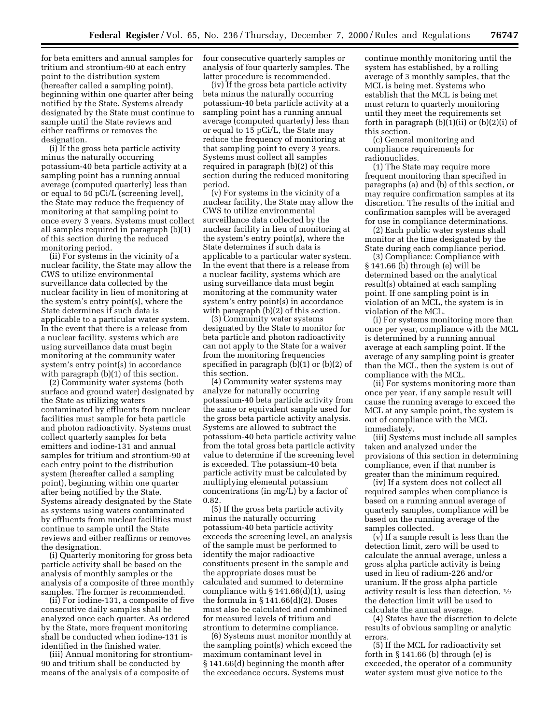for beta emitters and annual samples for tritium and strontium-90 at each entry point to the distribution system (hereafter called a sampling point), beginning within one quarter after being notified by the State. Systems already designated by the State must continue to sample until the State reviews and either reaffirms or removes the designation.

(i) If the gross beta particle activity minus the naturally occurring potassium-40 beta particle activity at a sampling point has a running annual average (computed quarterly) less than or equal to 50 pCi/L (screening level), the State may reduce the frequency of monitoring at that sampling point to once every 3 years. Systems must collect all samples required in paragraph (b)(1) of this section during the reduced monitoring period.

(ii) For systems in the vicinity of a nuclear facility, the State may allow the CWS to utilize environmental surveillance data collected by the nuclear facility in lieu of monitoring at the system's entry point(s), where the State determines if such data is applicable to a particular water system. In the event that there is a release from a nuclear facility, systems which are using surveillance data must begin monitoring at the community water system's entry point(s) in accordance with paragraph (b)(1) of this section.

(2) Community water systems (both surface and ground water) designated by the State as utilizing waters contaminated by effluents from nuclear facilities must sample for beta particle and photon radioactivity. Systems must collect quarterly samples for beta emitters and iodine-131 and annual samples for tritium and strontium-90 at each entry point to the distribution system (hereafter called a sampling point), beginning within one quarter after being notified by the State. Systems already designated by the State as systems using waters contaminated by effluents from nuclear facilities must continue to sample until the State reviews and either reaffirms or removes the designation.

(i) Quarterly monitoring for gross beta particle activity shall be based on the analysis of monthly samples or the analysis of a composite of three monthly samples. The former is recommended.

(ii) For iodine-131, a composite of five consecutive daily samples shall be analyzed once each quarter. As ordered by the State, more frequent monitoring shall be conducted when iodine-131 is identified in the finished water.

(iii) Annual monitoring for strontium-90 and tritium shall be conducted by means of the analysis of a composite of

four consecutive quarterly samples or analysis of four quarterly samples. The latter procedure is recommended.

(iv) If the gross beta particle activity beta minus the naturally occurring potassium-40 beta particle activity at a sampling point has a running annual average (computed quarterly) less than or equal to 15 pCi/L, the State may reduce the frequency of monitoring at that sampling point to every 3 years. Systems must collect all samples required in paragraph (b)(2) of this section during the reduced monitoring period.

(v) For systems in the vicinity of a nuclear facility, the State may allow the CWS to utilize environmental surveillance data collected by the nuclear facility in lieu of monitoring at the system's entry point(s), where the State determines if such data is applicable to a particular water system. In the event that there is a release from a nuclear facility, systems which are using surveillance data must begin monitoring at the community water system's entry point(s) in accordance with paragraph (b)(2) of this section.

(3) Community water systems designated by the State to monitor for beta particle and photon radioactivity can not apply to the State for a waiver from the monitoring frequencies specified in paragraph  $(b)(1)$  or  $(b)(2)$  of this section.

(4) Community water systems may analyze for naturally occurring potassium-40 beta particle activity from the same or equivalent sample used for the gross beta particle activity analysis. Systems are allowed to subtract the potassium-40 beta particle activity value from the total gross beta particle activity value to determine if the screening level is exceeded. The potassium-40 beta particle activity must be calculated by multiplying elemental potassium concentrations (in mg/L) by a factor of 0.82.

(5) If the gross beta particle activity minus the naturally occurring potassium-40 beta particle activity exceeds the screening level, an analysis of the sample must be performed to identify the major radioactive constituents present in the sample and the appropriate doses must be calculated and summed to determine compliance with  $\S 141.66(d)(1)$ , using the formula in  $\S 141.66(d)(2)$ . Doses must also be calculated and combined for measured levels of tritium and strontium to determine compliance.

(6) Systems must monitor monthly at the sampling point(s) which exceed the maximum contaminant level in § 141.66(d) beginning the month after the exceedance occurs. Systems must

continue monthly monitoring until the system has established, by a rolling average of 3 monthly samples, that the MCL is being met. Systems who establish that the MCL is being met must return to quarterly monitoring until they meet the requirements set forth in paragraph  $(b)(1)(ii)$  or  $(b)(2)(i)$  of this section.

(c) General monitoring and compliance requirements for radionuclides.

(1) The State may require more frequent monitoring than specified in paragraphs (a) and (b) of this section, or may require confirmation samples at its discretion. The results of the initial and confirmation samples will be averaged for use in compliance determinations.

(2) Each public water systems shall monitor at the time designated by the State during each compliance period.

(3) Compliance: Compliance with § 141.66 (b) through (e) will be determined based on the analytical result(s) obtained at each sampling point. If one sampling point is in violation of an MCL, the system is in violation of the MCL.

(i) For systems monitoring more than once per year, compliance with the MCL is determined by a running annual average at each sampling point. If the average of any sampling point is greater than the MCL, then the system is out of compliance with the MCL.

(ii) For systems monitoring more than once per year, if any sample result will cause the running average to exceed the MCL at any sample point, the system is out of compliance with the MCL immediately.

(iii) Systems must include all samples taken and analyzed under the provisions of this section in determining compliance, even if that number is greater than the minimum required.

(iv) If a system does not collect all required samples when compliance is based on a running annual average of quarterly samples, compliance will be based on the running average of the samples collected.

(v) If a sample result is less than the detection limit, zero will be used to calculate the annual average, unless a gross alpha particle activity is being used in lieu of radium-226 and/or uranium. If the gross alpha particle activity result is less than detection, 1⁄2 the detection limit will be used to calculate the annual average.

(4) States have the discretion to delete results of obvious sampling or analytic errors.

(5) If the MCL for radioactivity set forth in  $\S 141.66$  (b) through (e) is exceeded, the operator of a community water system must give notice to the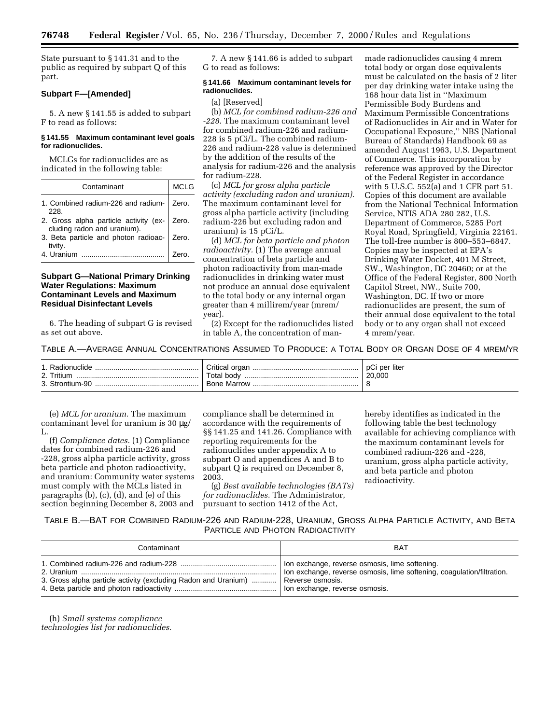State pursuant to § 141.31 and to the public as required by subpart Q of this part.

### **Subpart F—[Amended]**

5. A new § 141.55 is added to subpart F to read as follows:

### **§ 141.55 Maximum contaminant level goals for radionuclides.**

MCLGs for radionuclides are as indicated in the following table:

| Contaminant                                                                | <b>MCLG</b> |
|----------------------------------------------------------------------------|-------------|
| 1. Combined radium-226 and radium-   Zero.<br>228.                         |             |
| 2. Gross alpha particle activity (ex- Zero.<br>cluding radon and uranium). |             |
| 3. Beta particle and photon radioac- Zero.<br>tivity.                      |             |
| 4. Uranium                                                                 |             |

### **Subpart G—National Primary Drinking Water Regulations: Maximum Contaminant Levels and Maximum Residual Disinfectant Levels**

6. The heading of subpart G is revised as set out above.

7. A new § 141.66 is added to subpart G to read as follows:

### **§ 141.66 Maximum contaminant levels for radionuclides.**

#### (a) [Reserved]

(b) *MCL for combined radium-226 and -228*. The maximum contaminant level for combined radium-226 and radium-228 is 5 pCi/L. The combined radium-226 and radium-228 value is determined by the addition of the results of the analysis for radium-226 and the analysis for radium-228.

(c) *MCL for gross alpha particle activity (excluding radon and uranium).* The maximum contaminant level for gross alpha particle activity (including radium-226 but excluding radon and uranium) is 15 pCi/L.

(d) *MCL for beta particle and photon radioactivity.* (1) The average annual concentration of beta particle and photon radioactivity from man-made radionuclides in drinking water must not produce an annual dose equivalent to the total body or any internal organ greater than 4 millirem/year (mrem/ year).

(2) Except for the radionuclides listed in table A, the concentration of man-

made radionuclides causing 4 mrem total body or organ dose equivalents must be calculated on the basis of 2 liter per day drinking water intake using the 168 hour data list in ''Maximum Permissible Body Burdens and Maximum Permissible Concentrations of Radionuclides in Air and in Water for Occupational Exposure,'' NBS (National Bureau of Standards) Handbook 69 as amended August 1963, U.S. Department of Commerce. This incorporation by reference was approved by the Director of the Federal Register in accordance with 5 U.S.C. 552(a) and 1 CFR part 51. Copies of this document are available from the National Technical Information Service, NTIS ADA 280 282, U.S. Department of Commerce, 5285 Port Royal Road, Springfield, Virginia 22161. The toll-free number is 800–553–6847. Copies may be inspected at EPA's Drinking Water Docket, 401 M Street, SW., Washington, DC 20460; or at the Office of the Federal Register, 800 North Capitol Street, NW., Suite 700, Washington, DC. If two or more radionuclides are present, the sum of their annual dose equivalent to the total body or to any organ shall not exceed 4 mrem/year.

TABLE A.—AVERAGE ANNUAL CONCENTRATIONS ASSUMED TO PRODUCE: A TOTAL BODY OR ORGAN DOSE OF 4 MREM/YR

| ◡◠                    | ≿ritica    | pCi    |
|-----------------------|------------|--------|
| $\sim$                | nras       | nar    |
| Tritiun.              | าลเ        | ∵lıteı |
| <u></u>               | otal bodv. | nnr    |
| $\sim$<br>. Strontium | R∩r        |        |

(e) *MCL for uranium.* The maximum contaminant level for uranium is 30 µg/ L.

(f) *Compliance dates.* (1) Compliance dates for combined radium-226 and -228, gross alpha particle activity, gross beta particle and photon radioactivity, and uranium: Community water systems must comply with the MCLs listed in paragraphs (b), (c), (d), and (e) of this section beginning December 8, 2003 and

compliance shall be determined in accordance with the requirements of §§ 141.25 and 141.26. Compliance with reporting requirements for the radionuclides under appendix A to subpart O and appendices A and B to subpart Q is required on December 8, 2003.

(g) *Best available technologies (BATs) for radionuclides.* The Administrator, pursuant to section 1412 of the Act,

hereby identifies as indicated in the following table the best technology available for achieving compliance with the maximum contaminant levels for combined radium-226 and -228, uranium, gross alpha particle activity, and beta particle and photon radioactivity.

TABLE B.—BAT FOR COMBINED RADIUM-226 AND RADIUM-228, URANIUM, GROSS ALPHA PARTICLE ACTIVITY, AND BETA PARTICLE AND PHOTON RADIOACTIVITY

| Contaminant                                                    | BAT                                                                                                                                          |
|----------------------------------------------------------------|----------------------------------------------------------------------------------------------------------------------------------------------|
| 3. Gross alpha particle activity (excluding Radon and Uranium) | lon exchange, reverse osmosis, lime softening.<br>Ion exchange, reverse osmosis, lime softening, coagulation/filtration.<br>Reverse osmosis. |

(h) *Small systems compliance technologies list for radionuclides.*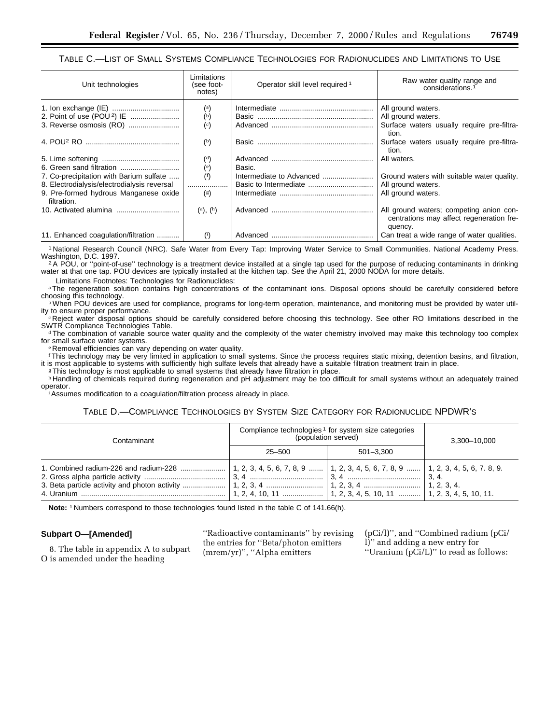### TABLE C.—LIST OF SMALL SYSTEMS COMPLIANCE TECHNOLOGIES FOR RADIONUCLIDES AND LIMITATIONS TO USE

| Unit technologies                                    | Limitations<br>(see foot-<br>notes) | Operator skill level required <sup>1</sup> | Raw water quality range and<br>considerations. <sup>1</sup>                                    |
|------------------------------------------------------|-------------------------------------|--------------------------------------------|------------------------------------------------------------------------------------------------|
|                                                      | $\binom{a}{b}$                      |                                            | All ground waters.                                                                             |
|                                                      | $(b)$                               |                                            | All ground waters.                                                                             |
|                                                      | (c)                                 |                                            | Surface waters usually require pre-filtra-<br>tion.                                            |
|                                                      | $^{\mathrm{(b)}}$                   |                                            | Surface waters usually require pre-filtra-<br>tion.                                            |
|                                                      | $\binom{d}{ }$                      |                                            | All waters.                                                                                    |
|                                                      | (e)                                 | Basic.                                     |                                                                                                |
| 7. Co-precipitation with Barium sulfate              | (f)                                 | Intermediate to Advanced                   | Ground waters with suitable water quality.                                                     |
| 8. Electrodialysis/electrodialysis reversal          |                                     |                                            | All ground waters.                                                                             |
| 9. Pre-formed hydrous Manganese oxide<br>filtration. | $(\mathrm{s})$                      |                                            | All ground waters.                                                                             |
|                                                      | $(a)$ , $(h)$                       |                                            | All ground waters; competing anion con-<br>centrations may affect regeneration fre-<br>quency. |
| 11. Enhanced coagulation/filtration                  | $\binom{i}{i}$                      |                                            | Can treat a wide range of water qualities.                                                     |

<sup>1</sup> National Research Council (NRC). Safe Water from Every Tap: Improving Water Service to Small Communities. National Academy Press.<br>Washington, D.C. 1997. Washington, D.C. 1997.<br><sup>2</sup>A POU, or "point-of-use" technology is a treatment device installed at a single tap used for the purpose of reducing contaminants in drinking

water at that one tap. POU devices are typically installed at the kitchen tap. See the April 21, 2000 NODA for more details.

Limitations Footnotes: Technologies for Radionuclides:

<sup>a</sup>The regeneration solution contains high concentrations of the contaminant ions. Disposal options should be carefully considered before choosing this technology.

bWhen POU devices are used for compliance, programs for long-term operation, maintenance, and monitoring must be provided by water utility to ensure proper performance.

c Reject water disposal options should be carefully considered before choosing this technology. See other RO limitations described in the SWTR Compliance Technologies Table.

<sup>d</sup>The combination of variable source water quality and the complexity of the water chemistry involved may make this technology too complex for small surface water systems.

e Removal efficiencies can vary depending on water quality.

fThis technology may be very limited in application to small systems. Since the process requires static mixing, detention basins, and filtration, it is most applicable to systems with sufficiently high sulfate levels that already have a suitable filtration treatment train in place.

*E***This technology is most applicable to small systems that already have filtration in place.** 

h Handling of chemicals required during regeneration and pH adjustment may be too difficult for small systems without an adequately trained operator.

<sup>i</sup>Assumes modification to a coagulation/filtration process already in place.

### TABLE D.—COMPLIANCE TECHNOLOGIES BY SYSTEM SIZE CATEGORY FOR RADIONUCLIDE NPDWR'S

| Contaminant | Compliance technologies <sup>1</sup> for system size categories<br>(population served) | 3.300-10.000  |  |  |
|-------------|----------------------------------------------------------------------------------------|---------------|--|--|
|             | 25–500                                                                                 | $501 - 3.300$ |  |  |
|             |                                                                                        |               |  |  |

**Note:** 1 Numbers correspond to those technologies found listed in the table C of 141.66(h).

### **Subpart O—[Amended]**

8. The table in appendix A to subpart O is amended under the heading

''Radioactive contaminants'' by revising the entries for ''Beta/photon emitters (mrem/yr)'', ''Alpha emitters

(pCi/l)'', and ''Combined radium (pCi/ l)'' and adding a new entry for ''Uranium (pCi/L)'' to read as follows: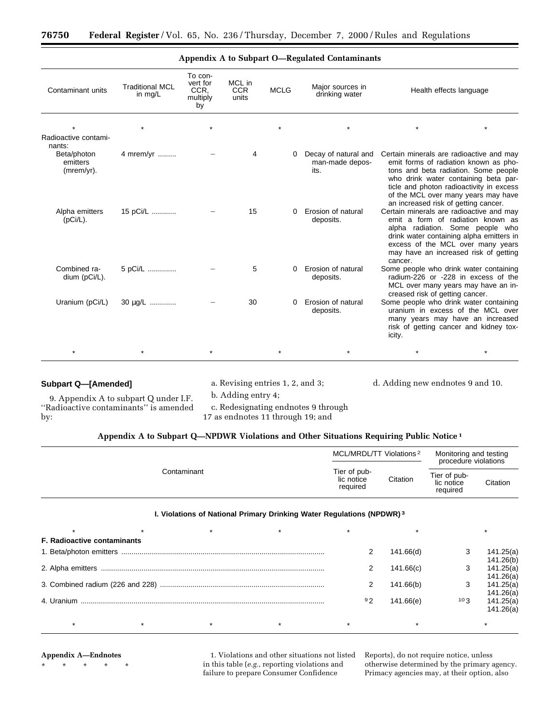| Contaminant units                        | <b>Traditional MCL</b><br>in mg/L | To con-<br>vert for<br>CCR.<br>multiply<br>by | MCL in<br><b>CCR</b><br>units | <b>MCLG</b> | Major sources in<br>drinking water              | Health effects language                                                          |                                                                                                                                                                                                          |
|------------------------------------------|-----------------------------------|-----------------------------------------------|-------------------------------|-------------|-------------------------------------------------|----------------------------------------------------------------------------------|----------------------------------------------------------------------------------------------------------------------------------------------------------------------------------------------------------|
|                                          |                                   |                                               |                               |             |                                                 |                                                                                  |                                                                                                                                                                                                          |
| Radioactive contami-<br>nants:           |                                   |                                               |                               |             |                                                 |                                                                                  |                                                                                                                                                                                                          |
| Beta/photon<br>emitters<br>$(mrem/yr)$ . | 4 mrem/yr                         |                                               | 4                             | $\Omega$    | Decay of natural and<br>man-made depos-<br>its. | Certain minerals are radioactive and may<br>an increased risk of getting cancer. | emit forms of radiation known as pho-<br>tons and beta radiation. Some people<br>who drink water containing beta par-<br>ticle and photon radioactivity in excess<br>of the MCL over many years may have |
| Alpha emitters<br>$(pCi/L)$ .            | 15 pCi/L                          |                                               | 15                            | $\Omega$    | Erosion of natural<br>deposits.                 | Certain minerals are radioactive and may<br>cancer.                              | emit a form of radiation known as<br>alpha radiation. Some people who<br>drink water containing alpha emitters in<br>excess of the MCL over many years<br>may have an increased risk of getting          |
| Combined ra-<br>dium (pCi/L).            | 5 pCi/L                           |                                               | 5                             | 0           | Erosion of natural<br>deposits.                 | Some people who drink water containing<br>creased risk of getting cancer.        | radium-226 or -228 in excess of the<br>MCL over many years may have an in-                                                                                                                               |
| Uranium (pCi/L)                          | 30 μg/L                           |                                               | 30                            | $\Omega$    | Erosion of natural<br>deposits.                 | Some people who drink water containing<br>icity.                                 | uranium in excess of the MCL over<br>many years may have an increased<br>risk of getting cancer and kidney tox-                                                                                          |
| $\star$                                  | $\star$                           | $\star$                                       |                               | $\star$     | $\star$                                         |                                                                                  | $\star$                                                                                                                                                                                                  |

### **Appendix A to Subpart O—Regulated Contaminants**

### **Subpart Q—[Amended]**

a. Revising entries 1, 2, and 3;

d. Adding new endnotes 9 and 10.

9. Appendix A to subpart Q under I.F. ''Radioactive contaminants'' is amended by:

b. Adding entry 4;

c. Redesignating endnotes 9 through 17 as endnotes 11 through 19; and

| Appendix A to Subpart Q—NPDWR Violations and Other Situations Requiring Public Notice <sup>1</sup> |  |  |  |
|----------------------------------------------------------------------------------------------------|--|--|--|
|----------------------------------------------------------------------------------------------------|--|--|--|

|                                                                                   | MCL/MRDL/TT Violations <sup>2</sup>    |           | Monitoring and testing<br>procedure violations |                        |  |  |  |
|-----------------------------------------------------------------------------------|----------------------------------------|-----------|------------------------------------------------|------------------------|--|--|--|
| Contaminant                                                                       | Tier of pub-<br>lic notice<br>required | Citation  | Tier of pub-<br>lic notice<br>required         | Citation               |  |  |  |
| I. Violations of National Primary Drinking Water Regulations (NPDWR) <sup>3</sup> |                                        |           |                                                |                        |  |  |  |
| $\star$                                                                           |                                        |           |                                                |                        |  |  |  |
| <b>F. Radioactive contaminants</b>                                                |                                        |           |                                                |                        |  |  |  |
|                                                                                   | 2                                      | 141.66(d) | 3                                              | 141.25(a)              |  |  |  |
|                                                                                   | 2                                      |           | 3                                              | 141.26(b)              |  |  |  |
|                                                                                   |                                        | 141.66(c) |                                                | 141.25(a)<br>141.26(a) |  |  |  |
|                                                                                   | 2                                      | 141.66(b) | 3                                              | 141.25(a)              |  |  |  |
|                                                                                   |                                        |           |                                                | 141.26(a)              |  |  |  |
|                                                                                   | 92                                     | 141.66(e) | 103                                            | 141.25(a)              |  |  |  |
|                                                                                   |                                        |           |                                                | 141.26(a)              |  |  |  |
| $\star$<br>$\star$                                                                |                                        |           |                                                | $\star$                |  |  |  |

**Appendix A—Endnotes** \* \* \* \* \*

1. Violations and other situations not listed in this table (*e.g.*, reporting violations and failure to prepare Consumer Confidence

Reports), do not require notice, unless otherwise determined by the primary agency. Primacy agencies may, at their option, also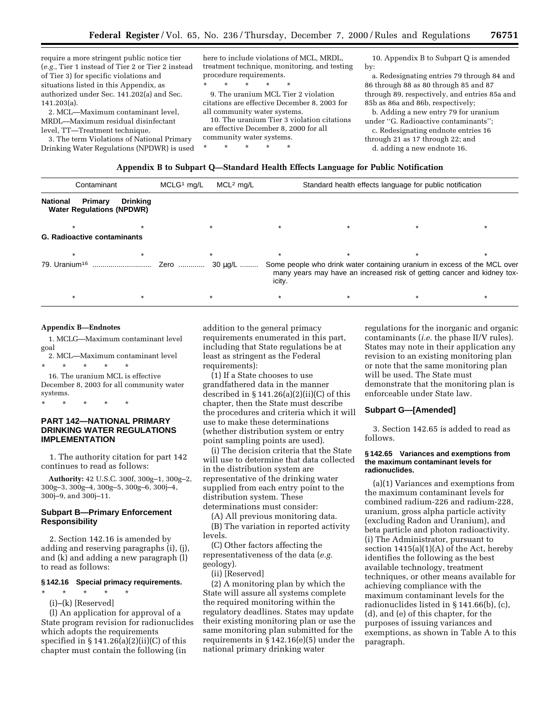require a more stringent public notice tier (*e.g.*, Tier 1 instead of Tier 2 or Tier 2 instead of Tier 3) for specific violations and situations listed in this Appendix, as authorized under Sec. 141.202(a) and Sec. 141.203(a).

2. MCL—Maximum contaminant level, MRDL—Maximum residual disinfectant level, TT—Treatment technique.

3. The term Violations of National Primary Drinking Water Regulations (NPDWR) is used

here to include violations of MCL, MRDL, treatment technique, monitoring, and testing procedure requirements.

\* \* \* \* \* 9. The uranium MCL Tier 2 violation

citations are effective December 8, 2003 for all community water systems.

10. The uranium Tier 3 violation citations are effective December 8, 2000 for all community water systems.

\* \* \* \* \*

10. Appendix B to Subpart Q is amended by:

a. Redesignating entries 79 through 84 and 86 through 88 as 80 through 85 and 87 through 89, respectively, and entries 85a and 85b as 86a and 86b, respectively;

b. Adding a new entry 79 for uranium under ''G. Radioactive contaminants'';

c. Redesignating endnote entries 16 through 21 as 17 through 22; and

d. adding a new endnote 16.

|  |  | Appendix B to Subpart Q—Standard Health Effects Language for Public Notification |
|--|--|----------------------------------------------------------------------------------|
|  |  |                                                                                  |

|                                                                | $MCLG1$ mg/L<br>Contaminant |  |         | Standard health effects language for public notification |  |                                                                                                                                                     |  |
|----------------------------------------------------------------|-----------------------------|--|---------|----------------------------------------------------------|--|-----------------------------------------------------------------------------------------------------------------------------------------------------|--|
| <b>National</b><br>Primary<br><b>Water Regulations (NPDWR)</b> | <b>Drinking</b>             |  |         |                                                          |  |                                                                                                                                                     |  |
|                                                                |                             |  |         | $\star$                                                  |  |                                                                                                                                                     |  |
| <b>G. Radioactive contaminants</b>                             |                             |  |         |                                                          |  |                                                                                                                                                     |  |
|                                                                |                             |  |         |                                                          |  |                                                                                                                                                     |  |
|                                                                |                             |  | 30 μg/L | icity.                                                   |  | Some people who drink water containing uranium in excess of the MCL over<br>many years may have an increased risk of getting cancer and kidney tox- |  |
|                                                                |                             |  |         |                                                          |  |                                                                                                                                                     |  |

#### **Appendix B—Endnotes**

1. MCLG—Maximum contaminant level goal

2. MCL—Maximum contaminant level \* \* \* \* \*

16. The uranium MCL is effective December 8, 2003 for all community water systems.

\* \* \* \* \*

### **PART 142—NATIONAL PRIMARY DRINKING WATER REGULATIONS IMPLEMENTATION**

1. The authority citation for part 142 continues to read as follows:

**Authority:** 42 U.S.C. 300f, 300g–1, 300g–2, 300g–3, 300g–4, 300g–5, 300g–6, 300j–4, 300j–9, and 300j–11.

### **Subpart B—Primary Enforcement Responsibility**

2. Section 142.16 is amended by adding and reserving paragraphs (i), (j), and (k) and adding a new paragraph (l) to read as follows:

### **§ 142.16 Special primacy requirements.**

\* \* \* \* \*

(i)–(k) [Reserved] (l) An application for approval of a State program revision for radionuclides which adopts the requirements specified in  $\S 141.26(a)(2)(ii)(C)$  of this chapter must contain the following (in

addition to the general primacy requirements enumerated in this part, including that State regulations be at least as stringent as the Federal requirements):

(1) If a State chooses to use grandfathered data in the manner described in  $\S 141.26(a)(2)(ii)(C)$  of this chapter, then the State must describe the procedures and criteria which it will use to make these determinations (whether distribution system or entry point sampling points are used).

(i) The decision criteria that the State will use to determine that data collected in the distribution system are representative of the drinking water supplied from each entry point to the distribution system. These determinations must consider:

(A) All previous monitoring data.

(B) The variation in reported activity levels.

(C) Other factors affecting the representativeness of the data (*e.g.* geology).

(ii) [Reserved]

(2) A monitoring plan by which the State will assure all systems complete the required monitoring within the regulatory deadlines. States may update their existing monitoring plan or use the same monitoring plan submitted for the requirements in § 142.16(e)(5) under the national primary drinking water

regulations for the inorganic and organic contaminants (*i.e.* the phase II/V rules). States may note in their application any revision to an existing monitoring plan or note that the same monitoring plan will be used. The State must demonstrate that the monitoring plan is enforceable under State law.

### **Subpart G—[Amended]**

3. Section 142.65 is added to read as follows.

### **§ 142.65 Variances and exemptions from the maximum contaminant levels for radionuclides.**

(a)(1) Variances and exemptions from the maximum contaminant levels for combined radium-226 and radium-228, uranium, gross alpha particle activity (excluding Radon and Uranium), and beta particle and photon radioactivity. (i) The Administrator, pursuant to section 1415(a)(1)(A) of the Act, hereby identifies the following as the best available technology, treatment techniques, or other means available for achieving compliance with the maximum contaminant levels for the radionuclides listed in § 141.66(b), (c), (d), and (e) of this chapter, for the purposes of issuing variances and exemptions, as shown in Table A to this paragraph.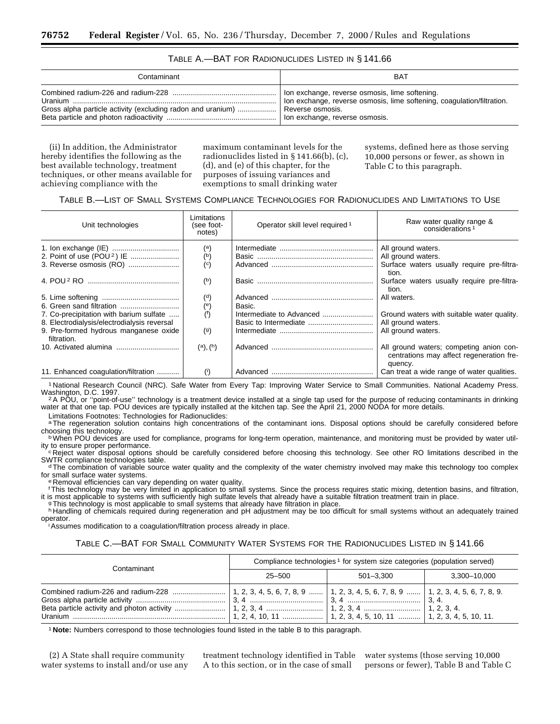### TABLE A.—BAT FOR RADIONUCLIDES LISTED IN § 141.66

| Contaminant                                                                   | BAT                                                                                                                                                        |
|-------------------------------------------------------------------------------|------------------------------------------------------------------------------------------------------------------------------------------------------------|
| Gross alpha particle activity (excluding radon and uranium)  Reverse osmosis. | Ion exchange, reverse osmosis, lime softening.<br>Ion exchange, reverse osmosis, lime softening, coagulation/filtration.<br>Ion exchange, reverse osmosis. |

(ii) In addition, the Administrator hereby identifies the following as the best available technology, treatment techniques, or other means available for achieving compliance with the

maximum contaminant levels for the radionuclides listed in § 141.66(b), (c), (d), and (e) of this chapter, for the purposes of issuing variances and exemptions to small drinking water

systems, defined here as those serving 10,000 persons or fewer, as shown in Table C to this paragraph.

### TABLE B.—LIST OF SMALL SYSTEMS COMPLIANCE TECHNOLOGIES FOR RADIONUCLIDES AND LIMITATIONS TO USE

| Unit technologies                                    | Limitations<br>(see foot-<br>notes) | Operator skill level required <sup>1</sup> | Raw water quality range &<br>considerations <sup>1</sup>                                       |
|------------------------------------------------------|-------------------------------------|--------------------------------------------|------------------------------------------------------------------------------------------------|
|                                                      | $^{\rm (a)}$                        |                                            | All ground waters.                                                                             |
|                                                      | $(\mathsf{b})$                      |                                            | All ground waters.                                                                             |
|                                                      | $\binom{c}{c}$                      |                                            | Surface waters usually require pre-filtra-<br>tion.                                            |
|                                                      | $(b)$                               |                                            | Surface waters usually require pre-filtra-<br>tion.                                            |
|                                                      | $^{\rm (d)}$                        |                                            | All waters.                                                                                    |
|                                                      | (e)                                 | Basic.                                     |                                                                                                |
| 7. Co-precipitation with barium sulfate              | $(f)$                               | Intermediate to Advanced                   | Ground waters with suitable water quality.                                                     |
| 8. Electrodialysis/electrodialysis reversal          |                                     | Basic to Intermediate                      | All ground waters.                                                                             |
| 9. Pre-formed hydrous manganese oxide<br>filtration. | (a)                                 |                                            | All ground waters.                                                                             |
|                                                      | (a), (h)                            |                                            | All ground waters; competing anion con-<br>centrations may affect regeneration fre-<br>quency. |
| 11. Enhanced coagulation/filtration                  | (                                   |                                            | Can treat a wide range of water qualities.                                                     |

<sup>1</sup> National Research Council (NRC). Safe Water from Every Tap: Improving Water Service to Small Communities. National Academy Press.<br>Washington, D.C. 1997.

2A POU, or "point-of-use" technology is a treatment device installed at a single tap used for the purpose of reducing contaminants in drinking water at that one tap. POU devices are typically installed at the kitchen tap. See the April 21, 2000 NODA for more details.

Limitations Footnotes: Technologies for Radionuclides:

aThe regeneration solution contains high concentrations of the contaminant ions. Disposal options should be carefully considered before choosing this technology.

b When POU devices are used for compliance, programs for long-term operation, maintenance, and monitoring must be provided by water util-<br>ity to ensure proper performance.

Feroper chance to ensure proper or should be carefully considered before choosing this technology. See other RO limitations described in the SWTR compliance technologies table.

<sup>d</sup> The combination of variable source water quality and the complexity of the water chemistry involved may make this technology too complex for small surface water systems.

e Removal efficiencies can vary depending on water quality.

fThis technology may be very limited in application to small systems. Since the process requires static mixing, detention basins, and filtration, it is most applicable to systems with sufficiently high sulfate levels that already have a suitable filtration treatment train in place.<br>This technology is most applicable to small systems that already have filtration in p

h Handling of chemicals required during regeneration and pH adjustment may be too difficult for small systems without an adequately trained<br>operator.

<sup>i</sup>Assumes modification to a coagulation/filtration process already in place.

### TABLE C.—BAT FOR SMALL COMMUNITY WATER SYSTEMS FOR THE RADIONUCLIDES LISTED IN § 141.66

| Contaminant | Compliance technologies 1 for system size categories (population served) |  |              |  |
|-------------|--------------------------------------------------------------------------|--|--------------|--|
|             | 501–3.300<br>$25 - 500$                                                  |  | 3.300-10.000 |  |
|             |                                                                          |  |              |  |

1 **Note:** Numbers correspond to those technologies found listed in the table B to this paragraph.

(2) A State shall require community water systems to install and/or use any treatment technology identified in Table A to this section, or in the case of small

water systems (those serving 10,000 persons or fewer), Table B and Table C